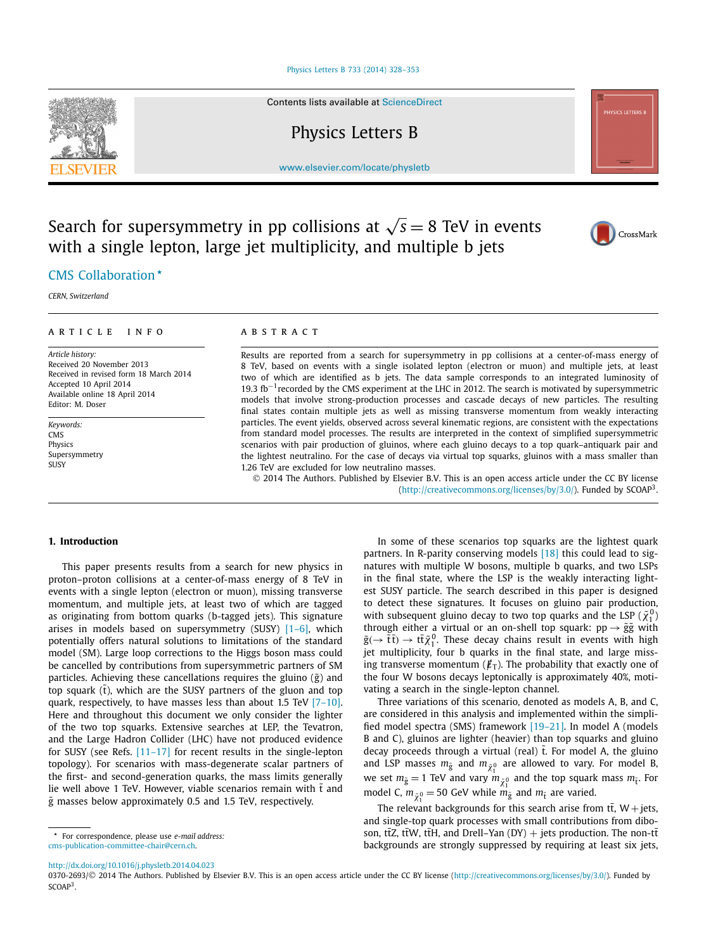#### [Physics Letters B 733 \(2014\) 328–353](http://dx.doi.org/10.1016/j.physletb.2014.04.023)

Contents lists available at [ScienceDirect](http://www.ScienceDirect.com/)

Physics Letters B

[www.elsevier.com/locate/physletb](http://www.elsevier.com/locate/physletb)



# Search for supersymmetry in pp collisions at  $\sqrt{s} = 8$  TeV in events with a single lepton, large jet multiplicity, and multiple b jets



# [.CMS Collaboration](#page-11-0) *-*

*CERN, Switzerland*

#### article info abstract

*Article history:* Received 20 November 2013 Received in revised form 18 March 2014 Accepted 10 April 2014 Available online 18 April 2014 Editor: M. Doser

*Keywords:* CMS Physics Supersymmetry SUSY

Results are reported from a search for supersymmetry in pp collisions at a center-of-mass energy of 8 TeV, based on events with a single isolated lepton (electron or muon) and multiple jets, at least two of which are identified as b jets. The data sample corresponds to an integrated luminosity of 19.3 fb<sup>-1</sup>recorded by the CMS experiment at the LHC in 2012. The search is motivated by supersymmetric models that involve strong-production processes and cascade decays of new particles. The resulting final states contain multiple jets as well as missing transverse momentum from weakly interacting particles. The event yields, observed across several kinematic regions, are consistent with the expectations from standard model processes. The results are interpreted in the context of simplified supersymmetric scenarios with pair production of gluinos, where each gluino decays to a top quark–antiquark pair and the lightest neutralino. For the case of decays via virtual top squarks, gluinos with a mass smaller than 1.26 TeV are excluded for low neutralino masses.

© 2014 The Authors. Published by Elsevier B.V. This is an open access article under the CC BY license [\(http://creativecommons.org/licenses/by/3.0/\)](http://creativecommons.org/licenses/by/3.0/). Funded by  $SCOAP<sup>3</sup>$ .

### **1. Introduction**

This paper presents results from a search for new physics in proton–proton collisions at a center-of-mass energy of 8 TeV in events with a single lepton (electron or muon), missing transverse momentum, and multiple jets, at least two of which are tagged as originating from bottom quarks (b-tagged jets). This signature arises in models based on supersymmetry (SUSY) [\[1–6\],](#page-10-0) which potentially offers natural solutions to limitations of the standard model (SM). Large loop corrections to the Higgs boson mass could be cancelled by contributions from supersymmetric partners of SM particles. Achieving these cancellations requires the gluino  $(\tilde{g})$  and top squark (t), which are the SUSY partners of the gluon and top quark, respectively, to have masses less than about 1.5 TeV [\[7–10\].](#page-10-0) Here and throughout this document we only consider the lighter of the two top squarks. Extensive searches at LEP, the Tevatron, and the Large Hadron Collider (LHC) have not produced evidence for SUSY (see Refs.  $[11-17]$  for recent results in the single-lepton topology). For scenarios with mass-degenerate scalar partners of the first- and second-generation quarks, the mass limits generally lie well above 1 TeV. However, viable scenarios remain with  $\tilde{t}$  and  $\tilde{g}$  masses below approximately 0.5 and 1.5 TeV, respectively.

In some of these scenarios top squarks are the lightest quark partners. In R-parity conserving models [\[18\]](#page-10-0) this could lead to signatures with multiple W bosons, multiple b quarks, and two LSPs in the final state, where the LSP is the weakly interacting lightest SUSY particle. The search described in this paper is designed to detect these signatures. It focuses on gluino pair production, with subsequent gluino decay to two top quarks and the LSP  $(\tilde{\chi}_1^0)$ through either a virtual or an on-shell top squark:  $pp \rightarrow \tilde{g}\tilde{g}$  with  $\tilde{g}(\rightarrow \tilde{t}\tilde{t}) \rightarrow t\tilde{t}\tilde{\chi}_{1}^{0}$ . These decay chains result in events with high jet multiplicity, four b quarks in the final state, and large missing transverse momentum  $(\not{E}_T)$ . The probability that exactly one of the four W bosons decays leptonically is approximately 40%, motivating a search in the single-lepton channel.

Three variations of this scenario, denoted as models A, B, and C, are considered in this analysis and implemented within the simplified model spectra (SMS) framework [\[19–21\].](#page-10-0) In model A (models B and C), gluinos are lighter (heavier) than top squarks and gluino decay proceeds through a virtual (real) t. For model A, the gluino and LSP masses  $m_{\tilde g}$  and  $m_{\tilde{\chi}^0_1}$  are allowed to vary. For model B, we set  $m_{\tilde{g}} = 1$  TeV and vary  $m_{\tilde{\chi}_1^0}$  and the top squark mass  $m_{\tilde{t}}$ . For model C,  $m_{\tilde{\chi}_{1}^{0}} = 50$  GeV while  $m_{\tilde{g}}$  and  $m_{\tilde{t}}$  are varied.

The relevant backgrounds for this search arise from  $t\bar{t}$ ,  $W + jets$ , and single-top quark processes with small contributions from diboson, ttz, tte tH, and Drell–Yan (DY)  $+$  jets production. The non-tte backgrounds are strongly suppressed by requiring at least six jets,

<http://dx.doi.org/10.1016/j.physletb.2014.04.023>

0370-2693/© 2014 The Authors. Published by Elsevier B.V. This is an open access article under the CC BY license [\(http://creativecommons.org/licenses/by/3.0/\)](http://creativecommons.org/licenses/by/3.0/). Funded by SCOAP<sup>3</sup>.

*<sup>-</sup>* For correspondence, please use *e-mail address:* [cms-publication-committee-chair@cern.ch.](mailto:cms-publication-committee-chair@cern.ch)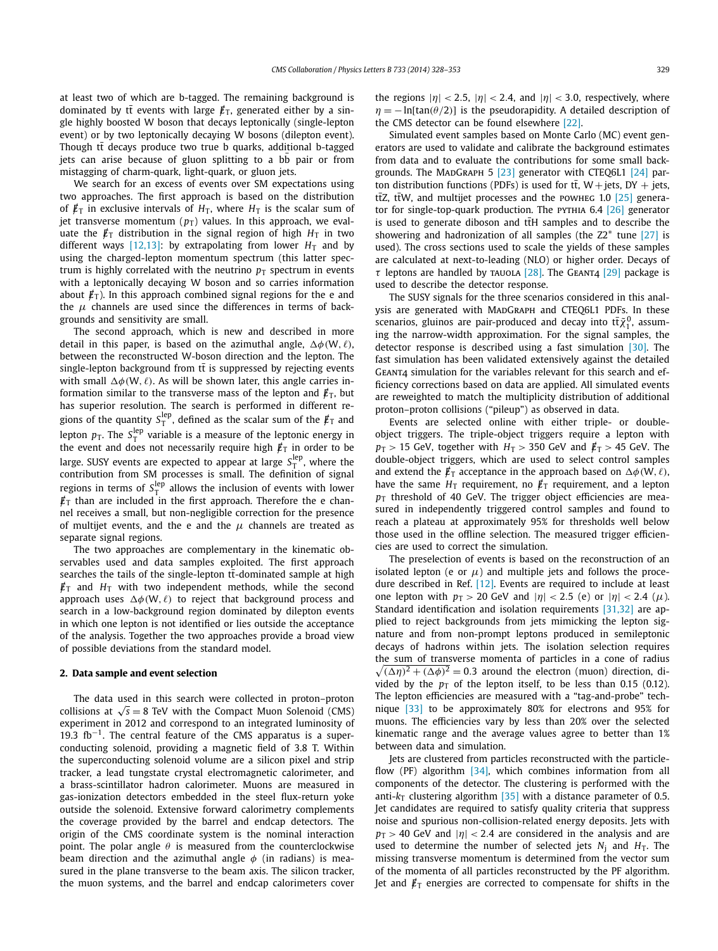<span id="page-1-0"></span>at least two of which are b-tagged. The remaining background is dominated by tt events with large  $\not{E}_T$ , generated either by a single highly boosted W boson that decays leptonically (single-lepton event) or by two leptonically decaying W bosons (dilepton event). Though tt decays produce two true b quarks, additional b-tagged jets can arise because of gluon splitting to a bb pair or from mistagging of charm-quark, light-quark, or gluon jets.

We search for an excess of events over SM expectations using two approaches. The first approach is based on the distribution of  $\cancel{E}_T$  in exclusive intervals of  $H_T$ , where  $H_T$  is the scalar sum of jet transverse momentum  $(p_T)$  values. In this approach, we evaluate the  $\rlap{\,/}E_T$  distribution in the signal region of high  $H_T$  in two different ways [\[12,13\]:](#page-10-0) by extrapolating from lower  $H_T$  and by using the charged-lepton momentum spectrum (this latter spectrum is highly correlated with the neutrino  $p<sub>T</sub>$  spectrum in events with a leptonically decaying W boson and so carries information about  $\cancel{E}_T$ ). In this approach combined signal regions for the e and the  $\mu$  channels are used since the differences in terms of backgrounds and sensitivity are small.

The second approach, which is new and described in more detail in this paper, is based on the azimuthal angle,  $\Delta\phi(W,\ell)$ , between the reconstructed W-boson direction and the lepton. The single-lepton background from  $t\bar{t}$  is suppressed by rejecting events with small  $\Delta\phi(W,\ell)$ . As will be shown later, this angle carries information similar to the transverse mass of the lepton and  $\rlap{\,/}E_T$ , but has superior resolution. The search is performed in different regions of the quantity  $S_T^{\text{lep}}$ , defined as the scalar sum of the  $\not\!\!E_T$  and lepton  $p_{\text{T}}$ . The  $S_{\text{T}}^{\text{lep}}$  variable is a measure of the leptonic energy in the event and does not necessarily require high  $\not\!\! E_T$  in order to be large. SUSY events are expected to appear at large  $S^{\text{lep}}_{\text{T}}$  , where the contribution from SM processes is small. The definition of signal regions in terms of  $S_T^{lep}$  allows the inclusion of events with lower  $\not\!\!E_T$  than are included in the first approach. Therefore the e channel receives a small, but non-negligible correction for the presence of multijet events, and the e and the  $\mu$  channels are treated as separate signal regions.

The two approaches are complementary in the kinematic observables used and data samples exploited. The first approach searches the tails of the single-lepton  $t\bar{t}$ -dominated sample at high  $\mathbf{E}_T$  and  $H_T$  with two independent methods, while the second approach uses  $\Delta\phi(W,\ell)$  to reject that background process and search in a low-background region dominated by dilepton events in which one lepton is not identified or lies outside the acceptance of the analysis. Together the two approaches provide a broad view of possible deviations from the standard model.

### **2. Data sample and event selection**

The data used in this search were collected in proton–proton collisions at  $\sqrt{s} = 8$  TeV with the Compact Muon Solenoid (CMS) experiment in 2012 and correspond to an integrated luminosity of 19.3 fb<sup>-1</sup>. The central feature of the CMS apparatus is a superconducting solenoid, providing a magnetic field of 3.8 T. Within the superconducting solenoid volume are a silicon pixel and strip tracker, a lead tungstate crystal electromagnetic calorimeter, and a brass-scintillator hadron calorimeter. Muons are measured in gas-ionization detectors embedded in the steel flux-return yoke outside the solenoid. Extensive forward calorimetry complements the coverage provided by the barrel and endcap detectors. The origin of the CMS coordinate system is the nominal interaction point. The polar angle  $\theta$  is measured from the counterclockwise beam direction and the azimuthal angle  $\phi$  (in radians) is measured in the plane transverse to the beam axis. The silicon tracker, the muon systems, and the barrel and endcap calorimeters cover the regions  $|\eta| < 2.5$ ,  $|\eta| < 2.4$ , and  $|\eta| < 3.0$ , respectively, where  $\eta = -\ln[\tan(\theta/2)]$  is the pseudorapidity. A detailed description of the CMS detector can be found elsewhere [\[22\].](#page-10-0)

Simulated event samples based on Monte Carlo (MC) event generators are used to validate and calibrate the background estimates from data and to evaluate the contributions for some small back-grounds. The MADGRAPH 5 [\[23\]](#page-10-0) generator with CTEQ6L1 [\[24\]](#page-10-0) parton distribution functions (PDFs) is used for  $t\bar{t}$ , W + jets, DY + jets, ttZ, ttW, and multijet processes and the POWHEG 1.0  $[25]$  generator for single-top-quark production. The PYTHIA  $6.4$  [\[26\]](#page-10-0) generator is used to generate diboson and  $t\bar{t}$ H samples and to describe the showering and hadronization of all samples (the Z2∗ tune [\[27\]](#page-10-0) is used). The cross sections used to scale the yields of these samples are calculated at next-to-leading (NLO) or higher order. Decays of *τ* leptons are handled by TAUOLA [\[28\].](#page-10-0) The GEANT4 [\[29\]](#page-10-0) package is used to describe the detector response.

The SUSY signals for the three scenarios considered in this analysis are generated with MADGRAPH and CTEQ6L1 PDFs. In these scenarios, gluinos are pair-produced and decay into  $t\bar{t}\tilde{\chi}_{1}^{0}$ , assuming the narrow-width approximation. For the signal samples, the detector response is described using a fast simulation [\[30\].](#page-10-0) The fast simulation has been validated extensively against the detailed GEANT4 simulation for the variables relevant for this search and efficiency corrections based on data are applied. All simulated events are reweighted to match the multiplicity distribution of additional proton–proton collisions ("pileup") as observed in data.

Events are selected online with either triple- or doubleobject triggers. The triple-object triggers require a lepton with  $p_T > 15$  GeV, together with  $H_T > 350$  GeV and  $\cancel{E}_T > 45$  GeV. The double-object triggers, which are used to select control samples and extend the  $\vec{E}_T$  acceptance in the approach based on  $\Delta \phi(W, \ell)$ , have the same  $H_T$  requirement, no  $\not\!\!E_T$  requirement, and a lepton  $p<sub>T</sub>$  threshold of 40 GeV. The trigger object efficiencies are measured in independently triggered control samples and found to reach a plateau at approximately 95% for thresholds well below those used in the offline selection. The measured trigger efficiencies are used to correct the simulation.

The preselection of events is based on the reconstruction of an isolated lepton (e or  $\mu$ ) and multiple jets and follows the procedure described in Ref.  $[12]$ . Events are required to include at least one lepton with  $p_T > 20$  GeV and  $|\eta| < 2.5$  (e) or  $|\eta| < 2.4$  ( $\mu$ ). Standard identification and isolation requirements [\[31,32\]](#page-10-0) are applied to reject backgrounds from jets mimicking the lepton signature and from non-prompt leptons produced in semileptonic decays of hadrons within jets. The isolation selection requires  $\sqrt{(\Delta \eta)^2 + (\Delta \phi)^2} = 0.3$  around the electron (muon) direction, dithe sum of transverse momenta of particles in a cone of radius vided by the  $p_T$  of the lepton itself, to be less than 0.15 (0.12). The lepton efficiencies are measured with a "tag-and-probe" technique [\[33\]](#page-10-0) to be approximately 80% for electrons and 95% for muons. The efficiencies vary by less than 20% over the selected kinematic range and the average values agree to better than 1% between data and simulation.

Jets are clustered from particles reconstructed with the particleflow (PF) algorithm  $[34]$ , which combines information from all components of the detector. The clustering is performed with the anti- $k<sub>T</sub>$  clustering algorithm [\[35\]](#page-10-0) with a distance parameter of 0.5. Jet candidates are required to satisfy quality criteria that suppress noise and spurious non-collision-related energy deposits. Jets with  $p_T > 40$  GeV and  $|\eta| < 2.4$  are considered in the analysis and are used to determine the number of selected jets  $N_i$  and  $H_T$ . The missing transverse momentum is determined from the vector sum of the momenta of all particles reconstructed by the PF algorithm. Jet and  $\sharp$ <sub>T</sub> energies are corrected to compensate for shifts in the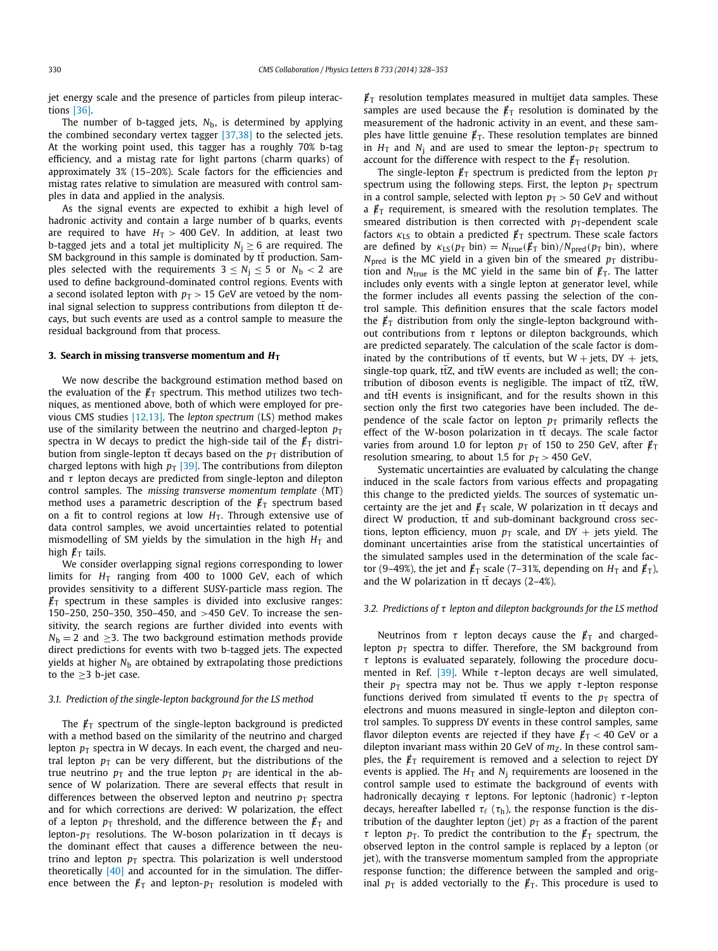<span id="page-2-0"></span>jet energy scale and the presence of particles from pileup interactions [\[36\].](#page-10-0)

The number of b-tagged jets, N<sub>b</sub>, is determined by applying the combined secondary vertex tagger [\[37,38\]](#page-10-0) to the selected jets. At the working point used, this tagger has a roughly 70% b-tag efficiency, and a mistag rate for light partons (charm quarks) of approximately 3% (15–20%). Scale factors for the efficiencies and mistag rates relative to simulation are measured with control samples in data and applied in the analysis.

As the signal events are expected to exhibit a high level of hadronic activity and contain a large number of b quarks, events are required to have  $H_T > 400$  GeV. In addition, at least two b-tagged jets and a total jet multiplicity  $N_i \geq 6$  are required. The SM background in this sample is dominated by  $t\bar{t}$  production. Samples selected with the requirements  $3 \le N_i \le 5$  or  $N_b \le 2$  are used to define background-dominated control regions. Events with a second isolated lepton with  $p<sub>T</sub> > 15$  GeV are vetoed by the nominal signal selection to suppress contributions from dilepton tt decays, but such events are used as a control sample to measure the residual background from that process.

### **3. Search in missing transverse momentum and** *H***<sup>T</sup>**

We now describe the background estimation method based on the evaluation of the  $\not{E}_T$  spectrum. This method utilizes two techniques, as mentioned above, both of which were employed for previous CMS studies [\[12,13\].](#page-10-0) The *lepton spectrum* (LS) method makes use of the similarity between the neutrino and charged-lepton  $p_T$ spectra in W decays to predict the high-side tail of the  $\not{E}_T$  distribution from single-lepton  $t\bar{t}$  decays based on the  $p<sub>T</sub>$  distribution of charged leptons with high  $p_T$  [\[39\].](#page-10-0) The contributions from dilepton and *τ* lepton decays are predicted from single-lepton and dilepton control samples. The *missing transverse momentum template* (MT) method uses a parametric description of the  $\not{E}_T$  spectrum based on a fit to control regions at low  $H<sub>T</sub>$ . Through extensive use of data control samples, we avoid uncertainties related to potential mismodelling of SM yields by the simulation in the high  $H<sub>T</sub>$  and high  $\not{E}_T$  tails.

We consider overlapping signal regions corresponding to lower limits for  $H_T$  ranging from 400 to 1000 GeV, each of which provides sensitivity to a different SUSY-particle mass region. The  $\cancel{E}_T$  spectrum in these samples is divided into exclusive ranges: 150–250, 250–350, 350–450, and *>*450 GeV. To increase the sensitivity, the search regions are further divided into events with  $N<sub>b</sub> = 2$  and  $\geq$ 3. The two background estimation methods provide direct predictions for events with two b-tagged jets. The expected yields at higher *N*<sub>b</sub> are obtained by extrapolating those predictions to the  $\geq$ 3 b-jet case.

#### *3.1. Prediction of the single-lepton background for the LS method*

The  $\cancel{E}_T$  spectrum of the single-lepton background is predicted with a method based on the similarity of the neutrino and charged lepton  $p_T$  spectra in W decays. In each event, the charged and neutral lepton  $p_T$  can be very different, but the distributions of the true neutrino  $p_T$  and the true lepton  $p_T$  are identical in the absence of W polarization. There are several effects that result in differences between the observed lepton and neutrino  $p<sub>T</sub>$  spectra and for which corrections are derived: W polarization, the effect of a lepton  $p<sub>T</sub>$  threshold, and the difference between the  $\not{E}<sub>T</sub>$  and lepton- $p_T$  resolutions. The W-boson polarization in  $t\bar{t}$  decays is the dominant effect that causes a difference between the neutrino and lepton  $p<sub>T</sub>$  spectra. This polarization is well understood theoretically  $[40]$  and accounted for in the simulation. The difference between the  $\not{E}_T$  and lepton- $p_T$  resolution is modeled with  $\not\!\!E$ <sub>T</sub> resolution templates measured in multijet data samples. These samples are used because the  $\not{E}_T$  resolution is dominated by the measurement of the hadronic activity in an event, and these samples have little genuine  $\not{E}_T$ . These resolution templates are binned in  $H_T$  and  $N_i$  and are used to smear the lepton- $p_T$  spectrum to account for the difference with respect to the  $\not\!\!E_T$  resolution.

The single-lepton  $\sharp$ <sub>T</sub> spectrum is predicted from the lepton  $p_T$ spectrum using the following steps. First, the lepton  $p<sub>T</sub>$  spectrum in a control sample, selected with lepton  $p<sub>T</sub>$  > 50 GeV and without a  $\not{E}_T$  requirement, is smeared with the resolution templates. The smeared distribution is then corrected with  $p_T$ -dependent scale factors  $κ$ <sub>LS</sub> to obtain a predicted  $\not$ *E*<sub>T</sub> spectrum. These scale factors are defined by  $\kappa_{LS}(p_T \text{ bin}) = N_{true}(\not{E}_T \text{ bin})/N_{pred}(p_T \text{ bin})$ , where  $N_{\text{pred}}$  is the MC yield in a given bin of the smeared  $p_{\text{T}}$  distribution and  $N_{true}$  is the MC yield in the same bin of  $\not{E}_T$ . The latter includes only events with a single lepton at generator level, while the former includes all events passing the selection of the control sample. This definition ensures that the scale factors model the  $\not{E}_T$  distribution from only the single-lepton background without contributions from  $\tau$  leptons or dilepton backgrounds, which are predicted separately. The calculation of the scale factor is dominated by the contributions of  $t\bar{t}$  events, but W + jets, DY + jets, single-top quark,  $t\bar{t}Z$ , and  $t\bar{t}W$  events are included as well; the contribution of diboson events is negligible. The impact of  $t\bar{t}Z$ ,  $t\bar{t}W$ , and ttH events is insignificant, and for the results shown in this section only the first two categories have been included. The dependence of the scale factor on lepton  $p_T$  primarily reflects the effect of the W-boson polarization in  $t\bar{t}$  decays. The scale factor varies from around 1.0 for lepton  $p<sub>T</sub>$  of 150 to 250 GeV, after  $\not\!\!E_T$ resolution smearing, to about 1.5 for  $p_T > 450$  GeV.

Systematic uncertainties are evaluated by calculating the change induced in the scale factors from various effects and propagating this change to the predicted yields. The sources of systematic uncertainty are the jet and  $\not{E}_T$  scale, W polarization in tt decays and direct W production,  $t\bar{t}$  and sub-dominant background cross sections, lepton efficiency, muon  $p_T$  scale, and DY + jets yield. The dominant uncertainties arise from the statistical uncertainties of the simulated samples used in the determination of the scale factor (9–49%), the jet and  $\cancel{E}_T$  scale (7–31%, depending on  $H_T$  and  $\cancel{E}_T$ ), and the W polarization in  $t\bar{t}$  decays (2–4%).

### *3.2. Predictions of τ lepton and dilepton backgrounds for the LS method*

Neutrinos from  $\tau$  lepton decays cause the  $\not{E}_T$  and chargedlepton  $p_T$  spectra to differ. Therefore, the SM background from *τ* leptons is evaluated separately, following the procedure documented in Ref. [\[39\].](#page-10-0) While *τ* -lepton decays are well simulated, their  $p_T$  spectra may not be. Thus we apply  $\tau$ -lepton response functions derived from simulated  $t\bar{t}$  events to the  $p_T$  spectra of electrons and muons measured in single-lepton and dilepton control samples. To suppress DY events in these control samples, same flavor dilepton events are rejected if they have  $\not\!\!E_T$  < 40 GeV or a dilepton invariant mass within 20 GeV of  $m_Z$ . In these control samples, the  $\vec{\ell}_{\text{T}}$  requirement is removed and a selection to reject DY events is applied. The  $H_T$  and  $N_i$  requirements are loosened in the control sample used to estimate the background of events with hadronically decaying *τ* leptons. For leptonic (hadronic) *τ* -lepton decays, hereafter labelled  $\tau_{\ell}$  ( $\tau_{h}$ ), the response function is the distribution of the daughter lepton (jet)  $p<sub>T</sub>$  as a fraction of the parent *τ* lepton  $p<sub>T</sub>$ . To predict the contribution to the  $\not{E}<sub>T</sub>$  spectrum, the observed lepton in the control sample is replaced by a lepton (or jet), with the transverse momentum sampled from the appropriate response function; the difference between the sampled and original  $p_T$  is added vectorially to the  $\not{E}_T$ . This procedure is used to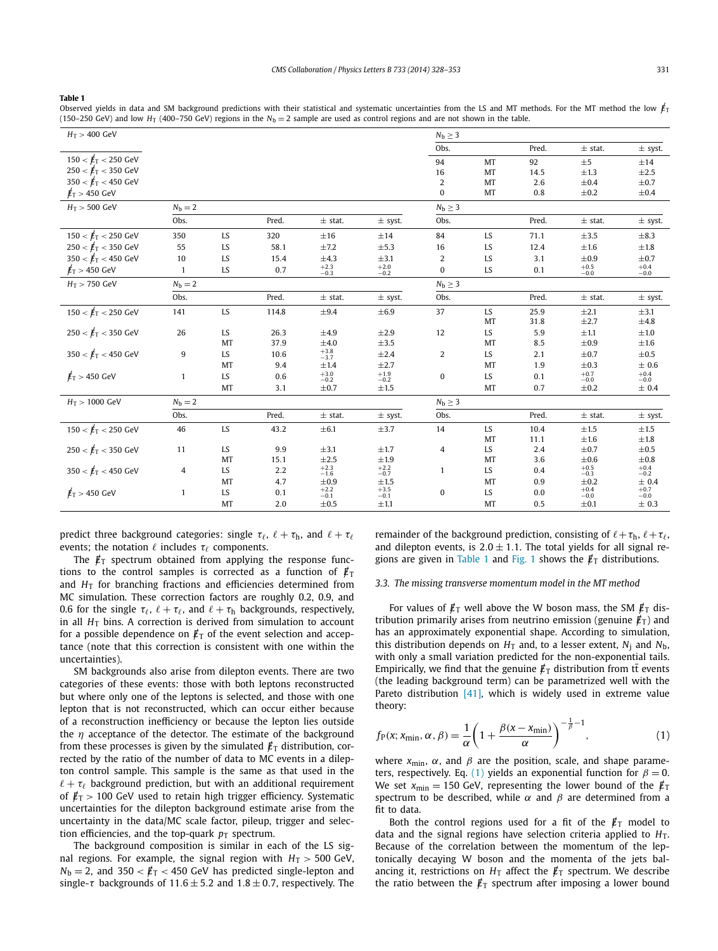<span id="page-3-0"></span>Observed yields in data and SM background predictions with their statistical and systematic uncertainties from the LS and MT methods. For the MT method the low  $f_T$ (150–250 GeV) and low  $H_T$  (400–750 GeV) regions in the  $N_b = 2$  sample are used as control regions and are not shown in the table.

| $H_T > 400$ GeV                         |                 |    |       |                    |                           | $N_{\rm b} \geq 3$ |    |       |                           |                           |
|-----------------------------------------|-----------------|----|-------|--------------------|---------------------------|--------------------|----|-------|---------------------------|---------------------------|
|                                         |                 |    |       |                    |                           | Obs.               |    | Pred. | $±$ stat.                 | $±$ syst.                 |
| $150 < \not{E}_T < 250 \text{ GeV}$     |                 |    |       |                    |                           | 94                 | MT | 92    | $\pm$ 5                   | ±14                       |
| $250 < \cancel{E}_T < 350$ GeV          |                 |    |       |                    |                           | 16                 | MT | 14.5  | $\pm 1.3$                 | $\pm 2.5$                 |
| $350 < \not{E}_T < 450 \text{ GeV}$     |                 |    |       |                    |                           | 2                  | MT | 2.6   | $\pm 0.4$                 | $\pm 0.7$                 |
| $E_T > 450$ GeV                         |                 |    |       |                    |                           | $\Omega$           | MT | 0.8   | $\pm 0.2$                 | $\pm 0.4$                 |
| $H_T > 500 \text{ GeV}$                 | $N_{\rm h} = 2$ |    |       |                    |                           | $N_{\rm b} \geq 3$ |    |       |                           |                           |
|                                         | Obs.            |    | Pred. | $±$ stat.          | $±$ syst.                 | Obs.               |    | Pred. | $±$ stat.                 | $±$ syst.                 |
| $150 < \not{E}_T < 250 \text{ GeV}$     | 350             | LS | 320   | ±16                | ±14                       | 84                 | LS | 71.1  | $\pm 3.5$                 | $\pm 8.3$                 |
| $250 < \not \! \! E_T < 350~{\rm GeV}$  | 55              | LS | 58.1  | ±7.2               | $\pm$ 5.3                 | 16                 | LS | 12.4  | ±1.6                      | ±1.8                      |
| $350 < \not{E}_T < 450 \text{ GeV}$     | 10              | LS | 15.4  | $\pm 4.3$          | $\pm 3.1$                 | $\overline{2}$     | LS | 3.1   | $\pm 0.9$                 | $\pm 0.7$                 |
| $E_T > 450$ GeV                         | $\mathbf{1}$    | LS | 0.7   | $+2.3$<br>$-0.3$   | $^{+2.0}_{-0.2}$          | $\bf{0}$           | LS | 0.1   | $+0.5$<br>$-0.0$          | $+0.4$<br>$-0.0$          |
| $H_T > 750$ GeV                         | $N_{\rm b}=2$   |    |       | $N_{\rm b} \geq 3$ |                           |                    |    |       |                           |                           |
|                                         | Obs.            |    | Pred. | $±$ stat.          | $±$ syst.                 | Obs.               |    | Pred. | $±$ stat.                 | $±$ syst.                 |
| $150 < \cancel{E}_T < 250 \text{ GeV}$  | 141             | LS | 114.8 | $\pm 9.4$          | $\pm 6.9$                 | 37                 | LS | 25.9  | $\pm 2.1$                 | $\pm 3.1$                 |
|                                         |                 |    |       |                    |                           |                    | MT | 31.8  | $\pm 2.7$                 | $\pm 4.8$                 |
| $250 < \not \! \! E_T < 350~{\rm GeV}$  | 26              | LS | 26.3  | $\pm 4.9$          | $\pm 2.9$                 | 12                 | LS | 5.9   | $\pm 1.1$                 | $\pm 1.0$                 |
|                                         |                 | MT | 37.9  | $\pm 4.0$          | $\pm 3.5$                 |                    | MT | 8.5   | $\pm 0.9$                 | $\pm 1.6$                 |
| $350 < \not \! \! E_T < 450~{\rm GeV}$  | 9               | LS | 10.6  | $+3.8$<br>$-3.7$   | $\pm 2.4$                 | $\overline{c}$     | LS | 2.1   | $\pm 0.7$                 | $\pm 0.5$                 |
|                                         |                 | MT | 9.4   | ±1.4               | $\pm 2.7$                 |                    | MT | 1.9   | $\pm 0.3$                 | ± 0.6                     |
| $\cancel{E_T}$ > 450 GeV                | $\mathbf{1}$    | LS | 0.6   | $+3.0$<br>$-0.2$   | $\substack{+1.9 \\ -0.2}$ | $\pmb{0}$          | LS | 0.1   | $+0.7$<br>$-0.0$          | $\substack{+0.4 \\ -0.0}$ |
|                                         |                 | MT | 3.1   | $\pm 0.7$          | ±1.5                      |                    | MT | 0.7   | $\pm 0.2$                 | ± 0.4                     |
| $H_T > 1000$ GeV                        | $Nb = 2$        |    |       |                    |                           | $N_{\rm b} \geq 3$ |    |       |                           |                           |
|                                         | Obs.            |    | Pred. | $±$ stat.          | $±$ syst.                 | Obs.               |    | Pred. | $±$ stat.                 | $±$ syst.                 |
| $150 < \cancel{E}_T < 250 \text{ GeV}$  | 46              | LS | 43.2  | $\pm 6.1$          | $\pm$ 3.7                 | 14                 | LS | 10.4  | ±1.5                      | $\pm 1.5$                 |
|                                         |                 |    |       |                    |                           |                    | MT | 11.1  | $\pm 1.6$                 | ±1.8                      |
| $250 < \not \! \! E_T < 350~\text{GeV}$ | 11              | LS | 9.9   | $\pm 3.1$          | $\pm 1.7$                 | 4                  | LS | 2.4   | $\pm 0.7$                 | $\pm 0.5$                 |
|                                         |                 | MT | 15.1  | $\pm 2.5$          | ±1.9                      |                    | MT | 3.6   | $\pm 0.6$                 | $\pm 0.8$                 |
| $350 < \cancel{E}_T < 450 \text{ GeV}$  | 4               | LS | 2.2   | $+2.3$<br>$-1.6$   | $^{+2.2}_{-0.7}$          | 1                  | LS | 0.4   | $^{+0.5}_{-0.3}$          | $+0.4$<br>-0.2            |
|                                         |                 | MT | 4.7   | $\pm 0.9$          | ±1.5                      |                    | MT | 0.9   | $\pm 0.2$                 | ± 0.4                     |
| $\n  fT > 450 GeV$                      | $\mathbf{1}$    | LS | 0.1   | $+2.2 -0.1$        | $+3.5$<br>-0.1            | 0                  | LS | 0.0   | $\substack{+0.4 \\ -0.0}$ | $^{+0.7}_{-0.0}$          |
|                                         |                 | MT | 2.0   | $\pm 0.5$          | ±1.1                      |                    | MT | 0.5   | $\pm 0.1$                 | ± 0.3                     |

predict three background categories: single  $\tau_{\ell}$ ,  $\ell + \tau_{\rm h}$ , and  $\ell + \tau_{\ell}$ events; the notation  $\ell$  includes  $\tau_\ell$  components.

The  $\vec{E}_T$  spectrum obtained from applying the response functions to the control samples is corrected as a function of  $\not \! \! E_T$ and  $H<sub>T</sub>$  for branching fractions and efficiencies determined from MC simulation. These correction factors are roughly 0.2, 0.9, and 0.6 for the single  $\tau_{\ell}$ ,  $\ell + \tau_{\ell}$ , and  $\ell + \tau_{\rm h}$  backgrounds, respectively, in all  $H<sub>T</sub>$  bins. A correction is derived from simulation to account for a possible dependence on  $\not{E}_T$  of the event selection and acceptance (note that this correction is consistent with one within the uncertainties).

SM backgrounds also arise from dilepton events. There are two categories of these events: those with both leptons reconstructed but where only one of the leptons is selected, and those with one lepton that is not reconstructed, which can occur either because of a reconstruction inefficiency or because the lepton lies outside the *η* acceptance of the detector. The estimate of the background from these processes is given by the simulated  $\rlap{\,/}E_T$  distribution, corrected by the ratio of the number of data to MC events in a dilepton control sample. This sample is the same as that used in the  $\ell + \tau_{\ell}$  background prediction, but with an additional requirement of  $/\,\llap E_T$  > 100 GeV used to retain high trigger efficiency. Systematic uncertainties for the dilepton background estimate arise from the uncertainty in the data/MC scale factor, pileup, trigger and selection efficiencies, and the top-quark  $p_T$  spectrum.

The background composition is similar in each of the LS signal regions. For example, the signal region with  $H_T > 500$  GeV,  $N_b = 2$ , and 350  $\lt \cancel{\#_T}$   $\lt$  450 GeV has predicted single-lepton and single-*τ* backgrounds of 11*.*<sup>6</sup> ± <sup>5</sup>*.*2 and 1*.*<sup>8</sup> ± <sup>0</sup>*.*7, respectively. The remainder of the background prediction, consisting of  $\ell + \tau_h$ ,  $\ell + \tau_\ell$ , and dilepton events, is  $2.0 \pm 1.1$ . The total yields for all signal re-gions are given in Table 1 and [Fig. 1](#page-4-0) shows the  $\not\!\!E_T$  distributions.

#### *3.3. The missing transverse momentum model in the MT method*

For values of  $\rlap{\,/}E_T$  well above the W boson mass, the SM  $\rlap{\,/}E_T$  distribution primarily arises from neutrino emission (genuine  $\vec{F}_{\text{T}}$ ) and has an approximately exponential shape. According to simulation, this distribution depends on  $H_T$  and, to a lesser extent,  $N_i$  and  $N_b$ , with only a small variation predicted for the non-exponential tails. Empirically, we find that the genuine  $\rlap{\,/}E_T$  distribution from tt events (the leading background term) can be parametrized well with the Pareto distribution [\[41\],](#page-10-0) which is widely used in extreme value theory:

$$
f_{\rm P}(x; x_{\rm min}, \alpha, \beta) = \frac{1}{\alpha} \left( 1 + \frac{\beta(x - x_{\rm min})}{\alpha} \right)^{-\frac{1}{\beta} - 1},\tag{1}
$$

where  $x_{\text{min}}$ ,  $\alpha$ , and  $\beta$  are the position, scale, and shape parameters, respectively. Eq. (1) yields an exponential function for  $\beta = 0$ . We set  $x_{\text{min}} = 150$  GeV, representing the lower bound of the  $\not\!\!E_T$ spectrum to be described, while  $\alpha$  and  $\beta$  are determined from a fit to data.

Both the control regions used for a fit of the  $\not{E}_T$  model to data and the signal regions have selection criteria applied to  $H_T$ . Because of the correlation between the momentum of the leptonically decaying W boson and the momenta of the jets balancing it, restrictions on  $H_T$  affect the  $\not{E}_T$  spectrum. We describe the ratio between the  $\cancel{E}_T$  spectrum after imposing a lower bound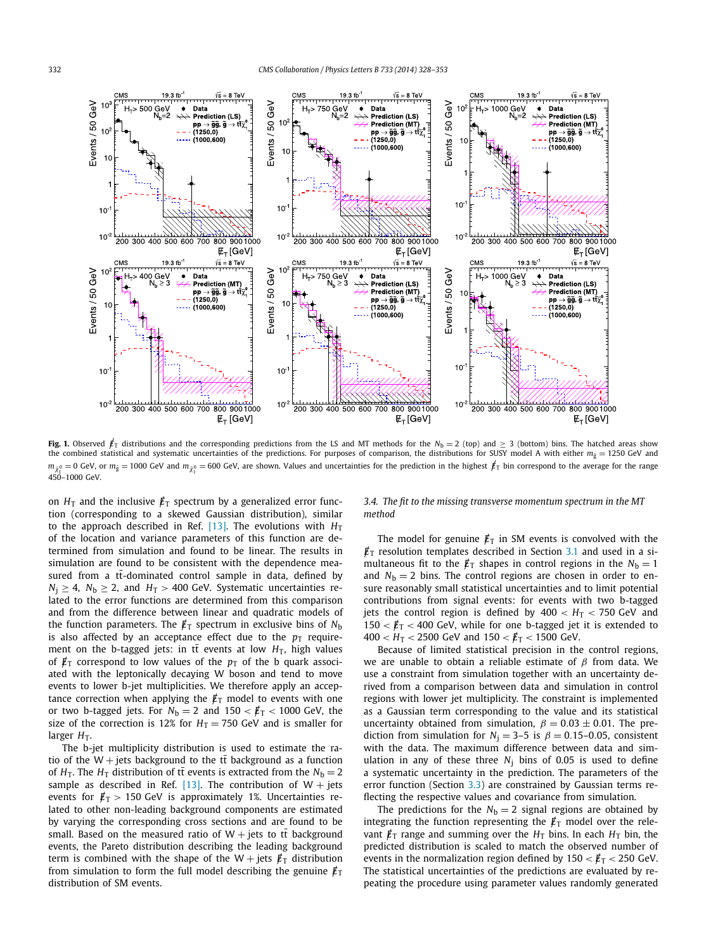<span id="page-4-0"></span>

**Fig. 1.** Observed  $\cancel{E}_T$  distributions and the corresponding predictions from the LS and MT methods for the  $N_b = 2$  (top) and  $\geq 3$  (bottom) bins. The hatched areas show the combined statistical and systematic uncertainties of the predictions. For purposes of comparison, the distributions for SUSY model A with either  $m_{\tilde{g}} = 1250$  GeV and  $m_{\tilde{\chi}^0_1}=$  0 GeV, or  $m_{\tilde{g}}=$  1000 GeV and  $m_{\tilde{\chi}^0_1}=$  600 GeV, are shown. Values and uncertainties for the prediction in the highest  $\not\!_{\rm T}$  bin correspond to the average for the range 1 450–1000 GeV.

on  $H_T$  and the inclusive  $\not{E}_T$  spectrum by a generalized error function (corresponding to a skewed Gaussian distribution), similar to the approach described in Ref. [\[13\].](#page-10-0) The evolutions with  $H<sub>T</sub>$ of the location and variance parameters of this function are determined from simulation and found to be linear. The results in simulation are found to be consistent with the dependence measured from a tt-dominated control sample in data, defined by  $N_1 \geq 4$ ,  $N_b \geq 2$ , and  $H_T > 400$  GeV. Systematic uncertainties related to the error functions are determined from this comparison and from the difference between linear and quadratic models of the function parameters. The  $\vec{E}_T$  spectrum in exclusive bins of  $N_b$ is also affected by an acceptance effect due to the  $p_T$  requirement on the b-tagged jets: in  $t\bar{t}$  events at low  $H<sub>T</sub>$ , high values of  $\cancel{E}_T$  correspond to low values of the  $p_T$  of the b quark associated with the leptonically decaying W boson and tend to move events to lower b-jet multiplicities. We therefore apply an acceptance correction when applying the  $\not{E}_T$  model to events with one or two b-tagged jets. For  $N<sub>b</sub> = 2$  and  $150 < \not{E_T} < 1000$  GeV, the size of the correction is 12% for  $H_T = 750$  GeV and is smaller for larger  $H<sub>T</sub>$ .

The b-jet multiplicity distribution is used to estimate the ratio of the W + jets background to the  $t\bar{t}$  background as a function of  $H_T$ . The  $H_T$  distribution of tt events is extracted from the  $N_b = 2$ sample as described in Ref. [\[13\].](#page-10-0) The contribution of  $W +$  jets events for  $\cancel{E}_T > 150$  GeV is approximately 1%. Uncertainties related to other non-leading background components are estimated by varying the corresponding cross sections and are found to be small. Based on the measured ratio of  $W + j$ ets to tt background events, the Pareto distribution describing the leading background term is combined with the shape of the  $W + jets$   $\not\!{E}_T$  distribution from simulation to form the full model describing the genuine  $\rlap{\,/}E_T$ distribution of SM events.

*3.4. The fit to the missing transverse momentum spectrum in the MT method*

The model for genuine  $\not{E}_T$  in SM events is convolved with the  $\not\!\!E$ <sub>T</sub> resolution templates described in Section [3.1](#page-2-0) and used in a simultaneous fit to the  $\not{E}_T$  shapes in control regions in the  $N_b = 1$ and  $N_b = 2$  bins. The control regions are chosen in order to ensure reasonably small statistical uncertainties and to limit potential contributions from signal events: for events with two b-tagged jets the control region is defined by  $400 < H<sub>T</sub> < 750$  GeV and  $150 < \not{E}_T < 400$  GeV, while for one b-tagged jet it is extended to  $400 < H_T < 2500$  GeV and  $150 < \cancel{E}_T < 1500$  GeV.

Because of limited statistical precision in the control regions, we are unable to obtain a reliable estimate of *β* from data. We use a constraint from simulation together with an uncertainty derived from a comparison between data and simulation in control regions with lower jet multiplicity. The constraint is implemented as a Gaussian term corresponding to the value and its statistical uncertainty obtained from simulation,  $\beta = 0.03 \pm 0.01$ . The prediction from simulation for  $N_i = 3-5$  is  $\beta = 0.15-0.05$ , consistent with the data. The maximum difference between data and simulation in any of these three  $N_i$  bins of 0.05 is used to define a systematic uncertainty in the prediction. The parameters of the error function (Section [3.3\)](#page-3-0) are constrained by Gaussian terms reflecting the respective values and covariance from simulation.

The predictions for the  $N_b = 2$  signal regions are obtained by integrating the function representing the  $\not{E}_T$  model over the relevant  $\not{E}_T$  range and summing over the  $H_T$  bins. In each  $H_T$  bin, the predicted distribution is scaled to match the observed number of events in the normalization region defined by  $150 < \not{E}_T < 250$  GeV. The statistical uncertainties of the predictions are evaluated by repeating the procedure using parameter values randomly generated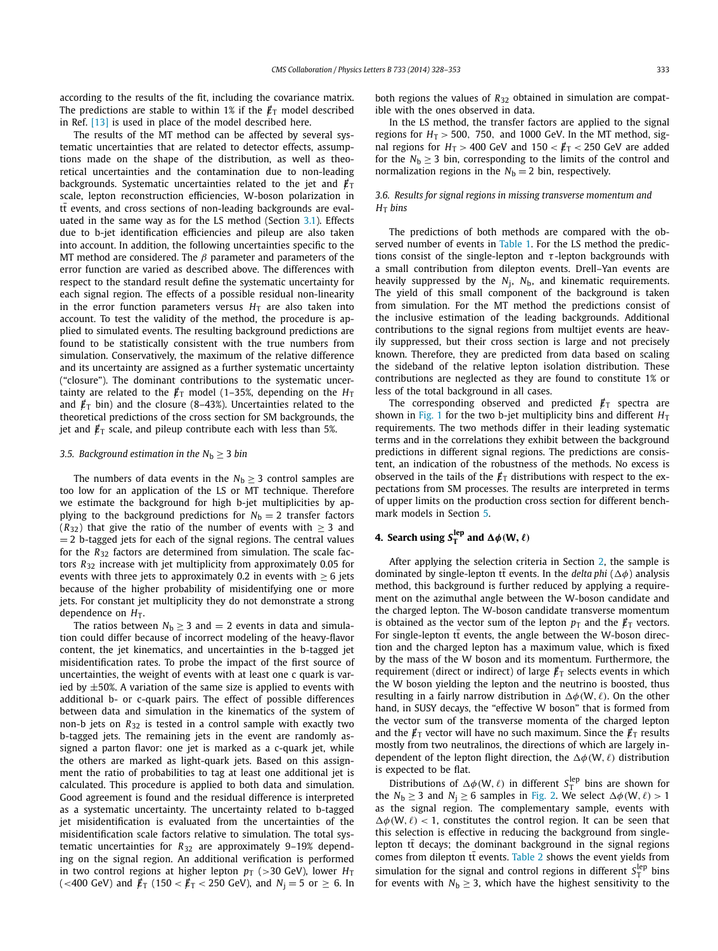<span id="page-5-0"></span>according to the results of the fit, including the covariance matrix. The predictions are stable to within 1% if the  $\not\!\!E_T$  model described in Ref. [\[13\]](#page-10-0) is used in place of the model described here.

The results of the MT method can be affected by several systematic uncertainties that are related to detector effects, assumptions made on the shape of the distribution, as well as theoretical uncertainties and the contamination due to non-leading backgrounds. Systematic uncertainties related to the jet and  $\vec{E}_{\text{T}}$ scale, lepton reconstruction efficiencies, W-boson polarization in tt events, and cross sections of non-leading backgrounds are evaluated in the same way as for the LS method (Section [3.1\)](#page-2-0). Effects due to b-jet identification efficiencies and pileup are also taken into account. In addition, the following uncertainties specific to the MT method are considered. The *β* parameter and parameters of the error function are varied as described above. The differences with respect to the standard result define the systematic uncertainty for each signal region. The effects of a possible residual non-linearity in the error function parameters versus  $H<sub>T</sub>$  are also taken into account. To test the validity of the method, the procedure is applied to simulated events. The resulting background predictions are found to be statistically consistent with the true numbers from simulation. Conservatively, the maximum of the relative difference and its uncertainty are assigned as a further systematic uncertainty ("closure"). The dominant contributions to the systematic uncertainty are related to the  $\not{E}_T$  model (1-35%, depending on the  $H_T$ and  $\cancel{\pounds}_{T}$  bin) and the closure (8-43%). Uncertainties related to the theoretical predictions of the cross section for SM backgrounds, the jet and  $\cancel{E}_T$  scale, and pileup contribute each with less than 5%.

### *3.5. Background estimation in the*  $N_b \geq 3$  *bin*

The numbers of data events in the  $N_b \geq 3$  control samples are too low for an application of the LS or MT technique. Therefore we estimate the background for high b-jet multiplicities by applying to the background predictions for  $N_b = 2$  transfer factors  $(R_{32})$  that give the ratio of the number of events with  $\geq 3$  and  $= 2$  b-tagged jets for each of the signal regions. The central values for the *R*<sub>32</sub> factors are determined from simulation. The scale factors *R*<sup>32</sup> increase with jet multiplicity from approximately 0.05 for events with three jets to approximately 0.2 in events with  $\geq 6$  jets because of the higher probability of misidentifying one or more jets. For constant jet multiplicity they do not demonstrate a strong dependence on  $H<sub>T</sub>$ .

The ratios between  $N_b \geq 3$  and  $= 2$  events in data and simulation could differ because of incorrect modeling of the heavy-flavor content, the jet kinematics, and uncertainties in the b-tagged jet misidentification rates. To probe the impact of the first source of uncertainties, the weight of events with at least one c quark is varied by  $\pm$ 50%. A variation of the same size is applied to events with additional b- or c-quark pairs. The effect of possible differences between data and simulation in the kinematics of the system of non-b jets on *R*<sup>32</sup> is tested in a control sample with exactly two b-tagged jets. The remaining jets in the event are randomly assigned a parton flavor: one jet is marked as a c-quark jet, while the others are marked as light-quark jets. Based on this assignment the ratio of probabilities to tag at least one additional jet is calculated. This procedure is applied to both data and simulation. Good agreement is found and the residual difference is interpreted as a systematic uncertainty. The uncertainty related to b-tagged jet misidentification is evaluated from the uncertainties of the misidentification scale factors relative to simulation. The total systematic uncertainties for *R*<sup>32</sup> are approximately 9–19% depending on the signal region. An additional verification is performed in two control regions at higher lepton  $p_T$  (>30 GeV), lower  $H_T$ ( $\lt$ 400 GeV) and  $\cancel{\textbf{E}}_T$  (150  $\lt$   $\cancel{\textbf{E}}_T$   $\lt$  250 GeV), and  $N_i = 5$  or  $\geq 6$ . In both regions the values of  $R_{32}$  obtained in simulation are compatible with the ones observed in data.

In the LS method, the transfer factors are applied to the signal regions for  $H_T > 500$ , 750, and 1000 GeV. In the MT method, signal regions for  $H_T > 400$  GeV and  $150 < \not{E}_T < 250$  GeV are added for the  $N_b \geq 3$  bin, corresponding to the limits of the control and normalization regions in the  $N_b = 2$  bin, respectively.

### *3.6. Results for signal regions in missing transverse momentum and H*<sup>T</sup> *bins*

The predictions of both methods are compared with the ob-served number of events in [Table 1.](#page-3-0) For the LS method the predictions consist of the single-lepton and *τ* -lepton backgrounds with a small contribution from dilepton events. Drell–Yan events are heavily suppressed by the  $N_i$ ,  $N_b$ , and kinematic requirements. The yield of this small component of the background is taken from simulation. For the MT method the predictions consist of the inclusive estimation of the leading backgrounds. Additional contributions to the signal regions from multijet events are heavily suppressed, but their cross section is large and not precisely known. Therefore, they are predicted from data based on scaling the sideband of the relative lepton isolation distribution. These contributions are neglected as they are found to constitute 1% or less of the total background in all cases.

The corresponding observed and predicted  $\vec{E}_T$  spectra are shown in [Fig. 1](#page-4-0) for the two b-jet multiplicity bins and different  $H<sub>T</sub>$ requirements. The two methods differ in their leading systematic terms and in the correlations they exhibit between the background predictions in different signal regions. The predictions are consistent, an indication of the robustness of the methods. No excess is observed in the tails of the  $\not{E}_T$  distributions with respect to the expectations from SM processes. The results are interpreted in terms of upper limits on the production cross section for different benchmark models in Section [5.](#page-7-0)

# **4.** Search using  $S_T^{lep}$  and  $\Delta \phi(W, \ell)$

After applying the selection criteria in Section [2,](#page-1-0) the sample is dominated by single-lepton tt events. In the *delta phi* ( $\Delta\phi$ ) analysis method, this background is further reduced by applying a requirement on the azimuthal angle between the W-boson candidate and the charged lepton. The W-boson candidate transverse momentum is obtained as the vector sum of the lepton  $p<sub>T</sub>$  and the  $\not{\pounds}_{T}$  vectors. For single-lepton  $t\bar{t}$  events, the angle between the W-boson direction and the charged lepton has a maximum value, which is fixed by the mass of the W boson and its momentum. Furthermore, the requirement (direct or indirect) of large  $\not{E}_T$  selects events in which the W boson yielding the lepton and the neutrino is boosted, thus resulting in a fairly narrow distribution in  $\Delta\phi(W,\ell)$ . On the other hand, in SUSY decays, the "effective W boson" that is formed from the vector sum of the transverse momenta of the charged lepton and the  $\vec{E}_T$  vector will have no such maximum. Since the  $\vec{E}_T$  results mostly from two neutralinos, the directions of which are largely independent of the lepton flight direction, the  $\Delta\phi(W,\ell)$  distribution is expected to be flat.

Distributions of  $\Delta\phi(W,\ell)$  in different  $S_T^{\text{lep}}$  bins are shown for the  $N_b \ge 3$  and  $N_j \ge 6$  samples in [Fig. 2.](#page-6-0) We select  $\Delta \phi(W, \ell) > 1$ as the signal region. The complementary sample, events with  $\Delta\phi$ (W,  $\ell$ ) < 1, constitutes the control region. It can be seen that this selection is effective in reducing the background from singlelepton  $t\bar{t}$  decays; the dominant background in the signal regions comes from dilepton  $t\bar{t}$  events. [Table 2](#page-6-0) shows the event yields from simulation for the signal and control regions in different  $S_T^{\text{lep}}$  bins for events with  $N_b \geq 3$ , which have the highest sensitivity to the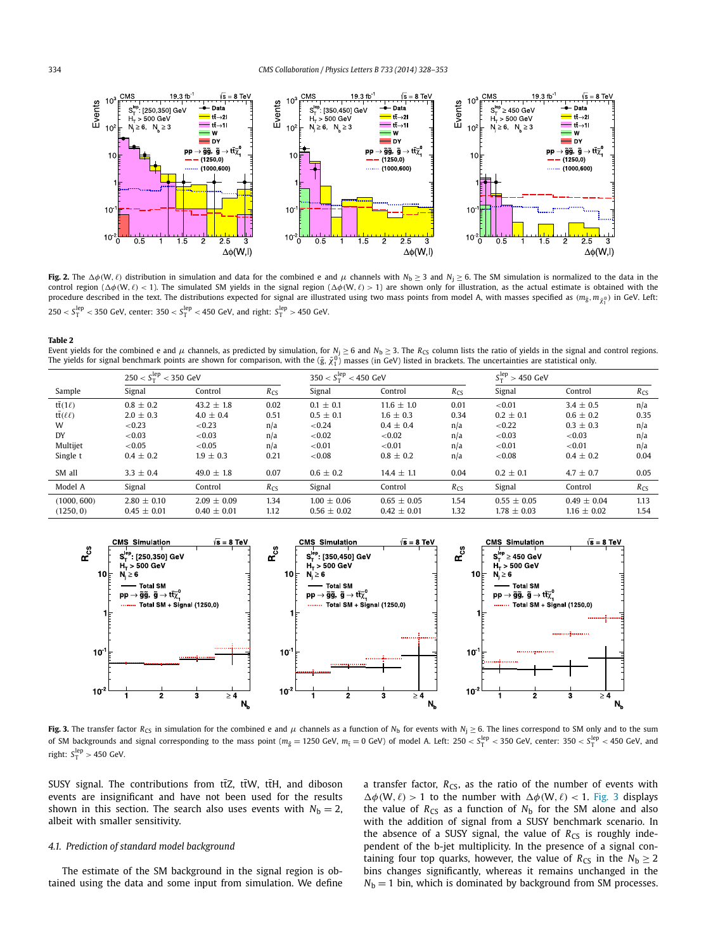<span id="page-6-0"></span>

**Fig. 2.** The  $\Delta\phi(W,\ell)$  distribution in simulation and data for the combined e and  $\mu$  channels with  $N_b \geq 3$  and  $N_j \geq 6$ . The SM simulation is normalized to the data in the simulation  $(\Delta\phi(W,\ell) < 1)$ . The simulated S procedure described in the text. The distributions expected for signal are illustrated using two mass points from model A, with masses specified as  $(m_{\tilde g},m_{\tilde{\chi}^0_1})$  in GeV. Left:  $250 < S_{\rm T}^{\rm lep} < 350$  GeV, center:  $350 < S_{\rm T}^{\rm lep} < 450$  GeV, and right:  $S_{\rm T}^{\rm lep} > 450$  GeV.

Event yields for the combined e and  $\mu$  channels, as predicted by simulation, for *N*<sub>j</sub> ≥ 6 and *N*<sub>b</sub> ≥ 3. The *R*<sub>CS</sub> column lists the ratio of yields in the signal and control regions. The yields for signal benchmark points are shown for comparison, with the (ğ,  $\tilde{\chi}^0_1$ ) masses (in GeV) listed in brackets. The uncertainties are statistical only.

|                        | $250 < S_{\rm T}^{\rm lep} < 350$ GeV |                 |          | $350 < S_{\rm T}^{\rm lep} < 450$ GeV |                 |          | $S_{\rm r}^{\rm lep}$ > 450 GeV |                 |          |
|------------------------|---------------------------------------|-----------------|----------|---------------------------------------|-----------------|----------|---------------------------------|-----------------|----------|
| Sample                 | Signal                                | Control         | $R_{CS}$ | Signal                                | Control         | $R_{CS}$ | Signal                          | Control         | $R_{CS}$ |
| $t\overline{t}(1\ell)$ | $0.8 \pm 0.2$                         | $43.2 \pm 1.8$  | 0.02     | $0.1 \pm 0.1$                         | $11.6 + 1.0$    | 0.01     | < 0.01                          | $3.4 \pm 0.5$   | n/a      |
| $t\bar{t}(\ell\ell)$   | $2.0 \pm 0.3$                         | $4.0 \pm 0.4$   | 0.51     | $0.5 \pm 0.1$                         | $1.6 \pm 0.3$   | 0.34     | $0.2 \pm 0.1$                   | $0.6 \pm 0.2$   | 0.35     |
| W                      | < 0.23                                | < 0.23          | n/a      | < 0.24                                | $0.4 \pm 0.4$   | n/a      | < 0.22                          | $0.3 \pm 0.3$   | n/a      |
| DY                     | < 0.03                                | < 0.03          | n/a      | < 0.02                                | < 0.02          | n/a      | < 0.03                          | < 0.03          | n/a      |
| Multijet               | < 0.05                                | < 0.05          | n/a      | < 0.01                                | < 0.01          | n/a      | < 0.01                          | < 0.01          | n/a      |
| Single t               | $0.4 \pm 0.2$                         | $1.9 \pm 0.3$   | 0.21     | < 0.08                                | $0.8 \pm 0.2$   | n/a      | < 0.08                          | $0.4 \pm 0.2$   | 0.04     |
| SM all                 | $3.3 \pm 0.4$                         | $49.0 \pm 1.8$  | 0.07     | $0.6 \pm 0.2$                         | $14.4 \pm 1.1$  | 0.04     | $0.2 \pm 0.1$                   | $4.7 \pm 0.7$   | 0.05     |
| Model A                | Signal                                | Control         | $R_{CS}$ | Signal                                | Control         | $R_{CS}$ | Signal                          | Control         | $R_{CS}$ |
| (1000, 600)            | $2.80 + 0.10$                         | $2.09 + 0.09$   | 1.34     | $1.00 + 0.06$                         | $0.65 + 0.05$   | 1.54     | $0.55 \pm 0.05$                 | $0.49 + 0.04$   | 1.13     |
| (1250, 0)              | $0.45 \pm 0.01$                       | $0.40 \pm 0.01$ | 1.12     | $0.56 \pm 0.02$                       | $0.42 \pm 0.01$ | 1.32     | $1.78 \pm 0.03$                 | $1.16 \pm 0.02$ | 1.54     |



**Fig. 3.** The transfer factor  $R_{\text{CS}}$  in simulation for the combined e and  $\mu$  channels as a function of  $N_{\text{b}}$  for events with  $N_{\text{j}} \geq 6$ . The lines correspond to SM only and to the sum of SM backgrounds and signal corresponding to the mass point ( $m_{\tilde g}=1250$  GeV,  $m_{\tilde t}=0$  GeV) of model A. Left: 250 <  $S_T^{\rm lep}$  < 350 GeV, center: 350 <  $S_T^{\rm lep}$  < 450 GeV, and right:  $S_T^{\text{lep}} > 450$  GeV.

SUSY signal. The contributions from  $t\bar{t}Z$ ,  $t\bar{t}W$ ,  $t\bar{t}H$ , and diboson events are insignificant and have not been used for the results shown in this section. The search also uses events with  $N<sub>b</sub> = 2$ , albeit with smaller sensitivity.

### *4.1. Prediction of standard model background*

The estimate of the SM background in the signal region is obtained using the data and some input from simulation. We define a transfer factor,  $R_{CS}$ , as the ratio of the number of events with  $\Delta\phi(W,\ell) > 1$  to the number with  $\Delta\phi(W,\ell) < 1$ . Fig. 3 displays the value of  $R_{CS}$  as a function of  $N_b$  for the SM alone and also with the addition of signal from a SUSY benchmark scenario. In the absence of a SUSY signal, the value of  $R_{CS}$  is roughly independent of the b-jet multiplicity. In the presence of a signal containing four top quarks, however, the value of  $R_{CS}$  in the  $N_b \ge 2$ bins changes significantly, whereas it remains unchanged in the  $N<sub>b</sub> = 1$  bin, which is dominated by background from SM processes.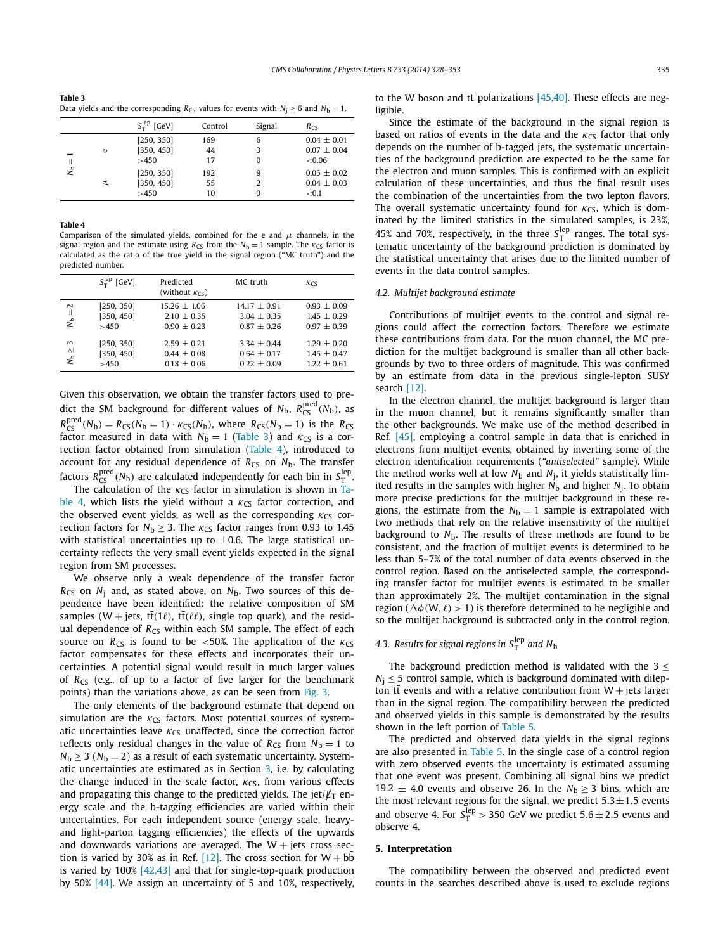<span id="page-7-0"></span>**Table 3** Data yields and the corresponding  $R_{CS}$  values for events with  $N_i \ge 6$  and  $N_b = 1$ .

|                                     |   | $S_{\tau}^{lep}$ [GeV] | Control  | Signal | $R_{\text{CS}}$            |
|-------------------------------------|---|------------------------|----------|--------|----------------------------|
| $\overline{\phantom{0}}$<br>Ш<br>Σp |   | [250, 350]             | 169      | 6      | $0.04 + 0.01$              |
|                                     | ω | [350, 450]<br>>450     | 44<br>17 | κ<br>0 | $0.07 + 0.04$<br>${<}0.06$ |
|                                     |   | [250, 350]             | 192      | 9      | $0.05 + 0.02$              |
|                                     | ュ | [350, 450]             | 55       |        | $0.04 + 0.03$              |
|                                     |   | >450                   | 10       |        | ${<}0.1$                   |

Comparison of the simulated yields, combined for the e and  $\mu$  channels, in the signal region and the estimate using  $R_{\text{CS}}$  from the  $N_{\text{b}} = 1$  sample. The  $\kappa_{\text{CS}}$  factor is calculated as the ratio of the true yield in the signal region ("MC truth") and the predicted number.

|                      | [GeV]                            | Predicted<br>(without $\kappa_{CS}$ )             | MC truth                                         | $K_{CS}$                                          |
|----------------------|----------------------------------|---------------------------------------------------|--------------------------------------------------|---------------------------------------------------|
| $\sim$<br>$N_b =$    | [250, 350]<br>[350, 450]<br>>450 | $15.26 + 1.06$<br>$2.10 + 0.35$<br>$0.90 + 0.23$  | $14.17 + 0.91$<br>$3.04 + 0.35$<br>$0.87 + 0.26$ | $0.93 + 0.09$<br>$1.45 + 0.29$<br>$0.97 + 0.39$   |
| $\sim$<br>$N_b \geq$ | [250, 350]<br>[350, 450]<br>>450 | $2.59 + 0.21$<br>$0.44 + 0.08$<br>$0.18 \pm 0.06$ | $3.34 + 0.44$<br>$0.64 + 0.17$<br>$0.22 + 0.09$  | $1.29 + 0.20$<br>$1.45 + 0.47$<br>$1.22 \pm 0.61$ |

Given this observation, we obtain the transfer factors used to predict the SM background for different values of  $N_{\rm b}$ ,  $R_{\rm CS}^{\rm pred}(N_{\rm b})$ , as  $R_{CS}^{pred}(N_b) = R_{CS}(N_b = 1) \cdot \kappa_{CS}(N_b)$ , where  $R_{CS}(N_b = 1)$  is the  $R_{CS}$ factor measured in data with  $N_b = 1$  (Table 3) and  $\kappa_{CS}$  is a correction factor obtained from simulation (Table 4), introduced to account for any residual dependence of  $R_{CS}$  on  $N_{\rm b}$ . The transfer factors  $R_{\text{CS}}^{\text{pred}}(N_{\text{b}})$  are calculated independently for each bin in  $S_{\text{T}}^{\text{lep}}$ .

The calculation of the  $\kappa_{CS}$  factor in simulation is shown in Table 4, which lists the yield without a  $\kappa_{\text{CS}}$  factor correction, and the observed event yields, as well as the corresponding *κ*<sub>CS</sub> correction factors for  $N_b \geq 3$ . The  $\kappa_{CS}$  factor ranges from 0.93 to 1.45 with statistical uncertainties up to  $\pm 0.6$ . The large statistical uncertainty reflects the very small event yields expected in the signal region from SM processes.

We observe only a weak dependence of the transfer factor  $R_{CS}$  on  $N_j$  and, as stated above, on  $N_b$ . Two sources of this dependence have been identified: the relative composition of SM samples (W + jets,  $t\bar{t}(1\ell)$ ,  $t\bar{t}(\ell\ell)$ , single top quark), and the residual dependence of R<sub>CS</sub> within each SM sample. The effect of each source on  $R_{CS}$  is found to be <50%. The application of the  $\kappa_{CS}$ factor compensates for these effects and incorporates their uncertainties. A potential signal would result in much larger values of  $R_{CS}$  (e.g., of up to a factor of five larger for the benchmark points) than the variations above, as can be seen from [Fig. 3.](#page-6-0)

The only elements of the background estimate that depend on simulation are the *κ*<sub>CS</sub> factors. Most potential sources of systematic uncertainties leave *κ*<sub>CS</sub> unaffected, since the correction factor reflects only residual changes in the value of  $R_{CS}$  from  $N_b = 1$  to  $N_b \geq 3$  ( $N_b = 2$ ) as a result of each systematic uncertainty. Systematic uncertainties are estimated as in Section [3,](#page-2-0) i.e. by calculating the change induced in the scale factor, *κ*<sub>CS</sub>, from various effects and propagating this change to the predicted yields. The jet/ $\not{\!\not\!{E}}_T$  energy scale and the b-tagging efficiencies are varied within their uncertainties. For each independent source (energy scale, heavyand light-parton tagging efficiencies) the effects of the upwards and downwards variations are averaged. The  $W +$  jets cross sec-tion is varied by 30% as in Ref. [\[12\].](#page-10-0) The cross section for  $W + b\overline{b}$ is varied by 100% [\[42,43\]](#page-10-0) and that for single-top-quark production by 50% [\[44\].](#page-10-0) We assign an uncertainty of 5 and 10%, respectively, to the W boson and  $t\bar{t}$  polarizations [\[45,40\].](#page-11-0) These effects are negligible.

Since the estimate of the background in the signal region is based on ratios of events in the data and the  $\kappa_{CS}$  factor that only depends on the number of b-tagged jets, the systematic uncertainties of the background prediction are expected to be the same for the electron and muon samples. This is confirmed with an explicit calculation of these uncertainties, and thus the final result uses the combination of the uncertainties from the two lepton flavors. The overall systematic uncertainty found for *κ*<sub>CS</sub>, which is dominated by the limited statistics in the simulated samples, is 23%, 45% and 70%, respectively, in the three  $S_T^{lep}$  ranges. The total systematic uncertainty of the background prediction is dominated by the statistical uncertainty that arises due to the limited number of events in the data control samples.

### *4.2. Multijet background estimate*

Contributions of multijet events to the control and signal regions could affect the correction factors. Therefore we estimate these contributions from data. For the muon channel, the MC prediction for the multijet background is smaller than all other backgrounds by two to three orders of magnitude. This was confirmed by an estimate from data in the previous single-lepton SUSY search [\[12\].](#page-10-0)

In the electron channel, the multijet background is larger than in the muon channel, but it remains significantly smaller than the other backgrounds. We make use of the method described in Ref. [\[45\],](#page-11-0) employing a control sample in data that is enriched in electrons from multijet events, obtained by inverting some of the electron identification requirements (*"antiselected"* sample). While the method works well at low  $N<sub>b</sub>$  and  $N<sub>i</sub>$ , it yields statistically limited results in the samples with higher  $N_b$  and higher  $N_i$ . To obtain more precise predictions for the multijet background in these regions, the estimate from the  $N_b = 1$  sample is extrapolated with two methods that rely on the relative insensitivity of the multijet background to  $N<sub>b</sub>$ . The results of these methods are found to be consistent, and the fraction of multijet events is determined to be less than 5–7% of the total number of data events observed in the control region. Based on the antiselected sample, the corresponding transfer factor for multijet events is estimated to be smaller than approximately 2%. The multijet contamination in the signal region ( $\Delta\phi(W,\ell) > 1$ ) is therefore determined to be negligible and so the multijet background is subtracted only in the control region.

# 4.3. Results for signal regions in  $S_{\text{T}}^{\text{lep}}$  and  $N_{\text{b}}$

The background prediction method is validated with the 3  $\leq$  $N_i \leq 5$  control sample, which is background dominated with dilepton tt events and with a relative contribution from  $W +$  jets larger than in the signal region. The compatibility between the predicted and observed yields in this sample is demonstrated by the results shown in the left portion of [Table 5.](#page-8-0)

The predicted and observed data yields in the signal regions are also presented in [Table 5.](#page-8-0) In the single case of a control region with zero observed events the uncertainty is estimated assuming that one event was present. Combining all signal bins we predict 19.2  $\pm$  4.0 events and observe 26. In the  $N_b \geq 3$  bins, which are the most relevant regions for the signal, we predict 5*.*3±1*.*5 events and observe 4. For  $S_T^{\text{lep}} > 350$  GeV we predict  $5.6 \pm 2.5$  events and observe 4.

### **5. Interpretation**

The compatibility between the observed and predicted event counts in the searches described above is used to exclude regions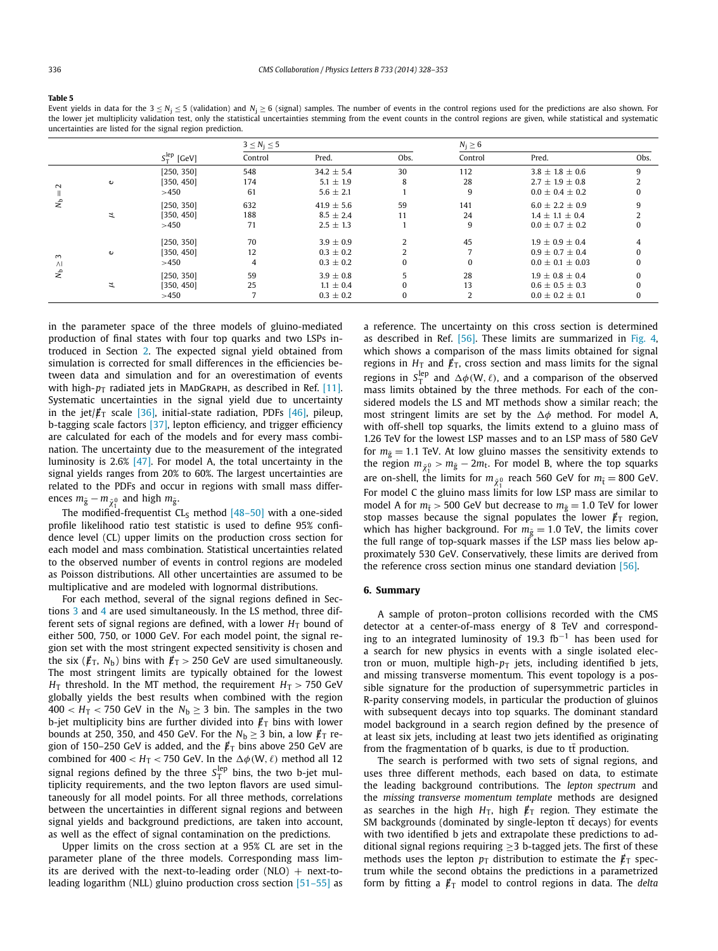<span id="page-8-0"></span>Event yields in data for the 3  $\leq N_i \leq 5$  (validation) and  $N_i \geq 6$  (signal) samples. The number of events in the control regions used for the predictions are also shown. For the lower jet multiplicity validation test, only the statistical uncertainties stemming from the event counts in the control regions are given, while statistical and systematic uncertainties are listed for the signal region prediction.

|              |                                   |                   | $3 \leq N_i \leq 5$   |                |               | $N_j \geq 6$ |                        |          |
|--------------|-----------------------------------|-------------------|-----------------------|----------------|---------------|--------------|------------------------|----------|
|              |                                   | $S_T^{lep}$ [GeV] | Control               | Pred.          | Obs.          | Control      | Pred.                  | Obs.     |
|              |                                   | [250, 350]        | 548                   | $34.2 \pm 5.4$ | 30            | 112          | $3.8 \pm 1.8 \pm 0.6$  | 9        |
|              | $\mathbf \omega$                  | [350, 450]        | 174                   | $5.1 \pm 1.9$  | 8             | 28           | $2.7 \pm 1.9 \pm 0.8$  |          |
| $\mathbf 2$  |                                   | >450              | 61                    | $5.6 \pm 2.1$  |               | 9            | $0.0 \pm 0.4 \pm 0.2$  |          |
| ξ            |                                   | [250, 350]        | 632                   | $41.9 \pm 5.6$ | 59            | 141          | $6.0 \pm 2.2 \pm 0.9$  |          |
|              | ュ                                 | [350, 450]        | 188                   | $8.5 \pm 2.4$  | 11            | 24           | $1.4 \pm 1.1 \pm 0.4$  |          |
|              |                                   | >450              | 71                    | $2.5 \pm 1.3$  |               | 9            | $0.0 \pm 0.7 \pm 0.2$  |          |
|              |                                   | [250, 350]        | 70                    | $3.9 \pm 0.9$  | $\mathcal{L}$ | 45           | $1.9 \pm 0.9 \pm 0.4$  |          |
|              | ω                                 | [350, 450]        | 12                    | $0.3 \pm 0.2$  |               |              | $0.9 \pm 0.7 \pm 0.4$  |          |
| $\sim$<br>ΛI |                                   | >450              | 4                     | $0.3 \pm 0.2$  | $\Omega$      | $\Omega$     | $0.0 \pm 0.1 \pm 0.03$ | $\Omega$ |
| ξ            | 59<br>[250, 350]<br>$3.9 \pm 0.8$ | 28                | $1.9 \pm 0.8 \pm 0.4$ |                |               |              |                        |          |
|              | ュ                                 | [350, 450]        | 25                    | $1.1 \pm 0.4$  | $\Omega$      | 13           | $0.6 \pm 0.5 \pm 0.3$  |          |
|              |                                   | >450              |                       | $0.3 \pm 0.2$  | 0             | 2            | $0.0 \pm 0.2 \pm 0.1$  | 0        |

in the parameter space of the three models of gluino-mediated production of final states with four top quarks and two LSPs introduced in Section [2.](#page-1-0) The expected signal yield obtained from simulation is corrected for small differences in the efficiencies between data and simulation and for an overestimation of events with high- $p_T$  radiated jets in MADGRAPH, as described in Ref. [\[11\].](#page-10-0) Systematic uncertainties in the signal yield due to uncertainty in the jet/ $/\,\llap{\,/}E_T$  scale [\[36\],](#page-10-0) initial-state radiation, PDFs [\[46\],](#page-11-0) pileup, b-tagging scale factors [\[37\],](#page-10-0) lepton efficiency, and trigger efficiency are calculated for each of the models and for every mass combination. The uncertainty due to the measurement of the integrated luminosity is 2.6% [\[47\].](#page-11-0) For model A, the total uncertainty in the signal yields ranges from 20% to 60%. The largest uncertainties are related to the PDFs and occur in regions with small mass differences  $m_{\tilde{\mathrm{g}}}-m_{\tilde{\chi}_{1}^{0}}$  and high  $m_{\tilde{\mathrm{g}}}.$ 

The modified-frequentist  $CL<sub>S</sub>$  method  $[48-50]$  with a one-sided profile likelihood ratio test statistic is used to define 95% confidence level (CL) upper limits on the production cross section for each model and mass combination. Statistical uncertainties related to the observed number of events in control regions are modeled as Poisson distributions. All other uncertainties are assumed to be multiplicative and are modeled with lognormal distributions.

For each method, several of the signal regions defined in Sections [3](#page-2-0) and [4](#page-5-0) are used simultaneously. In the LS method, three different sets of signal regions are defined, with a lower  $H<sub>T</sub>$  bound of either 500, 750, or 1000 GeV. For each model point, the signal region set with the most stringent expected sensitivity is chosen and the six ( $\cancel{E}_T$ ,  $N_b$ ) bins with  $\cancel{E}_T$  > 250 GeV are used simultaneously. The most stringent limits are typically obtained for the lowest  $H<sub>T</sub>$  threshold. In the MT method, the requirement  $H<sub>T</sub>$  *>* 750 GeV globally yields the best results when combined with the region  $400 < H_T < 750$  GeV in the  $N_b \geq 3$  bin. The samples in the two b-jet multiplicity bins are further divided into  $\not\!\!E_T$  bins with lower bounds at 250, 350, and 450 GeV. For the  $N_b \geq 3$  bin, a low  $\not \! \! E_T$  region of 150–250 GeV is added, and the  $\not{E}_T$  bins above 250 GeV are combined for  $400 < H_T < 750$  GeV. In the  $\Delta \phi(W, \ell)$  method all 12 signal regions defined by the three  $S_T^{lep}$  bins, the two b-jet multiplicity requirements, and the two lepton flavors are used simultaneously for all model points. For all three methods, correlations between the uncertainties in different signal regions and between signal yields and background predictions, are taken into account, as well as the effect of signal contamination on the predictions.

Upper limits on the cross section at a 95% CL are set in the parameter plane of the three models. Corresponding mass limits are derived with the next-to-leading order  $(NLO)$  + next-toleading logarithm (NLL) gluino production cross section [\[51–55\]](#page-11-0) as a reference. The uncertainty on this cross section is determined as described in Ref. [\[56\].](#page-11-0) These limits are summarized in [Fig. 4,](#page-9-0) which shows a comparison of the mass limits obtained for signal regions in  $H_T$  and  $\rlap{\,/}E_T$ , cross section and mass limits for the signal regions in  $S_T^{lep}$  and  $\Delta \phi(W, \ell)$ , and a comparison of the observed mass limits obtained by the three methods. For each of the considered models the LS and MT methods show a similar reach; the most stringent limits are set by the Δφ method. For model A, with off-shell top squarks, the limits extend to a gluino mass of 1.26 TeV for the lowest LSP masses and to an LSP mass of 580 GeV for  $m_{\tilde{g}} = 1.1$  TeV. At low gluino masses the sensitivity extends to the region  $m_{\tilde{\chi}_{1}^{0}} > m_{\tilde{g}} - 2m_{t}$ . For model B, where the top squarks are on-shell, the limits for  $m_{\tilde{\chi}_1^0}$  reach 560 GeV for  $m_{\tilde{t}} = 800$  GeV. For model C the gluino mass limits for low LSP mass are similar to model A for  $m_{\tilde{t}} > 500$  GeV but decrease to  $m_{\tilde{g}} = 1.0$  TeV for lower stop masses because the signal populates the lower  $\not\hspace{-.1cm}/\;\:\dot{F}_T$  region, which has higher background. For  $m_{\tilde{g}} = 1.0$  TeV, the limits cover the full range of top-squark masses if the LSP mass lies below approximately 530 GeV. Conservatively, these limits are derived from the reference cross section minus one standard deviation [\[56\].](#page-11-0)

### **6. Summary**

A sample of proton–proton collisions recorded with the CMS detector at a center-of-mass energy of 8 TeV and corresponding to an integrated luminosity of 19.3 fb<sup>-1</sup> has been used for a search for new physics in events with a single isolated electron or muon, multiple high- $p<sub>T</sub>$  jets, including identified b jets, and missing transverse momentum. This event topology is a possible signature for the production of supersymmetric particles in R-parity conserving models, in particular the production of gluinos with subsequent decays into top squarks. The dominant standard model background in a search region defined by the presence of at least six jets, including at least two jets identified as originating from the fragmentation of  $b$  quarks, is due to  $t\bar{t}$  production.

The search is performed with two sets of signal regions, and uses three different methods, each based on data, to estimate the leading background contributions. The *lepton spectrum* and the *missing transverse momentum template* methods are designed as searches in the high  $H_T$ , high  $\not\!\!E_T$  region. They estimate the SM backgrounds (dominated by single-lepton  $t\bar{t}$  decays) for events with two identified b jets and extrapolate these predictions to additional signal regions requiring  $\geq$ 3 b-tagged jets. The first of these methods uses the lepton  $p<sub>T</sub>$  distribution to estimate the  $\not{E}<sub>T</sub>$  spectrum while the second obtains the predictions in a parametrized form by fitting a  $\cancel{E}_T$  model to control regions in data. The *delta*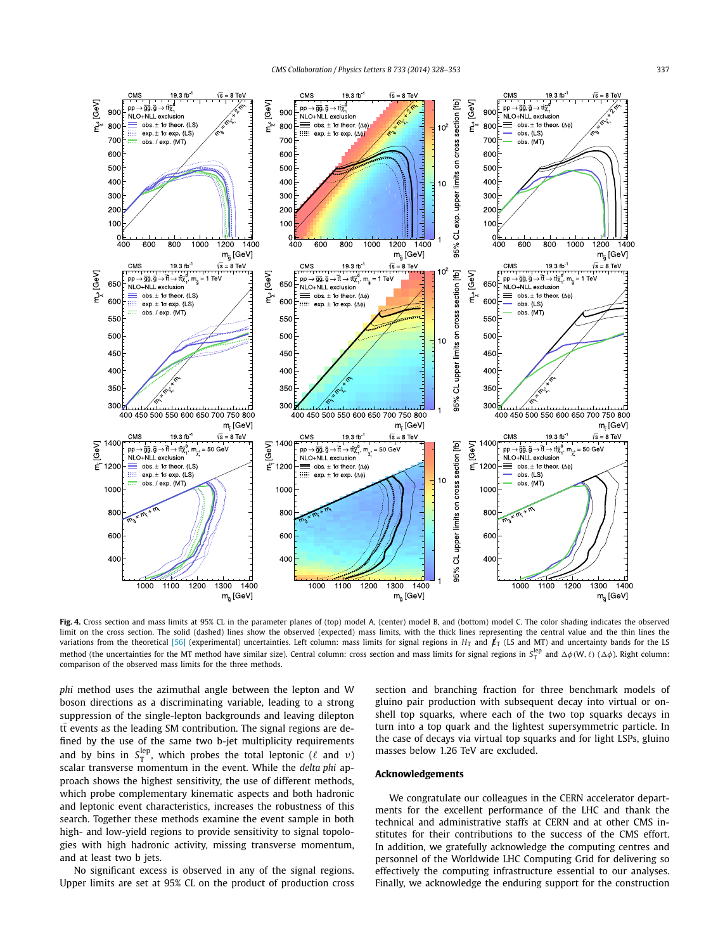<span id="page-9-0"></span>

**Fig. 4.** Cross section and mass limits at 95% CL in the parameter planes of (top) model A, (center) model B, and (bottom) model C. The color shading indicates the observed limit on the cross section. The solid (dashed) lines show the observed (expected) mass limits, with the thick lines representing the central value and the thin lines the variations from the theoretical [\[56\]](#page-11-0) (experimental) uncertainties. Left column: mass limits for signal regions in  $H_T$  and  $\oint_T$  (LS and MT) and uncertainty bands for the LS method (the uncertainties for the MT method have similar size). Central column: cross section and mass limits for signal regions in  $S_T^{\text{lep}}$  and  $Δφ(W,ℓ) (Δφ)$ . Right column: comparison of the observed mass limits for the three methods.

*phi* method uses the azimuthal angle between the lepton and W boson directions as a discriminating variable, leading to a strong suppression of the single-lepton backgrounds and leaving dilepton tt events as the leading SM contribution. The signal regions are defined by the use of the same two b-jet multiplicity requirements and by bins in  $S_T^{lep}$ , which probes the total leptonic ( $\ell$  and  $\nu$ ) scalar transverse momentum in the event. While the *delta phi* approach shows the highest sensitivity, the use of different methods, which probe complementary kinematic aspects and both hadronic and leptonic event characteristics, increases the robustness of this search. Together these methods examine the event sample in both high- and low-yield regions to provide sensitivity to signal topologies with high hadronic activity, missing transverse momentum, and at least two b jets.

No significant excess is observed in any of the signal regions. Upper limits are set at 95% CL on the product of production cross section and branching fraction for three benchmark models of gluino pair production with subsequent decay into virtual or onshell top squarks, where each of the two top squarks decays in turn into a top quark and the lightest supersymmetric particle. In the case of decays via virtual top squarks and for light LSPs, gluino masses below 1.26 TeV are excluded.

### **Acknowledgements**

We congratulate our colleagues in the CERN accelerator departments for the excellent performance of the LHC and thank the technical and administrative staffs at CERN and at other CMS institutes for their contributions to the success of the CMS effort. In addition, we gratefully acknowledge the computing centres and personnel of the Worldwide LHC Computing Grid for delivering so effectively the computing infrastructure essential to our analyses. Finally, we acknowledge the enduring support for the construction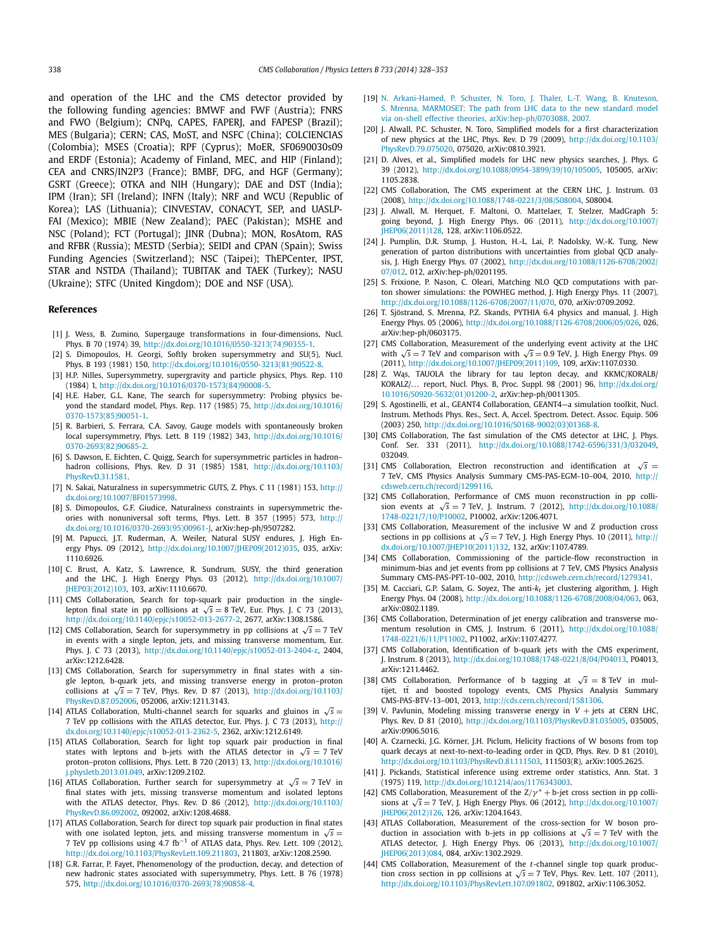<span id="page-10-0"></span>and operation of the LHC and the CMS detector provided by the following funding agencies: BMWF and FWF (Austria); FNRS and FWO (Belgium); CNPq, CAPES, FAPERJ, and FAPESP (Brazil); MES (Bulgaria); CERN; CAS, MoST, and NSFC (China); COLCIENCIAS (Colombia); MSES (Croatia); RPF (Cyprus); MoER, SF0690030s09 and ERDF (Estonia); Academy of Finland, MEC, and HIP (Finland); CEA and CNRS/IN2P3 (France); BMBF, DFG, and HGF (Germany); GSRT (Greece); OTKA and NIH (Hungary); DAE and DST (India); IPM (Iran); SFI (Ireland); INFN (Italy); NRF and WCU (Republic of Korea); LAS (Lithuania); CINVESTAV, CONACYT, SEP, and UASLP-FAI (Mexico); MBIE (New Zealand); PAEC (Pakistan); MSHE and NSC (Poland); FCT (Portugal); JINR (Dubna); MON, RosAtom, RAS and RFBR (Russia); MESTD (Serbia); SEIDI and CPAN (Spain); Swiss Funding Agencies (Switzerland); NSC (Taipei); ThEPCenter, IPST, STAR and NSTDA (Thailand); TUBITAK and TAEK (Turkey); NASU (Ukraine); STFC (United Kingdom); DOE and NSF (USA).

#### **References**

- [1] J. Wess, B. Zumino, Supergauge transformations in four-dimensions, Nucl. Phys. B 70 (1974) 39, [http://dx.doi.org/10.1016/0550-3213\(74\)90355-1](http://dx.doi.org/10.1016/0550-3213(74)90355-1).
- [2] S. Dimopoulos, H. Georgi, Softly broken supersymmetry and SU(5), Nucl. Phys. B 193 (1981) 150, [http://dx.doi.org/10.1016/0550-3213\(81\)90522-8.](http://dx.doi.org/10.1016/0550-3213(81)90522-8)
- [3] H.P. Nilles, Supersymmetry, supergravity and particle physics, Phys. Rep. 110 (1984) 1, [http://dx.doi.org/10.1016/0370-1573\(84\)90008-5.](http://dx.doi.org/10.1016/0370-1573(84)90008-5)
- [4] H.E. Haber, G.L. Kane, The search for supersymmetry: Probing physics beyond the standard model, Phys. Rep. 117 (1985) 75, [http://dx.doi.org/10.1016/](http://dx.doi.org/10.1016/0370-1573(85)90051-1) [0370-1573\(85\)90051-1](http://dx.doi.org/10.1016/0370-1573(85)90051-1).
- [5] R. Barbieri, S. Ferrara, C.A. Savoy, Gauge models with spontaneously broken local supersymmetry, Phys. Lett. B 119 (1982) 343, [http://dx.doi.org/10.1016/](http://dx.doi.org/10.1016/0370-2693(82)90685-2) [0370-2693\(82\)90685-2](http://dx.doi.org/10.1016/0370-2693(82)90685-2).
- [6] S. Dawson, E. Eichten, C. Quigg, Search for supersymmetric particles in hadron– hadron collisions, Phys. Rev. D 31 (1985) 1581, [http://dx.doi.org/10.1103/](http://dx.doi.org/10.1103/PhysRevD.31.1581) [PhysRevD.31.1581](http://dx.doi.org/10.1103/PhysRevD.31.1581).
- [7] N. Sakai, Naturalness in supersymmetric GUTS, Z. Phys. C 11 (1981) 153, [http://](http://dx.doi.org/10.1007/BF01573998) [dx.doi.org/10.1007/BF01573998.](http://dx.doi.org/10.1007/BF01573998)
- [8] S. Dimopoulos, G.F. Giudice, Naturalness constraints in supersymmetric theories with nonuniversal soft terms, Phys. Lett. B 357 (1995) 573, [http://](http://dx.doi.org/10.1016/0370-2693(95)00961-J) [dx.doi.org/10.1016/0370-2693\(95\)00961-J](http://dx.doi.org/10.1016/0370-2693(95)00961-J), arXiv:hep-ph/9507282.
- [9] M. Papucci, J.T. Ruderman, A. Weiler, Natural SUSY endures, J. High Energy Phys. 09 (2012), [http://dx.doi.org/10.1007/JHEP09\(2012\)035](http://dx.doi.org/10.1007/JHEP09(2012)035), 035, arXiv: 1110.6926.
- [10] C. Brust, A. Katz, S. Lawrence, R. Sundrum, SUSY, the third generation and the LHC, J. High Energy Phys. 03 (2012), [http://dx.doi.org/10.1007/](http://dx.doi.org/10.1007/JHEP03(2012)103) [JHEP03\(2012\)103](http://dx.doi.org/10.1007/JHEP03(2012)103), 103, arXiv:1110.6670.
- [11] CMS Collaboration, Search for top-squark pair production in the singlelepton final state in pp collisions at  $\sqrt{s} = 8$  TeV, Eur. Phys. J. C 73 (2013), <http://dx.doi.org/10.1140/epjc/s10052-013-2677-2>, 2677, arXiv:1308.1586.
- [12] CMS Collaboration, Search for supersymmetry in pp collisions at  $\sqrt{s} = 7$  TeV in events with a single lepton, jets, and missing transverse momentum, Eur. Phys. J. C 73 (2013), [http://dx.doi.org/10.1140/epjc/s10052-013-2404-z,](http://dx.doi.org/10.1140/epjc/s10052-013-2404-z) 2404, arXiv:1212.6428.
- [13] CMS Collaboration, Search for supersymmetry in final states with a single lepton, b-quark jets, and missing transverse energy in proton–proton collisions at  $\sqrt{s}$  = 7 TeV, Phys. Rev. D 87 (2013), [http://dx.doi.org/10.1103/](http://dx.doi.org/10.1103/PhysRevD.87.052006) [PhysRevD.87.052006,](http://dx.doi.org/10.1103/PhysRevD.87.052006) 052006, arXiv:1211.3143.
- [14] ATLAS Collaboration, Multi-channel search for squarks and gluinos in  $\sqrt{s}$  = 7 TeV pp collisions with the ATLAS detector, Eur. Phys. J. C 73 (2013), [http://](http://dx.doi.org/10.1140/epjc/s10052-013-2362-5) [dx.doi.org/10.1140/epjc/s10052-013-2362-5](http://dx.doi.org/10.1140/epjc/s10052-013-2362-5), 2362, arXiv:1212.6149.
- [15] ATLAS Collaboration, Search for light top squark pair production in final states with leptons and b-jets with the ATLAS detector in  $\sqrt{s} = 7$  TeV proton–proton collisions, Phys. Lett. B 720 (2013) 13, [http://dx.doi.org/10.1016/](http://dx.doi.org/10.1016/j.physletb.2013.01.049) [j.physletb.2013.01.049,](http://dx.doi.org/10.1016/j.physletb.2013.01.049) arXiv:1209.2102.
- [16] ATLAS Collaboration, Further search for supersymmetry at  $\sqrt{s} = 7$  TeV in final states with jets, missing transverse momentum and isolated leptons with the ATLAS detector, Phys. Rev. D 86 (2012), [http://dx.doi.org/10.1103/](http://dx.doi.org/10.1103/PhysRevD.86.092002) [PhysRevD.86.092002,](http://dx.doi.org/10.1103/PhysRevD.86.092002) 092002, arXiv:1208.4688.
- [17] ATLAS Collaboration, Search for direct top squark pair production in final states with one isolated lepton, jets, and missing transverse momentum in  $\sqrt{s}$  = 7 TeV pp collisions using 4.7 fb−<sup>1</sup> of ATLAS data, Phys. Rev. Lett. 109 (2012), <http://dx.doi.org/10.1103/PhysRevLett.109.211803>, 211803, arXiv:1208.2590.
- [18] G.R. Farrar, P. Fayet, Phenomenology of the production, decay, and detection of new hadronic states associated with supersymmetry, Phys. Lett. B 76 (1978) 575, [http://dx.doi.org/10.1016/0370-2693\(78\)90858-4](http://dx.doi.org/10.1016/0370-2693(78)90858-4).
- [19] N. [Arkani-Hamed, P. Schuster, N. Toro, J. Thaler, L.-T. Wang, B. Knuteson,](http://refhub.elsevier.com/S0370-2693(14)00255-X/bib41726B616E6948616D65643A323030376677s1) [S. Mrenna, MARMOSET: The path from LHC data to the new standard model](http://refhub.elsevier.com/S0370-2693(14)00255-X/bib41726B616E6948616D65643A323030376677s1) [via on-shell effective theories, arXiv:hep-ph/0703088, 2007.](http://refhub.elsevier.com/S0370-2693(14)00255-X/bib41726B616E6948616D65643A323030376677s1)
- [20] J. Alwall, P.C. Schuster, N. Toro, Simplified models for a first characterization of new physics at the LHC, Phys. Rev. D 79 (2009), [http://dx.doi.org/10.1103/](http://dx.doi.org/10.1103/PhysRevD.79.075020) [PhysRevD.79.075020,](http://dx.doi.org/10.1103/PhysRevD.79.075020) 075020, arXiv:0810.3921.
- [21] D. Alves, et al., Simplified models for LHC new physics searches, J. Phys. G. 39 (2012), <http://dx.doi.org/10.1088/0954-3899/39/10/105005>, 105005, arXiv: 1105.2838.
- [22] CMS Collaboration, The CMS experiment at the CERN LHC, J. Instrum. 03 (2008), <http://dx.doi.org/10.1088/1748-0221/3/08/S08004>, S08004.
- [23] J. Alwall, M. Herquet, F. Maltoni, O. Mattelaer, T. Stelzer, MadGraph 5: going beyond, J. High Energy Phys. 06 (2011), [http://dx.doi.org/10.1007/](http://dx.doi.org/10.1007/JHEP06(2011)128) [JHEP06\(2011\)128](http://dx.doi.org/10.1007/JHEP06(2011)128), 128, arXiv:1106.0522.
- [24] J. Pumplin, D.R. Stump, J. Huston, H.-L. Lai, P. Nadolsky, W.-K. Tung, New generation of parton distributions with uncertainties from global QCD analysis, J. High Energy Phys. 07 (2002), [http://dx.doi.org/10.1088/1126-6708/2002/](http://dx.doi.org/10.1088/1126-6708/2002/07/012) [07/012](http://dx.doi.org/10.1088/1126-6708/2002/07/012), 012, arXiv:hep-ph/0201195.
- [25] S. Frixione, P. Nason, C. Oleari, Matching NLO QCD computations with parton shower simulations: the POWHEG method, J. High Energy Phys. 11 (2007), <http://dx.doi.org/10.1088/1126-6708/2007/11/070>, 070, arXiv:0709.2092.
- [26] T. Sjöstrand, S. Mrenna, P.Z. Skands, PYTHIA 6.4 physics and manual, J. High Energy Phys. 05 (2006), <http://dx.doi.org/10.1088/1126-6708/2006/05/026>, 026, arXiv:hep-ph/0603175.
- [27] CMS Collaboration, Measurement of the underlying event activity at the LHC with  $\sqrt{s} = 7$  TeV and comparison with  $\sqrt{s} = 0.9$  TeV, J. High Energy Phys. 09 (2011), [http://dx.doi.org/10.1007/JHEP09\(2011\)109](http://dx.doi.org/10.1007/JHEP09(2011)109), 109, arXiv:1107.0330.
- [28] Z. Wąs, TAUOLA the library for tau lepton decay, and KKMC/KORALB/ KORALZ/... report, Nucl. Phys. B, Proc. Suppl. 98 (2001) 96, [http://dx.doi.org/](http://dx.doi.org/10.1016/S0920-5632(01)01200-2) [10.1016/S0920-5632\(01\)01200-2,](http://dx.doi.org/10.1016/S0920-5632(01)01200-2) arXiv:hep-ph/0011305.
- [29] S. Agostinelli, et al., GEANT4 Collaboration, GEANT4-a simulation toolkit, Nucl. Instrum. Methods Phys. Res., Sect. A, Accel. Spectrom. Detect. Assoc. Equip. 506 (2003) 250, [http://dx.doi.org/10.1016/S0168-9002\(03\)01368-8](http://dx.doi.org/10.1016/S0168-9002(03)01368-8).
- [30] CMS Collaboration, The fast simulation of the CMS detector at LHC, J. Phys. Conf. Ser. 331 (2011), <http://dx.doi.org/10.1088/1742-6596/331/3/032049>, 032049.
- [31] CMS Collaboration, Electron reconstruction and identification at <sup>√</sup>*<sup>s</sup>* <sup>=</sup> 7 TeV, CMS Physics Analysis Summary CMS-PAS-EGM-10–004, 2010, [http://](http://cdsweb.cern.ch/record/1299116) [cdsweb.cern.ch/record/1299116](http://cdsweb.cern.ch/record/1299116).
- [32] CMS Collaboration, Performance of CMS muon reconstruction in pp collision events at  $\sqrt{s}$  = 7 TeV, J. Instrum. 7 (2012), [http://dx.doi.org/10.1088/](http://dx.doi.org/10.1088/1748-0221/7/10/P10002) [1748-0221/7/10/P10002](http://dx.doi.org/10.1088/1748-0221/7/10/P10002), P10002, arXiv:1206.4071.
- [33] CMS Collaboration, Measurement of the inclusive W and Z production cross sections in pp collisions at  $\sqrt{s}$  = 7 TeV, J. High Energy Phys. 10 (2011), [http://](http://dx.doi.org/10.1007/JHEP10(2011)132) [dx.doi.org/10.1007/JHEP10\(2011\)132,](http://dx.doi.org/10.1007/JHEP10(2011)132) 132, arXiv:1107.4789.
- [34] CMS Collaboration, Commissioning of the particle-flow reconstruction in minimum-bias and jet events from pp collisions at 7 TeV, CMS Physics Analysis Summary CMS-PAS-PFT-10–002, 2010, <http://cdsweb.cern.ch/record/1279341>.
- [35] M. Cacciari, G.P. Salam, G. Soyez, The anti- $k_t$  jet clustering algorithm, J. High Energy Phys. 04 (2008), <http://dx.doi.org/10.1088/1126-6708/2008/04/063>, 063, arXiv:0802.1189.
- [36] CMS Collaboration, Determination of jet energy calibration and transverse momentum resolution in CMS, J. Instrum. 6 (2011), [http://dx.doi.org/10.1088/](http://dx.doi.org/10.1088/1748-0221/6/11/P11002) [1748-0221/6/11/P11002](http://dx.doi.org/10.1088/1748-0221/6/11/P11002), P11002, arXiv:1107.4277.
- [37] CMS Collaboration, Identification of b-quark jets with the CMS experiment, J. Instrum. 8 (2013), [http://dx.doi.org/10.1088/1748-0221/8/04/P04013,](http://dx.doi.org/10.1088/1748-0221/8/04/P04013) P04013, arXiv:1211.4462.
- [38] CMS Collaboration, Performance of b tagging at  $\sqrt{s} = 8$  TeV in multijet, tt and boosted topology events, CMS Physics Analysis Summary CMS-PAS-BTV-13–001, 2013, [http://cds.cern.ch/record/1581306.](http://cds.cern.ch/record/1581306)
- [39] V. Pavlunin, Modeling missing transverse energy in *V* + jets at CERN LHC, Phys. Rev. D 81 (2010), <http://dx.doi.org/10.1103/PhysRevD.81.035005>, 035005, arXiv:0906.5016.
- [40] A. Czarnecki, J.G. Körner, J.H. Piclum, Helicity fractions of W bosons from top quark decays at next-to-next-to-leading order in QCD, Phys. Rev. D 81 (2010), <http://dx.doi.org/10.1103/PhysRevD.81.111503>, 111503(R), arXiv:1005.2625.
- [41] J. Pickands, Statistical inference using extreme order statistics, Ann. Stat. 3 (1975) 119, [http://dx.doi.org/10.1214/aos/1176343003.](http://dx.doi.org/10.1214/aos/1176343003)
- [42] CMS Collaboration, Measurement of the  $Z/\gamma^* + b$ -jet cross section in pp collisions at <sup>√</sup>*<sup>s</sup>* <sup>=</sup> 7 TeV, J. High Energy Phys. 06 (2012), [http://dx.doi.org/10.1007/](http://dx.doi.org/10.1007/JHEP06(2012)126) [JHEP06\(2012\)126](http://dx.doi.org/10.1007/JHEP06(2012)126), 126, arXiv:1204.1643.
- [43] ATLAS Collaboration, Measurement of the cross-section for W boson production in association with b-jets in pp collisions at  $\sqrt{s} = 7$  TeV with the ATLAS detector, J. High Energy Phys. 06 (2013), [http://dx.doi.org/10.1007/](http://dx.doi.org/10.1007/JHEP06(2013)084) [JHEP06\(2013\)084](http://dx.doi.org/10.1007/JHEP06(2013)084), 084, arXiv:1302.2929.
- [44] CMS Collaboration, Measurement of the *t*-channel single top quark production cross section in pp collisions at  $\sqrt{s}$  = 7 TeV, Phys. Rev. Lett. 107 (2011), [http://dx.doi.org/10.1103/PhysRevLett.107.091802,](http://dx.doi.org/10.1103/PhysRevLett.107.091802) 091802, arXiv:1106.3052.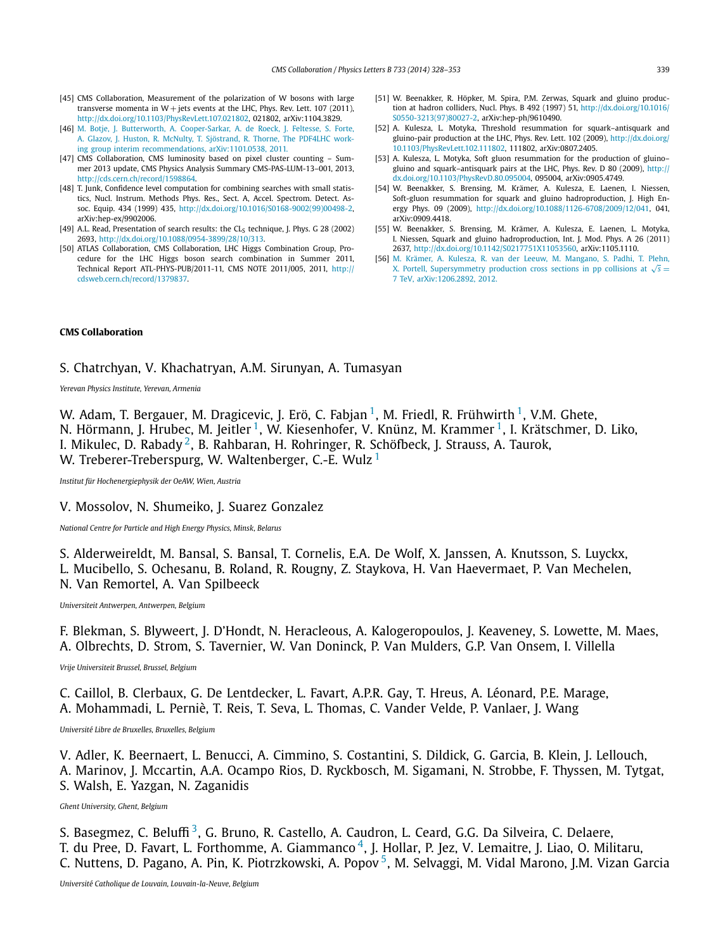- <span id="page-11-0"></span>[45] CMS Collaboration, Measurement of the polarization of W bosons with large transverse momenta in  $W +$  jets events at the LHC, Phys. Rev. Lett. 107 (2011), <http://dx.doi.org/10.1103/PhysRevLett.107.021802>, 021802, arXiv:1104.3829.
- [46] M. [Botje, J. Butterworth, A. Cooper-Sarkar, A. de Roeck, J. Feltesse, S. Forte,](http://refhub.elsevier.com/S0370-2693(14)00255-X/bib706466346C6863s1) [A. Glazov, J. Huston, R. McNulty, T. Sjöstrand, R. Thorne, The PDF4LHC work](http://refhub.elsevier.com/S0370-2693(14)00255-X/bib706466346C6863s1)[ing group interim recommendations, arXiv:1101.0538, 2011.](http://refhub.elsevier.com/S0370-2693(14)00255-X/bib706466346C6863s1)
- [47] CMS Collaboration, CMS luminosity based on pixel cluster counting Summer 2013 update, CMS Physics Analysis Summary CMS-PAS-LUM-13–001, 2013, [http://cds.cern.ch/record/1598864.](http://cds.cern.ch/record/1598864)
- [48] T. Junk, Confidence level computation for combining searches with small statistics, Nucl. Instrum. Methods Phys. Res., Sect. A, Accel. Spectrom. Detect. Assoc. Equip. 434 (1999) 435, [http://dx.doi.org/10.1016/S0168-9002\(99\)00498-2](http://dx.doi.org/10.1016/S0168-9002(99)00498-2), arXiv:hep-ex/9902006.
- [49] A.L. Read, Presentation of search results: the CL<sub>S</sub> technique, J. Phys. G 28 (2002) 2693, <http://dx.doi.org/10.1088/0954-3899/28/10/313>.
- [50] ATLAS Collaboration, CMS Collaboration, LHC Higgs Combination Group, Procedure for the LHC Higgs boson search combination in Summer 2011, Technical Report ATL-PHYS-PUB/2011-11, CMS NOTE 2011/005, 2011, [http://](http://cdsweb.cern.ch/record/1379837) [cdsweb.cern.ch/record/1379837](http://cdsweb.cern.ch/record/1379837).
- [51] W. Beenakker, R. Höpker, M. Spira, P.M. Zerwas, Squark and gluino production at hadron colliders, Nucl. Phys. B 492 (1997) 51, [http://dx.doi.org/10.1016/](http://dx.doi.org/10.1016/S0550-3213(97)80027-2) [S0550-3213\(97\)80027-2](http://dx.doi.org/10.1016/S0550-3213(97)80027-2), arXiv:hep-ph/9610490.
- [52] A. Kulesza, L. Motyka, Threshold resummation for squark–antisquark and gluino-pair production at the LHC, Phys. Rev. Lett. 102 (2009), [http://dx.doi.org/](http://dx.doi.org/10.1103/PhysRevLett.102.111802) [10.1103/PhysRevLett.102.111802,](http://dx.doi.org/10.1103/PhysRevLett.102.111802) 111802, arXiv:0807.2405.
- [53] A. Kulesza, L. Motyka, Soft gluon resummation for the production of gluino– gluino and squark–antisquark pairs at the LHC, Phys. Rev. D 80 (2009), [http://](http://dx.doi.org/10.1103/PhysRevD.80.095004) [dx.doi.org/10.1103/PhysRevD.80.095004](http://dx.doi.org/10.1103/PhysRevD.80.095004), 095004, arXiv:0905.4749.
- [54] W. Beenakker, S. Brensing, M. Krämer, A. Kulesza, E. Laenen, I. Niessen, Soft-gluon resummation for squark and gluino hadroproduction, J. High Energy Phys. 09 (2009), <http://dx.doi.org/10.1088/1126-6708/2009/12/041>, 041, arXiv:0909.4418.
- [55] W. Beenakker, S. Brensing, M. Krämer, A. Kulesza, E. Laenen, L. Motyka, I. Niessen, Squark and gluino hadroproduction, Int. J. Mod. Phys. A 26 (2011) 2637, [http://dx.doi.org/10.1142/S0217751X11053560,](http://dx.doi.org/10.1142/S0217751X11053560) arXiv:1105.1110.
- [56] [M. Krämer, A. Kulesza, R. van der Leeuw, M. Mangano, S. Padhi, T. Plehn,](http://refhub.elsevier.com/S0370-2693(14)00255-X/bib4B72616D65723A323031326278s1) [X. Portell, Supersymmetry production cross sections in pp collisions at](http://refhub.elsevier.com/S0370-2693(14)00255-X/bib4B72616D65723A323031326278s1)  $\sqrt{s}$  = [7 TeV, arXiv:1206.2892, 2012.](http://refhub.elsevier.com/S0370-2693(14)00255-X/bib4B72616D65723A323031326278s1)

### **CMS Collaboration**

S. Chatrchyan, V. Khachatryan, A.M. Sirunyan, A. Tumasyan

*Yerevan Physics Institute, Yerevan, Armenia*

W. Adam, T. Bergauer, M. Dragicevic, J. Erö, C. Fabjan<sup>1</sup>, M. Friedl, R. Frühwirth<sup>1</sup>, V.M. Ghete, N. Hörmann, J. Hrubec, M. Jeitler<sup>1</sup>, W. Kiesenhofer, V. Knünz, M. Krammer<sup>1</sup>, I. Krätschmer, D. Liko, I. Mikulec, D. Rabady<sup>2</sup>, B. Rahbaran, H. Rohringer, R. Schöfbeck, J. Strauss, A. Taurok, W. Treberer-Treberspurg, W. Waltenberger, C.-E. Wulz<sup>[1](#page-24-0)</sup>

*Institut für Hochenergiephysik der OeAW, Wien, Austria*

V. Mossolov, N. Shumeiko, J. Suarez Gonzalez

*National Centre for Particle and High Energy Physics, Minsk, Belarus*

S. Alderweireldt, M. Bansal, S. Bansal, T. Cornelis, E.A. De Wolf, X. Janssen, A. Knutsson, S. Luyckx, L. Mucibello, S. Ochesanu, B. Roland, R. Rougny, Z. Staykova, H. Van Haevermaet, P. Van Mechelen, N. Van Remortel, A. Van Spilbeeck

*Universiteit Antwerpen, Antwerpen, Belgium*

F. Blekman, S. Blyweert, J. D'Hondt, N. Heracleous, A. Kalogeropoulos, J. Keaveney, S. Lowette, M. Maes, A. Olbrechts, D. Strom, S. Tavernier, W. Van Doninck, P. Van Mulders, G.P. Van Onsem, I. Villella

*Vrije Universiteit Brussel, Brussel, Belgium*

C. Caillol, B. Clerbaux, G. De Lentdecker, L. Favart, A.P.R. Gay, T. Hreus, A. Léonard, P.E. Marage, A. Mohammadi, L. Perniè, T. Reis, T. Seva, L. Thomas, C. Vander Velde, P. Vanlaer, J. Wang

*Université Libre de Bruxelles, Bruxelles, Belgium*

V. Adler, K. Beernaert, L. Benucci, A. Cimmino, S. Costantini, S. Dildick, G. Garcia, B. Klein, J. Lellouch, A. Marinov, J. Mccartin, A.A. Ocampo Rios, D. Ryckbosch, M. Sigamani, N. Strobbe, F. Thyssen, M. Tytgat, S. Walsh, E. Yazgan, N. Zaganidis

*Ghent University, Ghent, Belgium*

S. Basegmez, C. Beluffi<sup>3</sup>, G. Bruno, R. Castello, A. Caudron, L. Ceard, G.G. Da Silveira, C. Delaere, T. du Pree, D. Favart, L. Forthomme, A. Giammanco<sup>4</sup>, J. Hollar, P. Jez, V. Lemaitre, J. Liao, O. Militaru, C. Nuttens, D. Pagano, A. Pin, K. Piotrzkowski, A. Popov<sup>5</sup>, M. Selvaggi, M. Vidal Marono, J.M. Vizan Garcia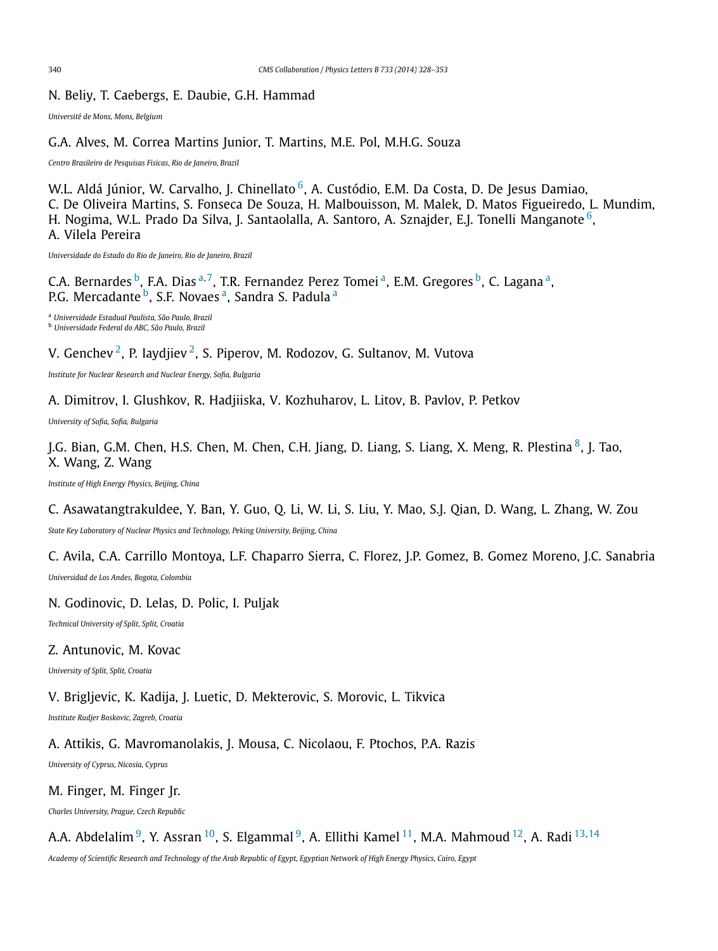# N. Beliy, T. Caebergs, E. Daubie, G.H. Hammad

*Université de Mons, Mons, Belgium*

# G.A. Alves, M. Correa Martins Junior, T. Martins, M.E. Pol, M.H.G. Souza

*Centro Brasileiro de Pesquisas Fisicas, Rio de Janeiro, Brazil*

W.L. Aldá Júnior, W. Carvalho, J. Chinellato<sup>6</sup>, A. Custódio, E.M. Da Costa, D. De Jesus Damiao, C. De Oliveira Martins, S. Fonseca De Souza, H. Malbouisson, M. Malek, D. Matos Figueiredo, L. Mundim, H. Nogima, W.L. Prado Da Silva, J. Santaolalla, A. Santoro, A. Sznajder, E.J. Tonelli Manganote<sup>6</sup>, A. Vilela Pereira

*Universidade do Estado do Rio de Janeiro, Rio de Janeiro, Brazil*

C.A. Bernardes <sup>b</sup>, F.A. Dias <sup>a, 7</sup>, T.R. Fernandez Perez Tomei <sup>a</sup>, E.M. Gregores <sup>b</sup>, C. Lagana <sup>a</sup>, P.G. Mercadante <sup>b</sup>, S.F. Novaes <sup>a</sup>, Sandra S. Padula <sup>a</sup>

<sup>a</sup> *Universidade Estadual Paulista, São Paulo, Brazil* <sup>b</sup> *Universidade Federal do ABC, São Paulo, Brazil*

# V. Genchev<sup>[2](#page-24-0)</sup>, P. Iaydiiev<sup>2</sup>, S. Piperov, M. Rodozov, G. Sultanov, M. Vutova

*Institute for Nuclear Research and Nuclear Energy, Sofia, Bulgaria*

# A. Dimitrov, I. Glushkov, R. Hadjiiska, V. Kozhuharov, L. Litov, B. Pavlov, P. Petkov

*University of Sofia, Sofia, Bulgaria*

# J.G. Bian, G.M. Chen, H.S. Chen, M. Chen, C.H. Jiang, D. Liang, S. Liang, X. Meng, R. Plestina [8,](#page-24-0) J. Tao, X. Wang, Z. Wang

*Institute of High Energy Physics, Beijing, China*

# C. Asawatangtrakuldee, Y. Ban, Y. Guo, Q. Li, W. Li, S. Liu, Y. Mao, S.J. Qian, D. Wang, L. Zhang, W. Zou

*State Key Laboratory of Nuclear Physics and Technology, Peking University, Beijing, China*

# C. Avila, C.A. Carrillo Montoya, L.F. Chaparro Sierra, C. Florez, J.P. Gomez, B. Gomez Moreno, J.C. Sanabria

*Universidad de Los Andes, Bogota, Colombia*

# N. Godinovic, D. Lelas, D. Polic, I. Puljak

*Technical University of Split, Split, Croatia*

# Z. Antunovic, M. Kovac

*University of Split, Split, Croatia*

# V. Brigljevic, K. Kadija, J. Luetic, D. Mekterovic, S. Morovic, L. Tikvica

*Institute Rudjer Boskovic, Zagreb, Croatia*

# A. Attikis, G. Mavromanolakis, J. Mousa, C. Nicolaou, F. Ptochos, P.A. Razis

*University of Cyprus, Nicosia, Cyprus*

# M. Finger, M. Finger Jr.

*Charles University, Prague, Czech Republic*

# A.A. Abdelalim <sup>9</sup>, Y. Assran <sup>10</sup>, S. Elgammal <sup>9</sup>, A. Ellithi Kamel <sup>[11](#page-24-0)</sup>, M.A. Mahmoud <sup>[12](#page-24-0)</sup>, A. Radi <sup>[13](#page-24-0),[14](#page-24-0)</sup>

*Academy of Scientific Research and Technology of the Arab Republic of Egypt, Egyptian Network of High Energy Physics, Cairo, Egypt*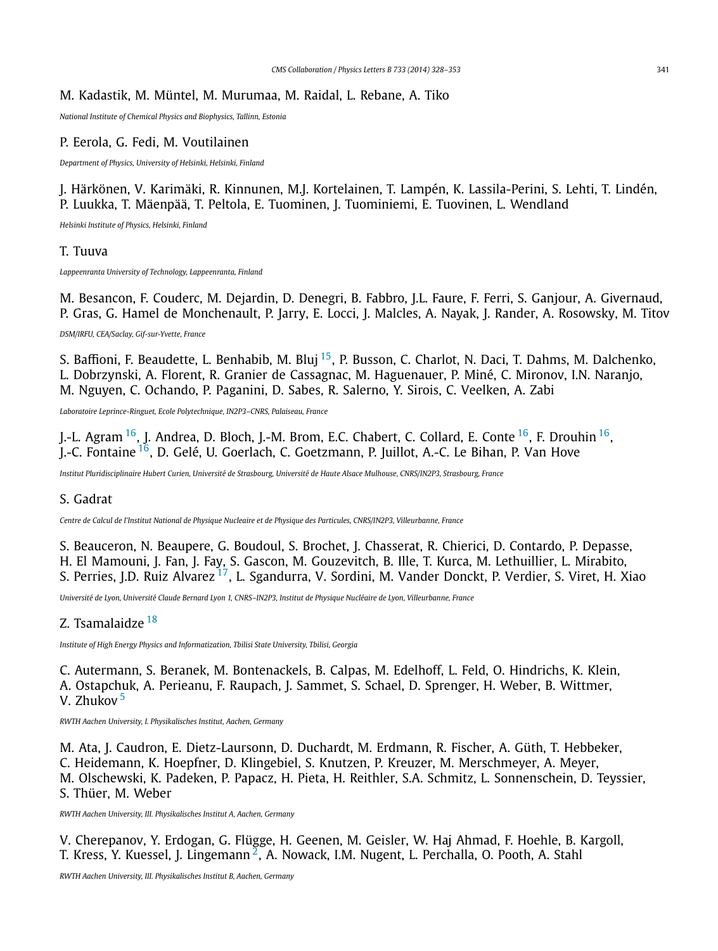# M. Kadastik, M. Müntel, M. Murumaa, M. Raidal, L. Rebane, A. Tiko

*National Institute of Chemical Physics and Biophysics, Tallinn, Estonia*

### P. Eerola, G. Fedi, M. Voutilainen

*Department of Physics, University of Helsinki, Helsinki, Finland*

J. Härkönen, V. Karimäki, R. Kinnunen, M.J. Kortelainen, T. Lampén, K. Lassila-Perini, S. Lehti, T. Lindén, P. Luukka, T. Mäenpää, T. Peltola, E. Tuominen, J. Tuominiemi, E. Tuovinen, L. Wendland

*Helsinki Institute of Physics, Helsinki, Finland*

### T. Tuuva

*Lappeenranta University of Technology, Lappeenranta, Finland*

M. Besancon, F. Couderc, M. Dejardin, D. Denegri, B. Fabbro, J.L. Faure, F. Ferri, S. Ganjour, A. Givernaud, P. Gras, G. Hamel de Monchenault, P. Jarry, E. Locci, J. Malcles, A. Nayak, J. Rander, A. Rosowsky, M. Titov

*DSM/IRFU, CEA/Saclay, Gif-sur-Yvette, France*

S. Baffioni, F. Beaudette, L. Benhabib, M. Bluj <sup>15</sup>, P. Busson, C. Charlot, N. Daci, T. Dahms, M. Dalchenko, L. Dobrzynski, A. Florent, R. Granier de Cassagnac, M. Haguenauer, P. Miné, C. Mironov, I.N. Naranjo, M. Nguyen, C. Ochando, P. Paganini, D. Sabes, R. Salerno, Y. Sirois, C. Veelken, A. Zabi

*Laboratoire Leprince-Ringuet, Ecole Polytechnique, IN2P3–CNRS, Palaiseau, France*

J.-L. Agram <sup>16</sup>, J. Andrea, D. Bloch, J.-M. Brom, E.C. Chabert, C. Collard, E. Conte <sup>16</sup>, F. Drouhin <sup>16</sup>, J.-C. Fontaine <sup>16</sup>, D. Gelé, U. Goerlach, C. Goetzmann, P. Juillot, A.-C. Le Bihan, P. Van Hove

*Institut Pluridisciplinaire Hubert Curien, Université de Strasbourg, Université de Haute Alsace Mulhouse, CNRS/IN2P3, Strasbourg, France*

# S. Gadrat

*Centre de Calcul de l'Institut National de Physique Nucleaire et de Physique des Particules, CNRS/IN2P3, Villeurbanne, France*

S. Beauceron, N. Beaupere, G. Boudoul, S. Brochet, J. Chasserat, R. Chierici, D. Contardo, P. Depasse, H. El Mamouni, J. Fan, J. Fay, S. Gascon, M. Gouzevitch, B. Ille, T. Kurca, M. Lethuillier, L. Mirabito, S. Perries, J.D. Ruiz Alvarez <sup>17</sup>, L. Sgandurra, V. Sordini, M. Vander Donckt, P. Verdier, S. Viret, H. Xiao

*Université de Lyon, Université Claude Bernard Lyon 1, CNRS–IN2P3, Institut de Physique Nucléaire de Lyon, Villeurbanne, France*

# Z. Tsamalaidze [18](#page-25-0)

*Institute of High Energy Physics and Informatization, Tbilisi State University, Tbilisi, Georgia*

C. Autermann, S. Beranek, M. Bontenackels, B. Calpas, M. Edelhoff, L. Feld, O. Hindrichs, K. Klein, A. Ostapchuk, A. Perieanu, F. Raupach, J. Sammet, S. Schael, D. Sprenger, H. Weber, B. Wittmer, V. Zhukov [5](#page-24-0)

*RWTH Aachen University, I. Physikalisches Institut, Aachen, Germany*

M. Ata, J. Caudron, E. Dietz-Laursonn, D. Duchardt, M. Erdmann, R. Fischer, A. Güth, T. Hebbeker, C. Heidemann, K. Hoepfner, D. Klingebiel, S. Knutzen, P. Kreuzer, M. Merschmeyer, A. Meyer, M. Olschewski, K. Padeken, P. Papacz, H. Pieta, H. Reithler, S.A. Schmitz, L. Sonnenschein, D. Teyssier, S. Thüer, M. Weber

*RWTH Aachen University, III. Physikalisches Institut A, Aachen, Germany*

V. Cherepanov, Y. Erdogan, G. Flügge, H. Geenen, M. Geisler, W. Haj Ahmad, F. Hoehle, B. Kargoll, T. Kress, Y. Kuessel, J. Lingemann<sup>2</sup>, A. Nowack, I.M. Nugent, L. Perchalla, O. Pooth, A. Stahl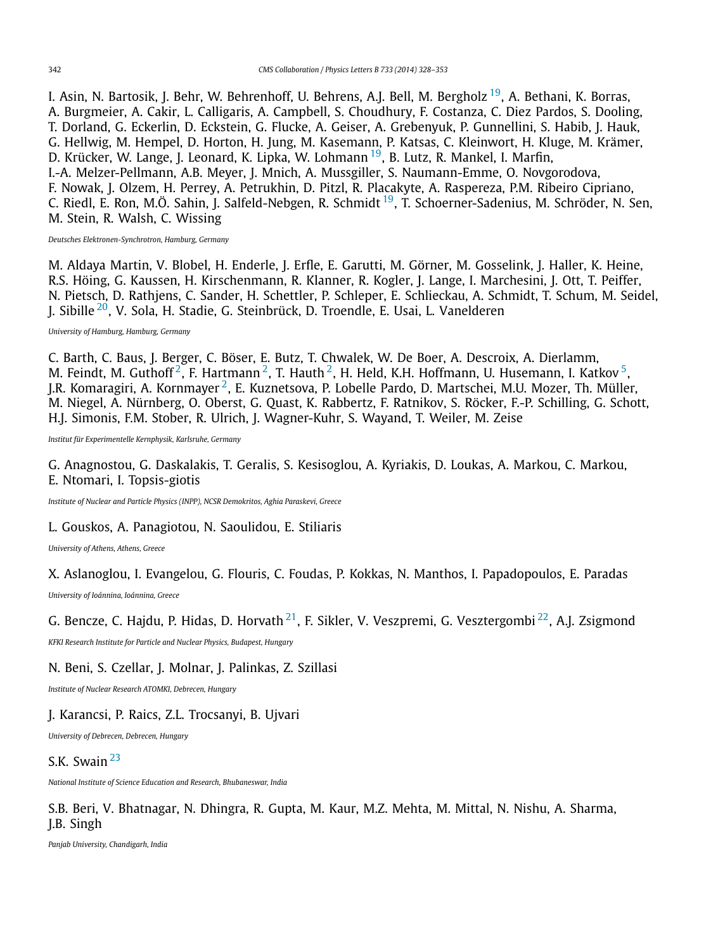I. Asin, N. Bartosik, J. Behr, W. Behrenhoff, U. Behrens, A.J. Bell, M. Bergholz <sup>[19](#page-25-0)</sup>, A. Bethani, K. Borras, A. Burgmeier, A. Cakir, L. Calligaris, A. Campbell, S. Choudhury, F. Costanza, C. Diez Pardos, S. Dooling, T. Dorland, G. Eckerlin, D. Eckstein, G. Flucke, A. Geiser, A. Grebenyuk, P. Gunnellini, S. Habib, J. Hauk, G. Hellwig, M. Hempel, D. Horton, H. Jung, M. Kasemann, P. Katsas, C. Kleinwort, H. Kluge, M. Krämer, D. Krücker, W. Lange, J. Leonard, K. Lipka, W. Lohmann<sup>19</sup>, B. Lutz, R. Mankel, I. Marfin, I.-A. Melzer-Pellmann, A.B. Meyer, J. Mnich, A. Mussgiller, S. Naumann-Emme, O. Novgorodova, F. Nowak, J. Olzem, H. Perrey, A. Petrukhin, D. Pitzl, R. Placakyte, A. Raspereza, P.M. Ribeiro Cipriano, C. Riedl, E. Ron, M.Ö. Sahin, J. Salfeld-Nebgen, R. Schmidt [19,](#page-25-0) T. Schoerner-Sadenius, M. Schröder, N. Sen, M. Stein, R. Walsh, C. Wissing

*Deutsches Elektronen-Synchrotron, Hamburg, Germany*

M. Aldaya Martin, V. Blobel, H. Enderle, J. Erfle, E. Garutti, M. Görner, M. Gosselink, J. Haller, K. Heine, R.S. Höing, G. Kaussen, H. Kirschenmann, R. Klanner, R. Kogler, J. Lange, I. Marchesini, J. Ott, T. Peiffer, N. Pietsch, D. Rathjens, C. Sander, H. Schettler, P. Schleper, E. Schlieckau, A. Schmidt, T. Schum, M. Seidel, J. Sibille [20,](#page-25-0) V. Sola, H. Stadie, G. Steinbrück, D. Troendle, E. Usai, L. Vanelderen

*University of Hamburg, Hamburg, Germany*

C. Barth, C. Baus, J. Berger, C. Böser, E. Butz, T. Chwalek, W. De Boer, A. Descroix, A. Dierlamm, M. Feindt, M. Guthoff<sup>2</sup>, F. Hartmann<sup>2</sup>, T. Hauth<sup>2</sup>, H. Held, K.H. Hoffmann, U. Husemann, I. Katkov<sup>5</sup>, J.R. Komaragiri, A. Kornmayer [2,](#page-24-0) E. Kuznetsova, P. Lobelle Pardo, D. Martschei, M.U. Mozer, Th. Müller, M. Niegel, A. Nürnberg, O. Oberst, G. Quast, K. Rabbertz, F. Ratnikov, S. Röcker, F.-P. Schilling, G. Schott, H.J. Simonis, F.M. Stober, R. Ulrich, J. Wagner-Kuhr, S. Wayand, T. Weiler, M. Zeise

*Institut für Experimentelle Kernphysik, Karlsruhe, Germany*

G. Anagnostou, G. Daskalakis, T. Geralis, S. Kesisoglou, A. Kyriakis, D. Loukas, A. Markou, C. Markou, E. Ntomari, I. Topsis-giotis

*Institute of Nuclear and Particle Physics (INPP), NCSR Demokritos, Aghia Paraskevi, Greece*

# L. Gouskos, A. Panagiotou, N. Saoulidou, E. Stiliaris

*University of Athens, Athens, Greece*

X. Aslanoglou, I. Evangelou, G. Flouris, C. Foudas, P. Kokkas, N. Manthos, I. Papadopoulos, E. Paradas

*University of Ioánnina, Ioánnina, Greece*

# G. Bencze, C. Hajdu, P. Hidas, D. Horvath [21](#page-25-0), F. Sikler, V. Veszpremi, G. Vesztergombi [22,](#page-25-0) A.J. Zsigmond

*KFKI Research Institute for Particle and Nuclear Physics, Budapest, Hungary*

N. Beni, S. Czellar, J. Molnar, J. Palinkas, Z. Szillasi

*Institute of Nuclear Research ATOMKI, Debrecen, Hungary*

## J. Karancsi, P. Raics, Z.L. Trocsanyi, B. Ujvari

*University of Debrecen, Debrecen, Hungary*

# S.K. Swain [23](#page-25-0)

*National Institute of Science Education and Research, Bhubaneswar, India*

# S.B. Beri, V. Bhatnagar, N. Dhingra, R. Gupta, M. Kaur, M.Z. Mehta, M. Mittal, N. Nishu, A. Sharma, J.B. Singh

*Panjab University, Chandigarh, India*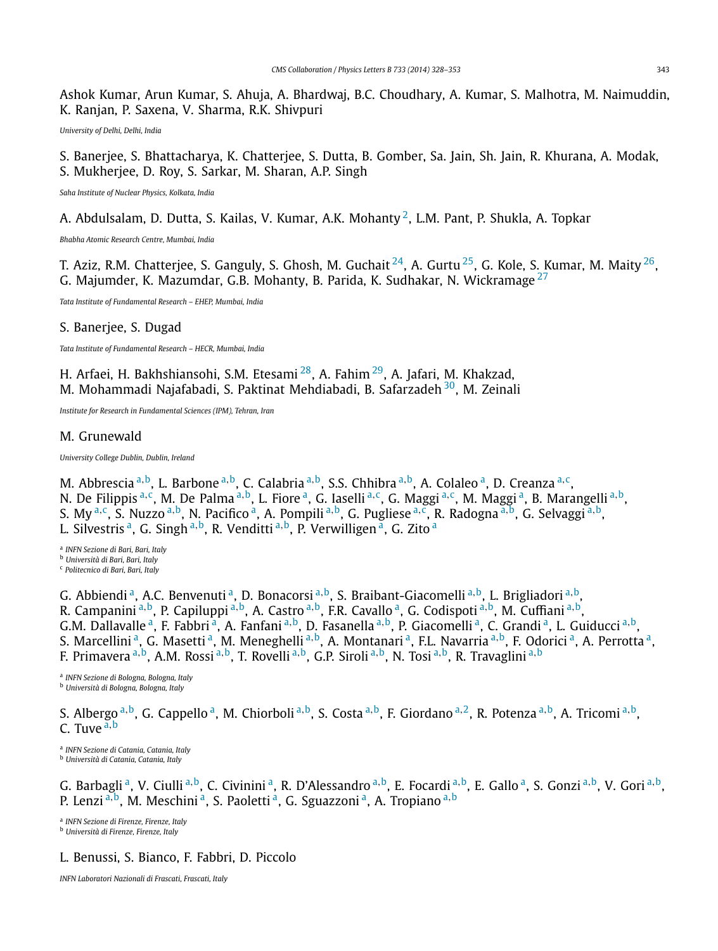Ashok Kumar, Arun Kumar, S. Ahuja, A. Bhardwaj, B.C. Choudhary, A. Kumar, S. Malhotra, M. Naimuddin, K. Ranjan, P. Saxena, V. Sharma, R.K. Shivpuri

*University of Delhi, Delhi, India*

S. Banerjee, S. Bhattacharya, K. Chatterjee, S. Dutta, B. Gomber, Sa. Jain, Sh. Jain, R. Khurana, A. Modak, S. Mukherjee, D. Roy, S. Sarkar, M. Sharan, A.P. Singh

*Saha Institute of Nuclear Physics, Kolkata, India*

A. Abdulsalam, D. Dutta, S. Kailas, V. Kumar, A.K. Mohanty [2](#page-24-0), L.M. Pant, P. Shukla, A. Topkar

*Bhabha Atomic Research Centre, Mumbai, India*

T. Aziz, R.M. Chatterjee, S. Ganguly, S. Ghosh, M. Guchait  $^{24}$ , A. Gurtu  $^{25}$ , G. Kole, S. Kumar, M. Maity  $^{26}$ , G. Majumder, K. Mazumdar, G.B. Mohanty, B. Parida, K. Sudhakar, N. Wickramage<sup>[27](#page-25-0)</sup>

*Tata Institute of Fundamental Research – EHEP, Mumbai, India*

S. Banerjee, S. Dugad

*Tata Institute of Fundamental Research – HECR, Mumbai, India*

H. Arfaei, H. Bakhshiansohi, S.M. Etesami<sup>28</sup>, A. Fahim<sup>29</sup>, A. Jafari, M. Khakzad, M. Mohammadi Najafabadi, S. Paktinat Mehdiabadi, B. Safarzadeh [30](#page-25-0), M. Zeinali

*Institute for Research in Fundamental Sciences (IPM), Tehran, Iran*

### M. Grunewald

*University College Dublin, Dublin, Ireland*

M. Abbrescia <sup>a</sup>*,*b, L. Barbone <sup>a</sup>*,*b, C. Calabria <sup>a</sup>*,*b, S.S. Chhibra <sup>a</sup>*,*b, A. Colaleo a, D. Creanza <sup>a</sup>*,*c, N. De Filippis <sup>a</sup>*,*c, M. De Palma <sup>a</sup>*,*b, L. Fiore a, G. Iaselli <sup>a</sup>*,*c, G. Maggi <sup>a</sup>*,*c, M. Maggi a, B. Marangelli <sup>a</sup>*,*b, S. My <sup>a</sup>*,*c, S. Nuzzo <sup>a</sup>*,*b, N. Pacifico a, A. Pompili <sup>a</sup>*,*b, G. Pugliese <sup>a</sup>*,*c, R. Radogna <sup>a</sup>*,*b, G. Selvaggi <sup>a</sup>*,*b, L. Silvestris a, G. Singh <sup>a</sup>*,*b, R. Venditti <sup>a</sup>*,*b, P. Verwilligen a, G. Zito <sup>a</sup>

<sup>a</sup> *INFN Sezione di Bari, Bari, Italy*

<sup>b</sup> *Università di Bari, Bari, Italy*

<sup>c</sup> *Politecnico di Bari, Bari, Italy*

G. Abbiendi a, A.C. Benvenuti a, D. Bonacorsi <sup>a</sup>*,*b, S. Braibant-Giacomelli <sup>a</sup>*,*b, L. Brigliadori <sup>a</sup>*,*b, R. Campanini <sup>a</sup>*,*b, P. Capiluppi <sup>a</sup>*,*b, A. Castro <sup>a</sup>*,*b, F.R. Cavallo a, G. Codispoti <sup>a</sup>*,*b, M. Cuffiani <sup>a</sup>*,*b, G.M. Dallavalle <sup>a</sup>, F. Fabbri <sup>a</sup>, A. Fanfani <sup>a,b</sup>, D. Fasanella <sup>a,b</sup>, P. Giacomelli <sup>a</sup>, C. Grandi <sup>a</sup>, L. Guiducci <sup>a,b</sup>, S. Marcellini<sup>a</sup>, G. Masetti<sup>a</sup>, M. Meneghelli<sup>a, b</sup>, A. Montanari<sup>a</sup>, F.L. Navarria a, b, F. Odorici<sup>a</sup>, A. Perrotta<sup>a</sup>, F. Primavera <sup>a</sup>*,*b, A.M. Rossi <sup>a</sup>*,*b, T. Rovelli <sup>a</sup>*,*b, G.P. Siroli <sup>a</sup>*,*b, N. Tosi <sup>a</sup>*,*b, R. Travaglini <sup>a</sup>*,*<sup>b</sup>

<sup>a</sup> *INFN Sezione di Bologna, Bologna, Italy*

<sup>b</sup> *Università di Bologna, Bologna, Italy*

S. Albergo <sup>a</sup>*,*b, G. Cappello a, M. Chiorboli <sup>a</sup>*,*b, S. Costa <sup>a</sup>*,*b, F. Giordano <sup>a</sup>*,*[2,](#page-24-0) R. Potenza <sup>a</sup>*,*b, A. Tricomi <sup>a</sup>*,*b, C. Tuve <sup>a</sup>*,*<sup>b</sup>

<sup>a</sup> *INFN Sezione di Catania, Catania, Italy* <sup>b</sup> *Università di Catania, Catania, Italy*

G. Barbagli<sup>a</sup>, V. Ciulli<sup>a,b</sup>, C. Civinini<sup>a</sup>, R. D'Alessandro<sup>a,b</sup>, E. Focardi<sup>a,b</sup>, E. Gallo<sup>a</sup>, S. Gonzi<sup>a,b</sup>, V. Gori<sup>a,b</sup>, P. Lenzi<sup>a,b</sup>, M. Meschini<sup>a</sup>, S. Paoletti<sup>a</sup>, G. Sguazzoni<sup>a</sup>, A. Tropiano<sup>a,b</sup>

<sup>a</sup> *INFN Sezione di Firenze, Firenze, Italy*

<sup>b</sup> *Università di Firenze, Firenze, Italy*

L. Benussi, S. Bianco, F. Fabbri, D. Piccolo

*INFN Laboratori Nazionali di Frascati, Frascati, Italy*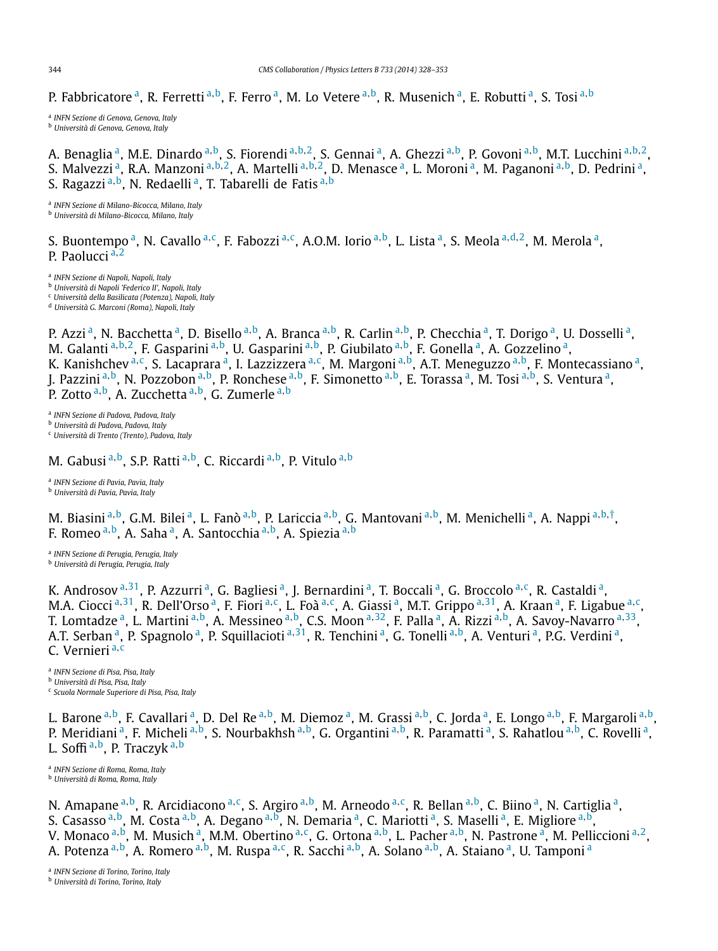P. Fabbricatore <sup>a</sup>, R. Ferretti <sup>a,b</sup>, F. Ferro <sup>a</sup>, M. Lo Vetere <sup>a,b</sup>, R. Musenich <sup>a</sup>, E. Robutti <sup>a</sup>, S. Tosi <sup>a,b</sup>

<sup>a</sup> *INFN Sezione di Genova, Genova, Italy* <sup>b</sup> *Università di Genova, Genova, Italy*

A. Benaglia a, M.E. Dinardo <sup>a</sup>*,*b, S. Fiorendi <sup>a</sup>*,*b*,*[2,](#page-24-0) S. Gennai a, A. Ghezzi <sup>a</sup>*,*b, P. Govoni <sup>a</sup>*,*b, M.T. Lucchini <sup>a</sup>*,*b*,*[2,](#page-24-0) S. Malvezzi a, R.A. Manzoni <sup>a</sup>*,*b*,*[2,](#page-24-0) A. Martelli <sup>a</sup>*,*b*,*[2,](#page-24-0) D. Menasce a, L. Moroni a, M. Paganoni <sup>a</sup>*,*b, D. Pedrini a, S. Ragazzi <sup>a</sup>*,*b, N. Redaelli a, T. Tabarelli de Fatis <sup>a</sup>*,*<sup>b</sup>

<sup>a</sup> *INFN Sezione di Milano-Bicocca, Milano, Italy* <sup>b</sup> *Università di Milano-Bicocca, Milano, Italy*

S. Buontempo a, N. Cavallo <sup>a</sup>*,*c, F. Fabozzi <sup>a</sup>*,*c, A.O.M. Iorio <sup>a</sup>*,*b, L. Lista a, S. Meola <sup>a</sup>*,*d*,*[2,](#page-24-0) M. Merola a, P. Paolucci <sup>a</sup>*,*[2](#page-24-0)

<sup>a</sup> *INFN Sezione di Napoli, Napoli, Italy*

<sup>b</sup> *Università di Napoli 'Federico II', Napoli, Italy* <sup>c</sup> *Università della Basilicata (Potenza), Napoli, Italy*

<sup>d</sup> *Università G. Marconi (Roma), Napoli, Italy*

P. Azzi<sup>a</sup>, N. Bacchetta<sup>a</sup>, D. Bisello<sup>a,b</sup>, A. Branca<sup>a,b</sup>, R. Carlin<sup>a,b</sup>, P. Checchia<sup>a</sup>, T. Dorigo<sup>a</sup>, U. Dosselli<sup>a</sup>, M. Galanti <sup>a</sup>*,*b*,*[2,](#page-24-0) F. Gasparini <sup>a</sup>*,*b, U. Gasparini <sup>a</sup>*,*b, P. Giubilato <sup>a</sup>*,*b, F. Gonella a, A. Gozzelino a, K. Kanishchev <sup>a</sup>*,*c, S. Lacaprara a, I. Lazzizzera <sup>a</sup>*,*c, M. Margoni <sup>a</sup>*,*b, A.T. Meneguzzo <sup>a</sup>*,*b, F. Montecassiano a, J. Pazzini <sup>a</sup>*,*b, N. Pozzobon <sup>a</sup>*,*b, P. Ronchese <sup>a</sup>*,*b, F. Simonetto <sup>a</sup>*,*b, E. Torassa a, M. Tosi <sup>a</sup>*,*b, S. Ventura a, P. Zotto <sup>a</sup>*,*b, A. Zucchetta <sup>a</sup>*,*b, G. Zumerle <sup>a</sup>*,*<sup>b</sup>

<sup>a</sup> *INFN Sezione di Padova, Padova, Italy*

<sup>b</sup> *Università di Padova, Padova, Italy*

<sup>c</sup> *Università di Trento (Trento), Padova, Italy*

M. Gabusi <sup>a</sup>*,*b, S.P. Ratti <sup>a</sup>*,*b, C. Riccardi <sup>a</sup>*,*b, P. Vitulo <sup>a</sup>*,*<sup>b</sup>

<sup>a</sup> *INFN Sezione di Pavia, Pavia, Italy* <sup>b</sup> *Università di Pavia, Pavia, Italy*

M. Biasini <sup>a</sup>*,*b, G.M. Bilei a, L. Fanò <sup>a</sup>*,*b, P. Lariccia <sup>a</sup>*,*b, G. Mantovani <sup>a</sup>*,*b, M. Menichelli a, A. Nappi <sup>a</sup>*,*b*,*[†,](#page-24-0) F. Romeo <sup>a</sup>*,*b, A. Saha a, A. Santocchia <sup>a</sup>*,*b, A. Spiezia <sup>a</sup>*,*<sup>b</sup>

<sup>a</sup> *INFN Sezione di Perugia, Perugia, Italy*

<sup>b</sup> *Università di Perugia, Perugia, Italy*

K. Androsov a, <sup>31</sup>, P. Azzurri a, G. Bagliesi a, J. Bernardini a, T. Boccali a, G. Broccolo a,c, R. Castaldi a, M.A. Ciocci <sup>a</sup>*,*[31,](#page-25-0) R. Dell'Orso a, F. Fiori <sup>a</sup>*,*c, L. Foà <sup>a</sup>*,*c, A. Giassi a, M.T. Grippo <sup>a</sup>*,*[31,](#page-25-0) A. Kraan a, F. Ligabue <sup>a</sup>*,*c, T. Lomtadze a, L. Martini <sup>a</sup>*,*b, A. Messineo <sup>a</sup>*,*b, C.S. Moon <sup>a</sup>*,*[32,](#page-25-0) F. Palla a, A. Rizzi <sup>a</sup>*,*b, A. Savoy-Navarro <sup>a</sup>*,*[33,](#page-25-0) A.T. Serban<sup>a</sup>, P. Spagnolo<sup>a</sup>, P. Squillacioti<sup>a, 31</sup>, R. Tenchini<sup>a</sup>, G. Tonelli<sup>a, b</sup>, A. Venturi<sup>a</sup>, P.G. Verdini<sup>a</sup>, C. Vernieri <sup>a</sup>*,*<sup>c</sup>

<sup>a</sup> *INFN Sezione di Pisa, Pisa, Italy*

<sup>b</sup> *Università di Pisa, Pisa, Italy* <sup>c</sup> *Scuola Normale Superiore di Pisa, Pisa, Italy*

L. Barone <sup>a</sup>*,*b, F. Cavallari a, D. Del Re <sup>a</sup>*,*b, M. Diemoz a, M. Grassi <sup>a</sup>*,*b, C. Jorda a, E. Longo <sup>a</sup>*,*b, F. Margaroli <sup>a</sup>*,*b, P. Meridiani<sup>a</sup>, F. Micheli<sup>a,b</sup>, S. Nourbakhsh a,b, G. Organtini a,b, R. Paramatti<sup>a</sup>, S. Rahatlou a,b, C. Rovelli<sup>a</sup>, L. Soffi <sup>a</sup>*,*b, P. Traczyk <sup>a</sup>*,*<sup>b</sup>

<sup>a</sup> *INFN Sezione di Roma, Roma, Italy* <sup>b</sup> *Università di Roma, Roma, Italy*

N. Amapane <sup>a</sup>*,*b, R. Arcidiacono <sup>a</sup>*,*c, S. Argiro <sup>a</sup>*,*b, M. Arneodo <sup>a</sup>*,*c, R. Bellan <sup>a</sup>*,*b, C. Biino a, N. Cartiglia a, S. Casasso <sup>a</sup>*,*b, M. Costa <sup>a</sup>*,*b, A. Degano <sup>a</sup>*,*b, N. Demaria a, C. Mariotti a, S. Maselli a, E. Migliore <sup>a</sup>*,*b, V. Monaco <sup>a</sup>*,*b, M. Musich a, M.M. Obertino <sup>a</sup>*,*c, G. Ortona <sup>a</sup>*,*b, L. Pacher <sup>a</sup>*,*b, N. Pastrone a, M. Pelliccioni <sup>a</sup>*,*[2,](#page-24-0) A. Potenza <sup>a</sup>*,*b, A. Romero <sup>a</sup>*,*b, M. Ruspa <sup>a</sup>*,*c, R. Sacchi <sup>a</sup>*,*b, A. Solano <sup>a</sup>*,*b, A. Staiano a, U. Tamponi <sup>a</sup>

<sup>a</sup> *INFN Sezione di Torino, Torino, Italy*

<sup>b</sup> *Università di Torino, Torino, Italy*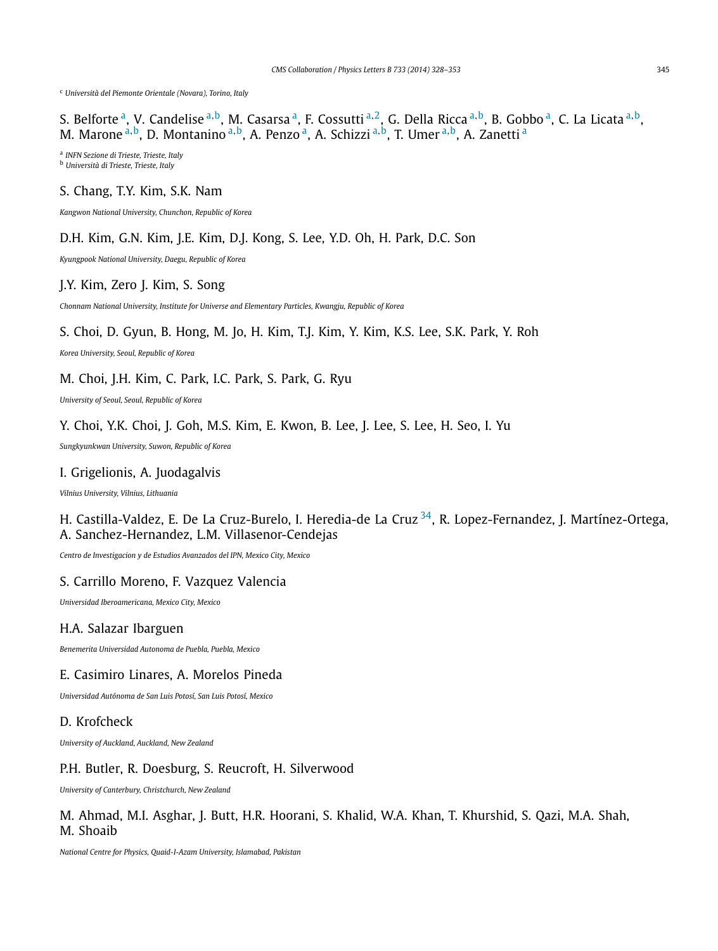<sup>c</sup> *Università del Piemonte Orientale (Novara), Torino, Italy*

S. Belforte a, V. Candelise <sup>a</sup>*,*b, M. Casarsa a, F. Cossutti <sup>a</sup>*,*[2,](#page-24-0) G. Della Ricca <sup>a</sup>*,*b, B. Gobbo a, C. La Licata <sup>a</sup>*,*b, M. Marone <sup>a</sup>*,*b, D. Montanino <sup>a</sup>*,*b, A. Penzo a, A. Schizzi <sup>a</sup>*,*b, T. Umer <sup>a</sup>*,*b, A. Zanetti <sup>a</sup>

<sup>a</sup> *INFN Sezione di Trieste, Trieste, Italy* <sup>b</sup> *Università di Trieste, Trieste, Italy*

# S. Chang, T.Y. Kim, S.K. Nam

*Kangwon National University, Chunchon, Republic of Korea*

D.H. Kim, G.N. Kim, J.E. Kim, D.J. Kong, S. Lee, Y.D. Oh, H. Park, D.C. Son

*Kyungpook National University, Daegu, Republic of Korea*

# J.Y. Kim, Zero J. Kim, S. Song

*Chonnam National University, Institute for Universe and Elementary Particles, Kwangju, Republic of Korea*

# S. Choi, D. Gyun, B. Hong, M. Jo, H. Kim, T.J. Kim, Y. Kim, K.S. Lee, S.K. Park, Y. Roh

*Korea University, Seoul, Republic of Korea*

# M. Choi, J.H. Kim, C. Park, I.C. Park, S. Park, G. Ryu

*University of Seoul, Seoul, Republic of Korea*

# Y. Choi, Y.K. Choi, J. Goh, M.S. Kim, E. Kwon, B. Lee, J. Lee, S. Lee, H. Seo, I. Yu

*Sungkyunkwan University, Suwon, Republic of Korea*

## I. Grigelionis, A. Juodagalvis

*Vilnius University, Vilnius, Lithuania*

# H. Castilla-Valdez, E. De La Cruz-Burelo, I. Heredia-de La Cruz<sup>34</sup>, R. Lopez-Fernandez, J. Martínez-Ortega, A. Sanchez-Hernandez, L.M. Villasenor-Cendejas

*Centro de Investigacion y de Estudios Avanzados del IPN, Mexico City, Mexico*

# S. Carrillo Moreno, F. Vazquez Valencia

*Universidad Iberoamericana, Mexico City, Mexico*

### H.A. Salazar Ibarguen

*Benemerita Universidad Autonoma de Puebla, Puebla, Mexico*

# E. Casimiro Linares, A. Morelos Pineda

*Universidad Autónoma de San Luis Potosí, San Luis Potosí, Mexico*

# D. Krofcheck

*University of Auckland, Auckland, New Zealand*

### P.H. Butler, R. Doesburg, S. Reucroft, H. Silverwood

*University of Canterbury, Christchurch, New Zealand*

# M. Ahmad, M.I. Asghar, J. Butt, H.R. Hoorani, S. Khalid, W.A. Khan, T. Khurshid, S. Qazi, M.A. Shah, M. Shoaib

*National Centre for Physics, Quaid-I-Azam University, Islamabad, Pakistan*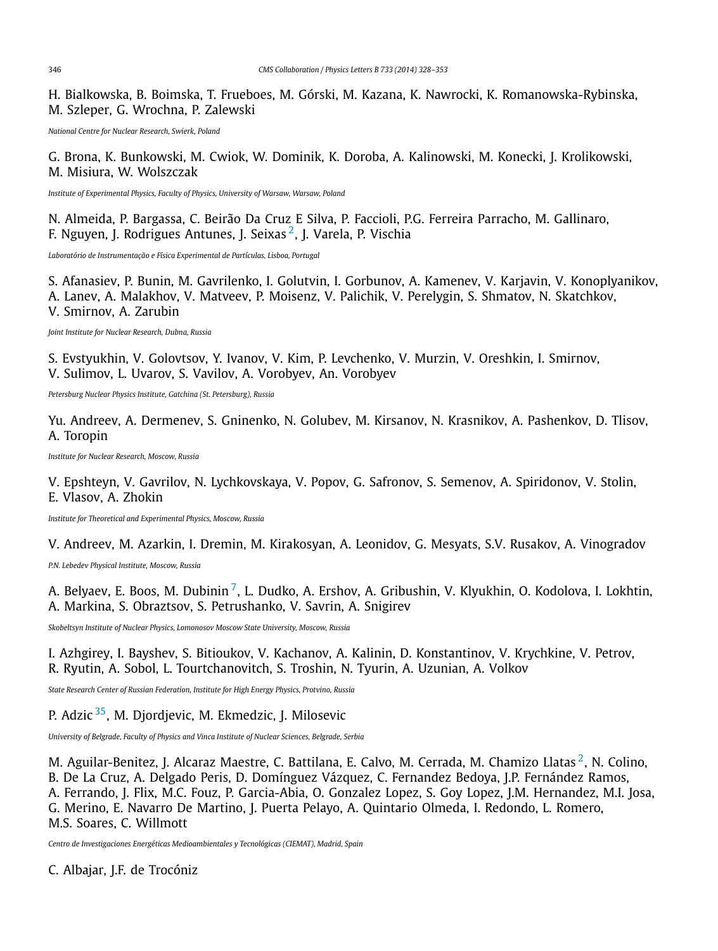H. Bialkowska, B. Boimska, T. Frueboes, M. Górski, M. Kazana, K. Nawrocki, K. Romanowska-Rybinska, M. Szleper, G. Wrochna, P. Zalewski

*National Centre for Nuclear Research, Swierk, Poland*

G. Brona, K. Bunkowski, M. Cwiok, W. Dominik, K. Doroba, A. Kalinowski, M. Konecki, J. Krolikowski, M. Misiura, W. Wolszczak

*Institute of Experimental Physics, Faculty of Physics, University of Warsaw, Warsaw, Poland*

N. Almeida, P. Bargassa, C. Beirão Da Cruz E Silva, P. Faccioli, P.G. Ferreira Parracho, M. Gallinaro, F. Nguyen, J. Rodrigues Antunes, J. Seixas [2,](#page-24-0) J. Varela, P. Vischia

*Laboratório de Instrumentação e Física Experimental de Partículas, Lisboa, Portugal*

S. Afanasiev, P. Bunin, M. Gavrilenko, I. Golutvin, I. Gorbunov, A. Kamenev, V. Karjavin, V. Konoplyanikov, A. Lanev, A. Malakhov, V. Matveev, P. Moisenz, V. Palichik, V. Perelygin, S. Shmatov, N. Skatchkov, V. Smirnov, A. Zarubin

*Joint Institute for Nuclear Research, Dubna, Russia*

S. Evstyukhin, V. Golovtsov, Y. Ivanov, V. Kim, P. Levchenko, V. Murzin, V. Oreshkin, I. Smirnov, V. Sulimov, L. Uvarov, S. Vavilov, A. Vorobyev, An. Vorobyev

*Petersburg Nuclear Physics Institute, Gatchina (St. Petersburg), Russia*

Yu. Andreev, A. Dermenev, S. Gninenko, N. Golubev, M. Kirsanov, N. Krasnikov, A. Pashenkov, D. Tlisov, A. Toropin

*Institute for Nuclear Research, Moscow, Russia*

V. Epshteyn, V. Gavrilov, N. Lychkovskaya, V. Popov, G. Safronov, S. Semenov, A. Spiridonov, V. Stolin, E. Vlasov, A. Zhokin

*Institute for Theoretical and Experimental Physics, Moscow, Russia*

V. Andreev, M. Azarkin, I. Dremin, M. Kirakosyan, A. Leonidov, G. Mesyats, S.V. Rusakov, A. Vinogradov

*P.N. Lebedev Physical Institute, Moscow, Russia*

A. Belyaev, E. Boos, M. Dubinin<sup>7</sup>, L. Dudko, A. Ershov, A. Gribushin, V. Klyukhin, O. Kodolova, I. Lokhtin, A. Markina, S. Obraztsov, S. Petrushanko, V. Savrin, A. Snigirev

*Skobeltsyn Institute of Nuclear Physics, Lomonosov Moscow State University, Moscow, Russia*

I. Azhgirey, I. Bayshev, S. Bitioukov, V. Kachanov, A. Kalinin, D. Konstantinov, V. Krychkine, V. Petrov, R. Ryutin, A. Sobol, L. Tourtchanovitch, S. Troshin, N. Tyurin, A. Uzunian, A. Volkov

*State Research Center of Russian Federation, Institute for High Energy Physics, Protvino, Russia*

P. Adzic [35,](#page-25-0) M. Djordjevic, M. Ekmedzic, J. Milosevic

*University of Belgrade, Faculty of Physics and Vinca Institute of Nuclear Sciences, Belgrade, Serbia*

M. Aguilar-Benitez, J. Alcaraz Maestre, C. Battilana, E. Calvo, M. Cerrada, M. Chamizo Llatas<sup>2</sup>, N. Colino, B. De La Cruz, A. Delgado Peris, D. Domínguez Vázquez, C. Fernandez Bedoya, J.P. Fernández Ramos, A. Ferrando, J. Flix, M.C. Fouz, P. Garcia-Abia, O. Gonzalez Lopez, S. Goy Lopez, J.M. Hernandez, M.I. Josa, G. Merino, E. Navarro De Martino, J. Puerta Pelayo, A. Quintario Olmeda, I. Redondo, L. Romero, M.S. Soares, C. Willmott

*Centro de Investigaciones Energéticas Medioambientales y Tecnológicas (CIEMAT), Madrid, Spain*

C. Albajar, J.F. de Trocóniz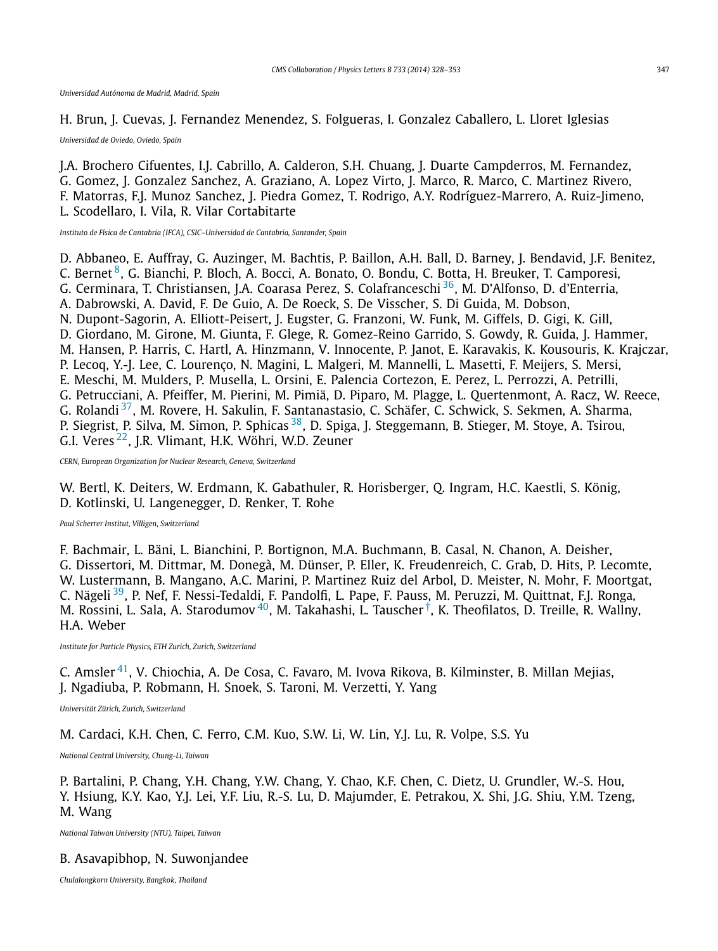H. Brun, J. Cuevas, J. Fernandez Menendez, S. Folgueras, I. Gonzalez Caballero, L. Lloret Iglesias

*Universidad de Oviedo, Oviedo, Spain*

J.A. Brochero Cifuentes, I.J. Cabrillo, A. Calderon, S.H. Chuang, J. Duarte Campderros, M. Fernandez, G. Gomez, J. Gonzalez Sanchez, A. Graziano, A. Lopez Virto, J. Marco, R. Marco, C. Martinez Rivero, F. Matorras, F.J. Munoz Sanchez, J. Piedra Gomez, T. Rodrigo, A.Y. Rodríguez-Marrero, A. Ruiz-Jimeno, L. Scodellaro, I. Vila, R. Vilar Cortabitarte

*Instituto de Física de Cantabria (IFCA), CSIC–Universidad de Cantabria, Santander, Spain*

D. Abbaneo, E. Auffray, G. Auzinger, M. Bachtis, P. Baillon, A.H. Ball, D. Barney, J. Bendavid, J.F. Benitez, C. Bernet [8,](#page-24-0) G. Bianchi, P. Bloch, A. Bocci, A. Bonato, O. Bondu, C. Botta, H. Breuker, T. Camporesi, G. Cerminara, T. Christiansen, J.A. Coarasa Perez, S. Colafranceschi [36,](#page-25-0) M. D'Alfonso, D. d'Enterria, A. Dabrowski, A. David, F. De Guio, A. De Roeck, S. De Visscher, S. Di Guida, M. Dobson, N. Dupont-Sagorin, A. Elliott-Peisert, J. Eugster, G. Franzoni, W. Funk, M. Giffels, D. Gigi, K. Gill, D. Giordano, M. Girone, M. Giunta, F. Glege, R. Gomez-Reino Garrido, S. Gowdy, R. Guida, J. Hammer, M. Hansen, P. Harris, C. Hartl, A. Hinzmann, V. Innocente, P. Janot, E. Karavakis, K. Kousouris, K. Krajczar, P. Lecoq, Y.-J. Lee, C. Lourenço, N. Magini, L. Malgeri, M. Mannelli, L. Masetti, F. Meijers, S. Mersi, E. Meschi, M. Mulders, P. Musella, L. Orsini, E. Palencia Cortezon, E. Perez, L. Perrozzi, A. Petrilli, G. Petrucciani, A. Pfeiffer, M. Pierini, M. Pimiä, D. Piparo, M. Plagge, L. Quertenmont, A. Racz, W. Reece, G. Rolandi [37,](#page-25-0) M. Rovere, H. Sakulin, F. Santanastasio, C. Schäfer, C. Schwick, S. Sekmen, A. Sharma, P. Siegrist, P. Silva, M. Simon, P. Sphicas [38,](#page-25-0) D. Spiga, J. Steggemann, B. Stieger, M. Stoye, A. Tsirou, G.I. Veres [22,](#page-25-0) J.R. Vlimant, H.K. Wöhri, W.D. Zeuner

*CERN, European Organization for Nuclear Research, Geneva, Switzerland*

W. Bertl, K. Deiters, W. Erdmann, K. Gabathuler, R. Horisberger, Q. Ingram, H.C. Kaestli, S. König, D. Kotlinski, U. Langenegger, D. Renker, T. Rohe

*Paul Scherrer Institut, Villigen, Switzerland*

F. Bachmair, L. Bäni, L. Bianchini, P. Bortignon, M.A. Buchmann, B. Casal, N. Chanon, A. Deisher, G. Dissertori, M. Dittmar, M. Donegà, M. Dünser, P. Eller, K. Freudenreich, C. Grab, D. Hits, P. Lecomte, W. Lustermann, B. Mangano, A.C. Marini, P. Martinez Ruiz del Arbol, D. Meister, N. Mohr, F. Moortgat, C. Nägeli [39,](#page-25-0) P. Nef, F. Nessi-Tedaldi, F. Pandolfi, L. Pape, F. Pauss, M. Peruzzi, M. Quittnat, F.J. Ronga, M. Rossini, L. Sala, A. Starodumov<sup> [40](#page-25-0)</sup>, M. Takahashi, L. Tauscher <sup>†</sup>, K. Theofilatos, D. Treille, R. Wallny, H.A. Weber

*Institute for Particle Physics, ETH Zurich, Zurich, Switzerland*

C. Amsler [41,](#page-25-0) V. Chiochia, A. De Cosa, C. Favaro, M. Ivova Rikova, B. Kilminster, B. Millan Mejias, J. Ngadiuba, P. Robmann, H. Snoek, S. Taroni, M. Verzetti, Y. Yang

*Universität Zürich, Zurich, Switzerland*

M. Cardaci, K.H. Chen, C. Ferro, C.M. Kuo, S.W. Li, W. Lin, Y.J. Lu, R. Volpe, S.S. Yu

*National Central University, Chung-Li, Taiwan*

P. Bartalini, P. Chang, Y.H. Chang, Y.W. Chang, Y. Chao, K.F. Chen, C. Dietz, U. Grundler, W.-S. Hou, Y. Hsiung, K.Y. Kao, Y.J. Lei, Y.F. Liu, R.-S. Lu, D. Majumder, E. Petrakou, X. Shi, J.G. Shiu, Y.M. Tzeng, M. Wang

*National Taiwan University (NTU), Taipei, Taiwan*

# B. Asavapibhop, N. Suwonjandee

*Chulalongkorn University, Bangkok, Thailand*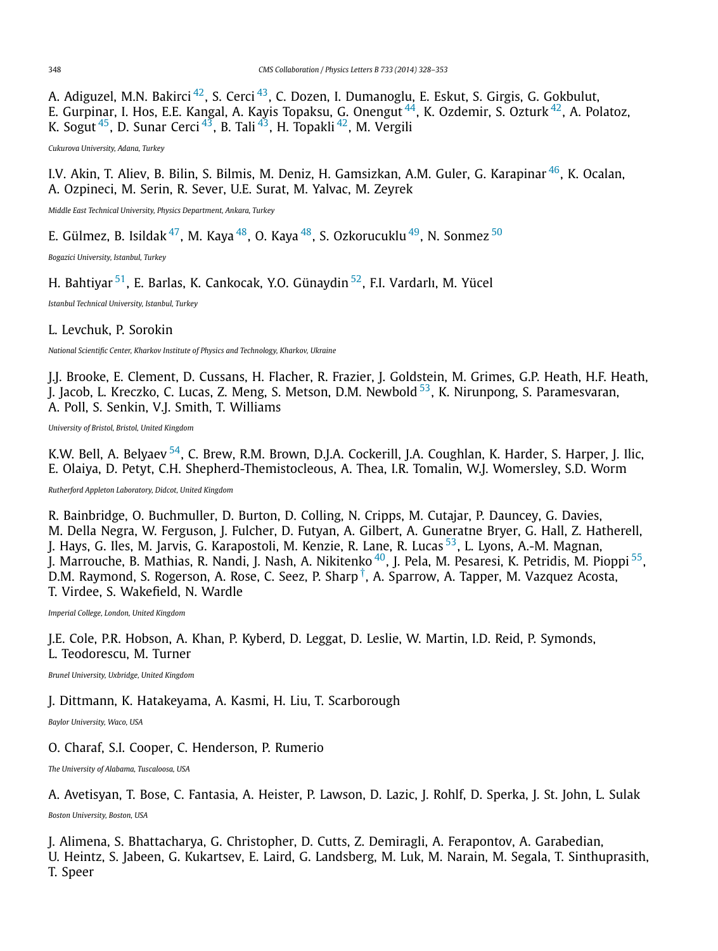A. Adiguzel, M.N. Bakirci<sup>42</sup>, S. Cerci<sup>43</sup>, C. Dozen, I. Dumanoglu, E. Eskut, S. Girgis, G. Gokbulut, E. Gurpinar, I. Hos, E.E. Kangal, A. Kayis Topaksu, G. Onengut [44,](#page-25-0) K. Ozdemir, S. Ozturk [42](#page-25-0), A. Polatoz, K. Sogut  $45$ , D. Sunar Cerci  $43$ , B. Tali  $43$ , H. Topakli  $42$ , M. Vergili

*Cukurova University, Adana, Turkey*

I.V. Akin, T. Aliev, B. Bilin, S. Bilmis, M. Deniz, H. Gamsizkan, A.M. Guler, G. Karapinar <sup>46</sup>, K. Ocalan, A. Ozpineci, M. Serin, R. Sever, U.E. Surat, M. Yalvac, M. Zeyrek

*Middle East Technical University, Physics Department, Ankara, Turkey*

E. Gülmez, B. Isildak  $47$ , M. Kaya  $48$ , O. Kaya  $48$ , S. Ozkorucuklu  $49$ . N. Sonmez  $50$ 

*Bogazici University, Istanbul, Turkey*

H. Bahtiyar [51,](#page-25-0) E. Barlas, K. Cankocak, Y.O. Günaydin [52,](#page-25-0) F.I. Vardarlı, M. Yücel

*Istanbul Technical University, Istanbul, Turkey*

L. Levchuk, P. Sorokin

*National Scientific Center, Kharkov Institute of Physics and Technology, Kharkov, Ukraine*

J.J. Brooke, E. Clement, D. Cussans, H. Flacher, R. Frazier, J. Goldstein, M. Grimes, G.P. Heath, H.F. Heath, J. Jacob, L. Kreczko, C. Lucas, Z. Meng, S. Metson, D.M. Newbold [53,](#page-25-0) K. Nirunpong, S. Paramesvaran, A. Poll, S. Senkin, V.J. Smith, T. Williams

*University of Bristol, Bristol, United Kingdom*

K.W. Bell, A. Belyaev <sup>54</sup>, C. Brew, R.M. Brown, D.J.A. Cockerill, J.A. Coughlan, K. Harder, S. Harper, J. Ilic, E. Olaiya, D. Petyt, C.H. Shepherd-Themistocleous, A. Thea, I.R. Tomalin, W.J. Womersley, S.D. Worm

*Rutherford Appleton Laboratory, Didcot, United Kingdom*

R. Bainbridge, O. Buchmuller, D. Burton, D. Colling, N. Cripps, M. Cutajar, P. Dauncey, G. Davies, M. Della Negra, W. Ferguson, J. Fulcher, D. Futyan, A. Gilbert, A. Guneratne Bryer, G. Hall, Z. Hatherell, J. Hays, G. Iles, M. Jarvis, G. Karapostoli, M. Kenzie, R. Lane, R. Lucas [53,](#page-25-0) L. Lyons, A.-M. Magnan, J. Marrouche, B. Mathias, R. Nandi, J. Nash, A. Nikitenko <sup>40</sup>, J. Pela, M. Pesaresi, K. Petridis, M. Pioppi <sup>55</sup>, D.M. Raymond, S. Rogerson, A. Rose, C. Seez, P. Sharp [†,](#page-24-0) A. Sparrow, A. Tapper, M. Vazquez Acosta, T. Virdee, S. Wakefield, N. Wardle

*Imperial College, London, United Kingdom*

J.E. Cole, P.R. Hobson, A. Khan, P. Kyberd, D. Leggat, D. Leslie, W. Martin, I.D. Reid, P. Symonds, L. Teodorescu, M. Turner

*Brunel University, Uxbridge, United Kingdom*

J. Dittmann, K. Hatakeyama, A. Kasmi, H. Liu, T. Scarborough

*Baylor University, Waco, USA*

# O. Charaf, S.I. Cooper, C. Henderson, P. Rumerio

*The University of Alabama, Tuscaloosa, USA*

A. Avetisyan, T. Bose, C. Fantasia, A. Heister, P. Lawson, D. Lazic, J. Rohlf, D. Sperka, J. St. John, L. Sulak

*Boston University, Boston, USA*

J. Alimena, S. Bhattacharya, G. Christopher, D. Cutts, Z. Demiragli, A. Ferapontov, A. Garabedian, U. Heintz, S. Jabeen, G. Kukartsev, E. Laird, G. Landsberg, M. Luk, M. Narain, M. Segala, T. Sinthuprasith, T. Speer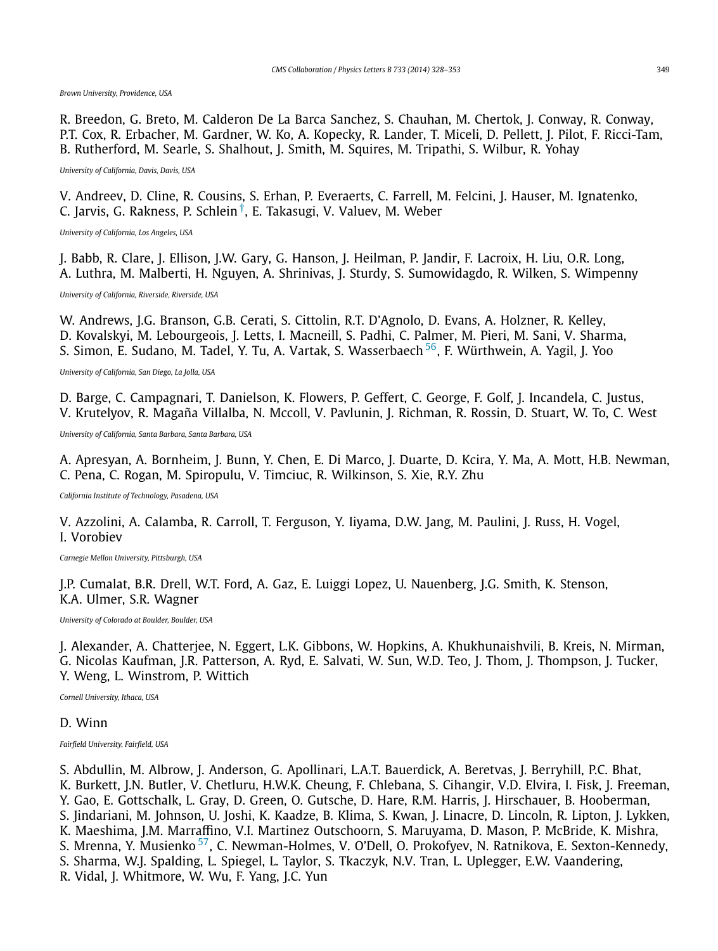*Brown University, Providence, USA*

R. Breedon, G. Breto, M. Calderon De La Barca Sanchez, S. Chauhan, M. Chertok, J. Conway, R. Conway, P.T. Cox, R. Erbacher, M. Gardner, W. Ko, A. Kopecky, R. Lander, T. Miceli, D. Pellett, J. Pilot, F. Ricci-Tam, B. Rutherford, M. Searle, S. Shalhout, J. Smith, M. Squires, M. Tripathi, S. Wilbur, R. Yohay

*University of California, Davis, Davis, USA*

V. Andreev, D. Cline, R. Cousins, S. Erhan, P. Everaerts, C. Farrell, M. Felcini, J. Hauser, M. Ignatenko, C. Jarvis, G. Rakness, P. Schlein [†,](#page-24-0) E. Takasugi, V. Valuev, M. Weber

*University of California, Los Angeles, USA*

J. Babb, R. Clare, J. Ellison, J.W. Gary, G. Hanson, J. Heilman, P. Jandir, F. Lacroix, H. Liu, O.R. Long, A. Luthra, M. Malberti, H. Nguyen, A. Shrinivas, J. Sturdy, S. Sumowidagdo, R. Wilken, S. Wimpenny

*University of California, Riverside, Riverside, USA*

W. Andrews, J.G. Branson, G.B. Cerati, S. Cittolin, R.T. D'Agnolo, D. Evans, A. Holzner, R. Kelley, D. Kovalskyi, M. Lebourgeois, J. Letts, I. Macneill, S. Padhi, C. Palmer, M. Pieri, M. Sani, V. Sharma, S. Simon, E. Sudano, M. Tadel, Y. Tu, A. Vartak, S. Wasserbaech [56,](#page-25-0) F. Würthwein, A. Yagil, J. Yoo

*University of California, San Diego, La Jolla, USA*

D. Barge, C. Campagnari, T. Danielson, K. Flowers, P. Geffert, C. George, F. Golf, J. Incandela, C. Justus, V. Krutelyov, R. Magaña Villalba, N. Mccoll, V. Pavlunin, J. Richman, R. Rossin, D. Stuart, W. To, C. West

*University of California, Santa Barbara, Santa Barbara, USA*

A. Apresyan, A. Bornheim, J. Bunn, Y. Chen, E. Di Marco, J. Duarte, D. Kcira, Y. Ma, A. Mott, H.B. Newman, C. Pena, C. Rogan, M. Spiropulu, V. Timciuc, R. Wilkinson, S. Xie, R.Y. Zhu

*California Institute of Technology, Pasadena, USA*

V. Azzolini, A. Calamba, R. Carroll, T. Ferguson, Y. Iiyama, D.W. Jang, M. Paulini, J. Russ, H. Vogel, I. Vorobiev

*Carnegie Mellon University, Pittsburgh, USA*

J.P. Cumalat, B.R. Drell, W.T. Ford, A. Gaz, E. Luiggi Lopez, U. Nauenberg, J.G. Smith, K. Stenson, K.A. Ulmer, S.R. Wagner

*University of Colorado at Boulder, Boulder, USA*

J. Alexander, A. Chatterjee, N. Eggert, L.K. Gibbons, W. Hopkins, A. Khukhunaishvili, B. Kreis, N. Mirman, G. Nicolas Kaufman, J.R. Patterson, A. Ryd, E. Salvati, W. Sun, W.D. Teo, J. Thom, J. Thompson, J. Tucker, Y. Weng, L. Winstrom, P. Wittich

*Cornell University, Ithaca, USA*

### D. Winn

*Fairfield University, Fairfield, USA*

S. Abdullin, M. Albrow, J. Anderson, G. Apollinari, L.A.T. Bauerdick, A. Beretvas, J. Berryhill, P.C. Bhat, K. Burkett, J.N. Butler, V. Chetluru, H.W.K. Cheung, F. Chlebana, S. Cihangir, V.D. Elvira, I. Fisk, J. Freeman, Y. Gao, E. Gottschalk, L. Gray, D. Green, O. Gutsche, D. Hare, R.M. Harris, J. Hirschauer, B. Hooberman, S. Jindariani, M. Johnson, U. Joshi, K. Kaadze, B. Klima, S. Kwan, J. Linacre, D. Lincoln, R. Lipton, J. Lykken, K. Maeshima, J.M. Marraffino, V.I. Martinez Outschoorn, S. Maruyama, D. Mason, P. McBride, K. Mishra, S. Mrenna, Y. Musienko [57,](#page-25-0) C. Newman-Holmes, V. O'Dell, O. Prokofyev, N. Ratnikova, E. Sexton-Kennedy, S. Sharma, W.J. Spalding, L. Spiegel, L. Taylor, S. Tkaczyk, N.V. Tran, L. Uplegger, E.W. Vaandering, R. Vidal, J. Whitmore, W. Wu, F. Yang, J.C. Yun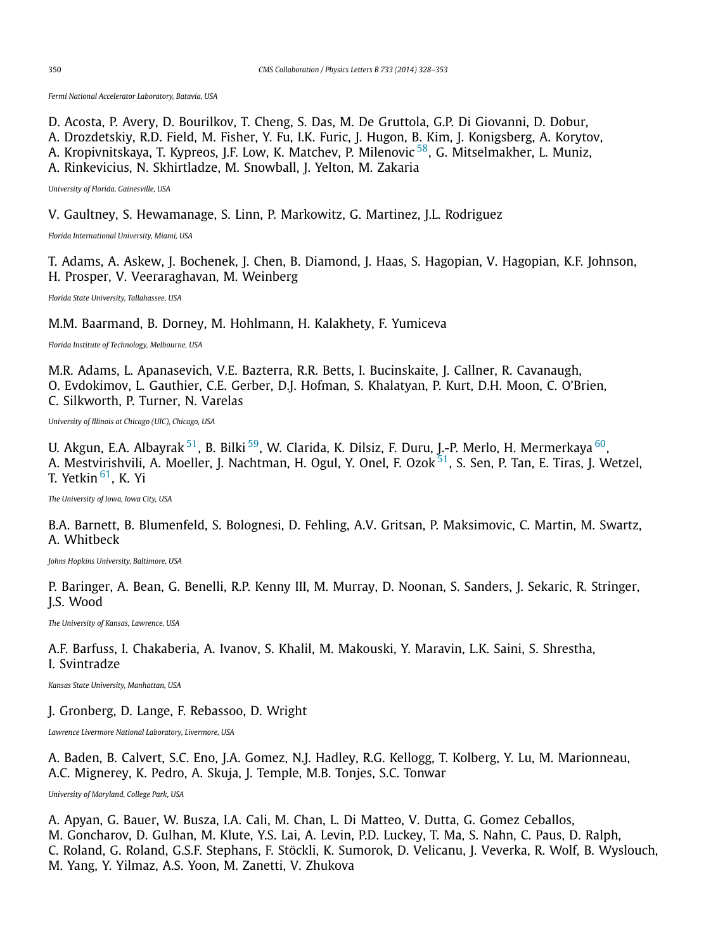*Fermi National Accelerator Laboratory, Batavia, USA*

D. Acosta, P. Avery, D. Bourilkov, T. Cheng, S. Das, M. De Gruttola, G.P. Di Giovanni, D. Dobur, A. Drozdetskiy, R.D. Field, M. Fisher, Y. Fu, I.K. Furic, J. Hugon, B. Kim, J. Konigsberg, A. Korytov, A. Kropivnitskaya, T. Kypreos, J.F. Low, K. Matchev, P. Milenovic [58,](#page-25-0) G. Mitselmakher, L. Muniz, A. Rinkevicius, N. Skhirtladze, M. Snowball, J. Yelton, M. Zakaria

*University of Florida, Gainesville, USA*

V. Gaultney, S. Hewamanage, S. Linn, P. Markowitz, G. Martinez, J.L. Rodriguez

*Florida International University, Miami, USA*

T. Adams, A. Askew, J. Bochenek, J. Chen, B. Diamond, J. Haas, S. Hagopian, V. Hagopian, K.F. Johnson, H. Prosper, V. Veeraraghavan, M. Weinberg

*Florida State University, Tallahassee, USA*

M.M. Baarmand, B. Dorney, M. Hohlmann, H. Kalakhety, F. Yumiceva

*Florida Institute of Technology, Melbourne, USA*

M.R. Adams, L. Apanasevich, V.E. Bazterra, R.R. Betts, I. Bucinskaite, J. Callner, R. Cavanaugh, O. Evdokimov, L. Gauthier, C.E. Gerber, D.J. Hofman, S. Khalatyan, P. Kurt, D.H. Moon, C. O'Brien, C. Silkworth, P. Turner, N. Varelas

*University of Illinois at Chicago (UIC), Chicago, USA*

U. Akgun, E.A. Albayrak <sup>51</sup>, B. Bilki <sup>59</sup>, W. Clarida, K. Dilsiz, F. Duru, J.-P. Merlo, H. Mermerkaya <sup>60</sup>, A. Mestvirishvili, A. Moeller, J. Nachtman, H. Ogul, Y. Onel, F. Ozok [51,](#page-25-0) S. Sen, P. Tan, E. Tiras, J. Wetzel, T. Yetkin <sup>61</sup>, K. Yi

*The University of Iowa, Iowa City, USA*

B.A. Barnett, B. Blumenfeld, S. Bolognesi, D. Fehling, A.V. Gritsan, P. Maksimovic, C. Martin, M. Swartz, A. Whitbeck

*Johns Hopkins University, Baltimore, USA*

P. Baringer, A. Bean, G. Benelli, R.P. Kenny III, M. Murray, D. Noonan, S. Sanders, J. Sekaric, R. Stringer, J.S. Wood

*The University of Kansas, Lawrence, USA*

A.F. Barfuss, I. Chakaberia, A. Ivanov, S. Khalil, M. Makouski, Y. Maravin, L.K. Saini, S. Shrestha, I. Svintradze

*Kansas State University, Manhattan, USA*

J. Gronberg, D. Lange, F. Rebassoo, D. Wright

*Lawrence Livermore National Laboratory, Livermore, USA*

A. Baden, B. Calvert, S.C. Eno, J.A. Gomez, N.J. Hadley, R.G. Kellogg, T. Kolberg, Y. Lu, M. Marionneau, A.C. Mignerey, K. Pedro, A. Skuja, J. Temple, M.B. Tonjes, S.C. Tonwar

*University of Maryland, College Park, USA*

A. Apyan, G. Bauer, W. Busza, I.A. Cali, M. Chan, L. Di Matteo, V. Dutta, G. Gomez Ceballos, M. Goncharov, D. Gulhan, M. Klute, Y.S. Lai, A. Levin, P.D. Luckey, T. Ma, S. Nahn, C. Paus, D. Ralph, C. Roland, G. Roland, G.S.F. Stephans, F. Stöckli, K. Sumorok, D. Velicanu, J. Veverka, R. Wolf, B. Wyslouch, M. Yang, Y. Yilmaz, A.S. Yoon, M. Zanetti, V. Zhukova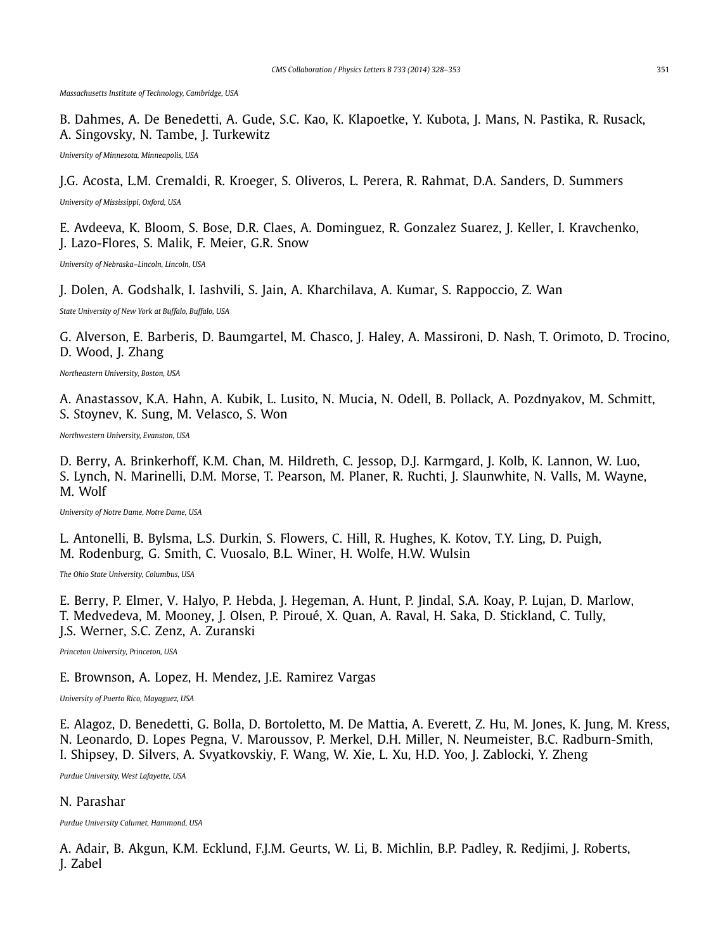*Massachusetts Institute of Technology, Cambridge, USA*

B. Dahmes, A. De Benedetti, A. Gude, S.C. Kao, K. Klapoetke, Y. Kubota, J. Mans, N. Pastika, R. Rusack, A. Singovsky, N. Tambe, J. Turkewitz

*University of Minnesota, Minneapolis, USA*

J.G. Acosta, L.M. Cremaldi, R. Kroeger, S. Oliveros, L. Perera, R. Rahmat, D.A. Sanders, D. Summers

*University of Mississippi, Oxford, USA*

E. Avdeeva, K. Bloom, S. Bose, D.R. Claes, A. Dominguez, R. Gonzalez Suarez, J. Keller, I. Kravchenko, J. Lazo-Flores, S. Malik, F. Meier, G.R. Snow

*University of Nebraska–Lincoln, Lincoln, USA*

J. Dolen, A. Godshalk, I. Iashvili, S. Jain, A. Kharchilava, A. Kumar, S. Rappoccio, Z. Wan

*State University of New York at Buffalo, Buffalo, USA*

G. Alverson, E. Barberis, D. Baumgartel, M. Chasco, J. Haley, A. Massironi, D. Nash, T. Orimoto, D. Trocino, D. Wood, J. Zhang

*Northeastern University, Boston, USA*

A. Anastassov, K.A. Hahn, A. Kubik, L. Lusito, N. Mucia, N. Odell, B. Pollack, A. Pozdnyakov, M. Schmitt, S. Stoynev, K. Sung, M. Velasco, S. Won

*Northwestern University, Evanston, USA*

D. Berry, A. Brinkerhoff, K.M. Chan, M. Hildreth, C. Jessop, D.J. Karmgard, J. Kolb, K. Lannon, W. Luo, S. Lynch, N. Marinelli, D.M. Morse, T. Pearson, M. Planer, R. Ruchti, J. Slaunwhite, N. Valls, M. Wayne, M. Wolf

*University of Notre Dame, Notre Dame, USA*

L. Antonelli, B. Bylsma, L.S. Durkin, S. Flowers, C. Hill, R. Hughes, K. Kotov, T.Y. Ling, D. Puigh, M. Rodenburg, G. Smith, C. Vuosalo, B.L. Winer, H. Wolfe, H.W. Wulsin

*The Ohio State University, Columbus, USA*

E. Berry, P. Elmer, V. Halyo, P. Hebda, J. Hegeman, A. Hunt, P. Jindal, S.A. Koay, P. Lujan, D. Marlow, T. Medvedeva, M. Mooney, J. Olsen, P. Piroué, X. Quan, A. Raval, H. Saka, D. Stickland, C. Tully, J.S. Werner, S.C. Zenz, A. Zuranski

*Princeton University, Princeton, USA*

# E. Brownson, A. Lopez, H. Mendez, J.E. Ramirez Vargas

*University of Puerto Rico, Mayaguez, USA*

E. Alagoz, D. Benedetti, G. Bolla, D. Bortoletto, M. De Mattia, A. Everett, Z. Hu, M. Jones, K. Jung, M. Kress, N. Leonardo, D. Lopes Pegna, V. Maroussov, P. Merkel, D.H. Miller, N. Neumeister, B.C. Radburn-Smith, I. Shipsey, D. Silvers, A. Svyatkovskiy, F. Wang, W. Xie, L. Xu, H.D. Yoo, J. Zablocki, Y. Zheng

*Purdue University, West Lafayette, USA*

### N. Parashar

*Purdue University Calumet, Hammond, USA*

A. Adair, B. Akgun, K.M. Ecklund, F.J.M. Geurts, W. Li, B. Michlin, B.P. Padley, R. Redjimi, J. Roberts, J. Zabel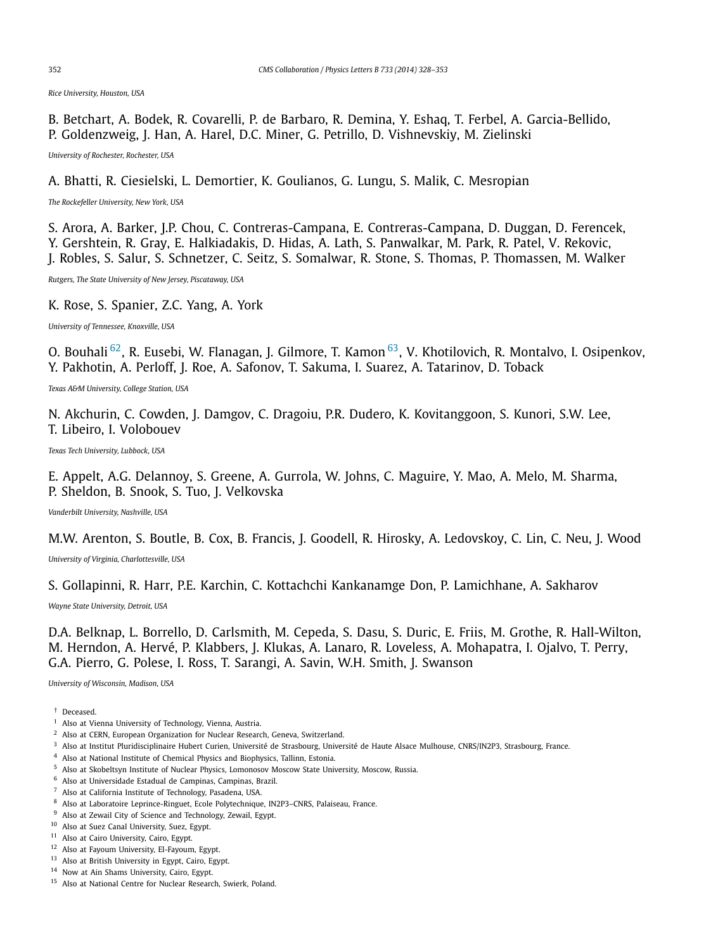<span id="page-24-0"></span>*Rice University, Houston, USA*

B. Betchart, A. Bodek, R. Covarelli, P. de Barbaro, R. Demina, Y. Eshaq, T. Ferbel, A. Garcia-Bellido, P. Goldenzweig, J. Han, A. Harel, D.C. Miner, G. Petrillo, D. Vishnevskiy, M. Zielinski

*University of Rochester, Rochester, USA*

A. Bhatti, R. Ciesielski, L. Demortier, K. Goulianos, G. Lungu, S. Malik, C. Mesropian

*The Rockefeller University, New York, USA*

S. Arora, A. Barker, J.P. Chou, C. Contreras-Campana, E. Contreras-Campana, D. Duggan, D. Ferencek, Y. Gershtein, R. Gray, E. Halkiadakis, D. Hidas, A. Lath, S. Panwalkar, M. Park, R. Patel, V. Rekovic, J. Robles, S. Salur, S. Schnetzer, C. Seitz, S. Somalwar, R. Stone, S. Thomas, P. Thomassen, M. Walker

*Rutgers, The State University of New Jersey, Piscataway, USA*

K. Rose, S. Spanier, Z.C. Yang, A. York

*University of Tennessee, Knoxville, USA*

O. Bouhali <sup>62</sup>, R. Eusebi, W. Flanagan, J. Gilmore, T. Kamon <sup>63</sup>, V. Khotilovich, R. Montalvo, I. Osipenkov, Y. Pakhotin, A. Perloff, J. Roe, A. Safonov, T. Sakuma, I. Suarez, A. Tatarinov, D. Toback

*Texas A&M University, College Station, USA*

N. Akchurin, C. Cowden, J. Damgov, C. Dragoiu, P.R. Dudero, K. Kovitanggoon, S. Kunori, S.W. Lee, T. Libeiro, I. Volobouev

*Texas Tech University, Lubbock, USA*

E. Appelt, A.G. Delannoy, S. Greene, A. Gurrola, W. Johns, C. Maguire, Y. Mao, A. Melo, M. Sharma, P. Sheldon, B. Snook, S. Tuo, J. Velkovska

*Vanderbilt University, Nashville, USA*

M.W. Arenton, S. Boutle, B. Cox, B. Francis, J. Goodell, R. Hirosky, A. Ledovskoy, C. Lin, C. Neu, J. Wood

*University of Virginia, Charlottesville, USA*

S. Gollapinni, R. Harr, P.E. Karchin, C. Kottachchi Kankanamge Don, P. Lamichhane, A. Sakharov

*Wayne State University, Detroit, USA*

D.A. Belknap, L. Borrello, D. Carlsmith, M. Cepeda, S. Dasu, S. Duric, E. Friis, M. Grothe, R. Hall-Wilton, M. Herndon, A. Hervé, P. Klabbers, J. Klukas, A. Lanaro, R. Loveless, A. Mohapatra, I. Ojalvo, T. Perry, G.A. Pierro, G. Polese, I. Ross, T. Sarangi, A. Savin, W.H. Smith, J. Swanson

*University of Wisconsin, Madison, USA*

† Deceased.

- <sup>1</sup> Also at Vienna University of Technology, Vienna, Austria.
- <sup>2</sup> Also at CERN, European Organization for Nuclear Research, Geneva, Switzerland.
- <sup>3</sup> Also at Institut Pluridisciplinaire Hubert Curien, Université de Strasbourg, Université de Haute Alsace Mulhouse, CNRS/IN2P3, Strasbourg, France.
- <sup>4</sup> Also at National Institute of Chemical Physics and Biophysics, Tallinn, Estonia.
- <sup>5</sup> Also at Skobeltsyn Institute of Nuclear Physics, Lomonosov Moscow State University, Moscow, Russia.
- <sup>6</sup> Also at Universidade Estadual de Campinas, Campinas, Brazil.
- <sup>7</sup> Also at California Institute of Technology, Pasadena, USA.
- <sup>8</sup> Also at Laboratoire Leprince-Ringuet, Ecole Polytechnique, IN2P3–CNRS, Palaiseau, France.
- <sup>9</sup> Also at Zewail City of Science and Technology, Zewail, Egypt.
- <sup>10</sup> Also at Suez Canal University, Suez, Egypt.
- <sup>11</sup> Also at Cairo University, Cairo, Egypt.
- <sup>12</sup> Also at Fayoum University, El-Fayoum, Egypt.
- <sup>13</sup> Also at British University in Egypt, Cairo, Egypt.
- <sup>14</sup> Now at Ain Shams University, Cairo, Egypt.
- <sup>15</sup> Also at National Centre for Nuclear Research, Swierk, Poland.